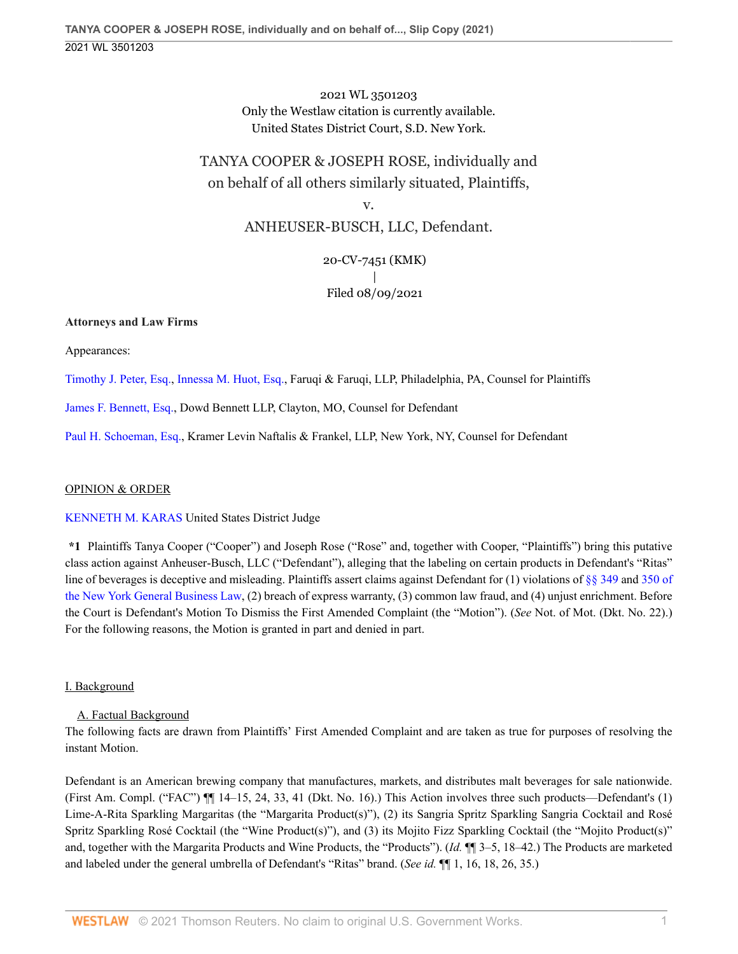2021 WL 3501203 Only the Westlaw citation is currently available. United States District Court, S.D. New York.

# TANYA COOPER & JOSEPH ROSE, individually and on behalf of all others similarly situated, Plaintiffs,

v. ANHEUSER-BUSCH, LLC, Defendant.

> 20-CV-7451 (KMK) | Filed 08/09/2021

# **Attorneys and Law Firms**

Appearances:

[Timothy J. Peter, Esq.](http://www.westlaw.com/Link/Document/FullText?findType=h&pubNum=176284&cite=0490259799&originatingDoc=I50bc8ae0f9e611eb9262974acac519d1&refType=RQ&originationContext=document&vr=3.0&rs=cblt1.0&transitionType=DocumentItem&contextData=(sc.UserEnteredCitation)), [Innessa M. Huot, Esq.,](http://www.westlaw.com/Link/Document/FullText?findType=h&pubNum=176284&cite=0468711101&originatingDoc=I50bc8ae0f9e611eb9262974acac519d1&refType=RQ&originationContext=document&vr=3.0&rs=cblt1.0&transitionType=DocumentItem&contextData=(sc.UserEnteredCitation)) Faruqi & Faruqi, LLP, Philadelphia, PA, Counsel for Plaintiffs

[James F. Bennett, Esq.](http://www.westlaw.com/Link/Document/FullText?findType=h&pubNum=176284&cite=0204301601&originatingDoc=I50bc8ae0f9e611eb9262974acac519d1&refType=RQ&originationContext=document&vr=3.0&rs=cblt1.0&transitionType=DocumentItem&contextData=(sc.UserEnteredCitation)), Dowd Bennett LLP, Clayton, MO, Counsel for Defendant

[Paul H. Schoeman, Esq.,](http://www.westlaw.com/Link/Document/FullText?findType=h&pubNum=176284&cite=0197417001&originatingDoc=I50bc8ae0f9e611eb9262974acac519d1&refType=RQ&originationContext=document&vr=3.0&rs=cblt1.0&transitionType=DocumentItem&contextData=(sc.UserEnteredCitation)) Kramer Levin Naftalis & Frankel, LLP, New York, NY, Counsel for Defendant

### OPINION & ORDER

### [KENNETH M. KARAS](http://www.westlaw.com/Link/Document/FullText?findType=h&pubNum=176284&cite=0286706401&originatingDoc=I50bc8ae0f9e611eb9262974acac519d1&refType=RQ&originationContext=document&vr=3.0&rs=cblt1.0&transitionType=DocumentItem&contextData=(sc.UserEnteredCitation)) United States District Judge

**\*1** Plaintiffs Tanya Cooper ("Cooper") and Joseph Rose ("Rose" and, together with Cooper, "Plaintiffs") bring this putative class action against Anheuser-Busch, LLC ("Defendant"), alleging that the labeling on certain products in Defendant's "Ritas" line of beverages is deceptive and misleading. Plaintiffs assert claims against Defendant for (1) violations of [§§ 349](http://www.westlaw.com/Link/Document/FullText?findType=L&pubNum=1000081&cite=NYGBS349&originatingDoc=I50bc8ae0f9e611eb9262974acac519d1&refType=LQ&originationContext=document&vr=3.0&rs=cblt1.0&transitionType=DocumentItem&contextData=(sc.UserEnteredCitation)) and [350 of](http://www.westlaw.com/Link/Document/FullText?findType=L&pubNum=1000081&cite=NYGBS350&originatingDoc=I50bc8ae0f9e611eb9262974acac519d1&refType=LQ&originationContext=document&vr=3.0&rs=cblt1.0&transitionType=DocumentItem&contextData=(sc.UserEnteredCitation)) [the New York General Business Law,](http://www.westlaw.com/Link/Document/FullText?findType=L&pubNum=1000081&cite=NYGBS350&originatingDoc=I50bc8ae0f9e611eb9262974acac519d1&refType=LQ&originationContext=document&vr=3.0&rs=cblt1.0&transitionType=DocumentItem&contextData=(sc.UserEnteredCitation)) (2) breach of express warranty, (3) common law fraud, and (4) unjust enrichment. Before the Court is Defendant's Motion To Dismiss the First Amended Complaint (the "Motion"). (*See* Not. of Mot. (Dkt. No. 22).) For the following reasons, the Motion is granted in part and denied in part.

### I. Background

# A. Factual Background

The following facts are drawn from Plaintiffs' First Amended Complaint and are taken as true for purposes of resolving the instant Motion.

Defendant is an American brewing company that manufactures, markets, and distributes malt beverages for sale nationwide. (First Am. Compl. ("FAC") ¶¶ 14–15, 24, 33, 41 (Dkt. No. 16).) This Action involves three such products—Defendant's (1) Lime-A-Rita Sparkling Margaritas (the "Margarita Product(s)"), (2) its Sangria Spritz Sparkling Sangria Cocktail and Rosé Spritz Sparkling Rosé Cocktail (the "Wine Product(s)"), and (3) its Mojito Fizz Sparkling Cocktail (the "Mojito Product(s)" and, together with the Margarita Products and Wine Products, the "Products"). (*Id.* ¶¶ 3–5, 18–42.) The Products are marketed and labeled under the general umbrella of Defendant's "Ritas" brand. (*See id.* ¶¶ 1, 16, 18, 26, 35.)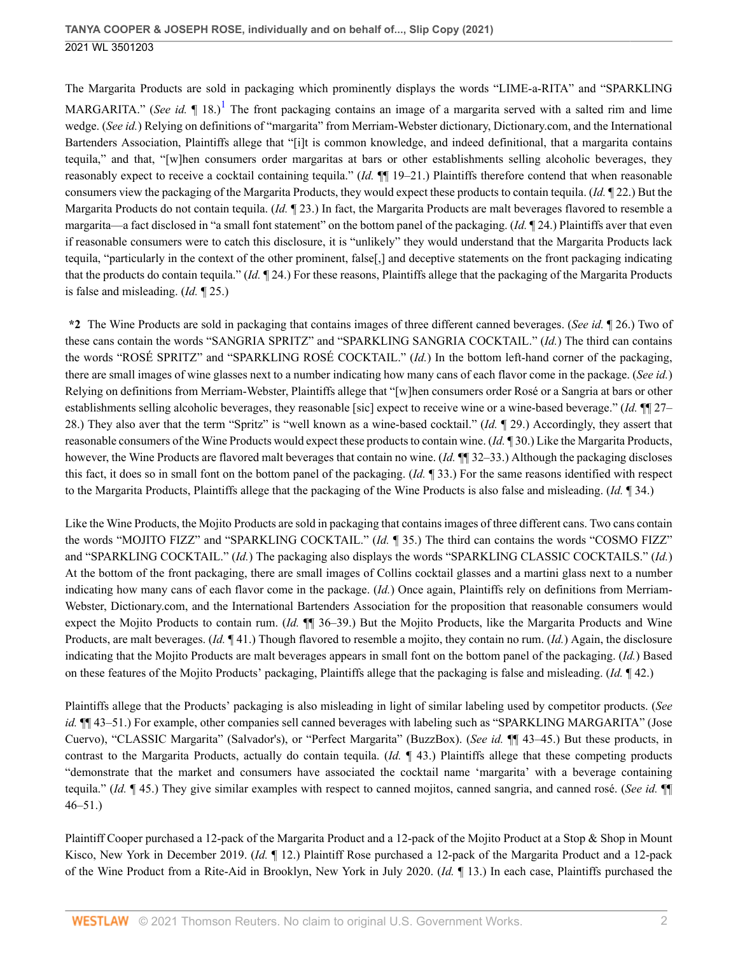<span id="page-1-0"></span>The Margarita Products are sold in packaging which prominently displays the words "LIME-a-RITA" and "SPARKLING MARGARITA." (*See id.*  $\P$  [1](#page-19-0)8.)<sup>1</sup> The front packaging contains an image of a margarita served with a salted rim and lime wedge. (*See id.*) Relying on definitions of "margarita" from Merriam-Webster dictionary, Dictionary.com, and the International Bartenders Association, Plaintiffs allege that "[i]t is common knowledge, and indeed definitional, that a margarita contains tequila," and that, "[w]hen consumers order margaritas at bars or other establishments selling alcoholic beverages, they reasonably expect to receive a cocktail containing tequila." (*Id.* ¶¶ 19–21.) Plaintiffs therefore contend that when reasonable consumers view the packaging of the Margarita Products, they would expect these products to contain tequila. (*Id.* ¶ 22.) But the Margarita Products do not contain tequila. (*Id.* ¶ 23.) In fact, the Margarita Products are malt beverages flavored to resemble a margarita—a fact disclosed in "a small font statement" on the bottom panel of the packaging. (*Id.* ¶ 24.) Plaintiffs aver that even if reasonable consumers were to catch this disclosure, it is "unlikely" they would understand that the Margarita Products lack tequila, "particularly in the context of the other prominent, false[,] and deceptive statements on the front packaging indicating that the products do contain tequila." (*Id.* ¶ 24.) For these reasons, Plaintiffs allege that the packaging of the Margarita Products is false and misleading. (*Id.* ¶ 25.)

**\*2** The Wine Products are sold in packaging that contains images of three different canned beverages. (*See id.* ¶ 26.) Two of these cans contain the words "SANGRIA SPRITZ" and "SPARKLING SANGRIA COCKTAIL." (*Id.*) The third can contains the words "ROSÉ SPRITZ" and "SPARKLING ROSÉ COCKTAIL." (*Id.*) In the bottom left-hand corner of the packaging, there are small images of wine glasses next to a number indicating how many cans of each flavor come in the package. (*See id.*) Relying on definitions from Merriam-Webster, Plaintiffs allege that "[w]hen consumers order Rosé or a Sangria at bars or other establishments selling alcoholic beverages, they reasonable [sic] expect to receive wine or a wine-based beverage." (*Id.* ¶¶ 27– 28.) They also aver that the term "Spritz" is "well known as a wine-based cocktail." (*Id.* ¶ 29.) Accordingly, they assert that reasonable consumers of the Wine Products would expect these products to contain wine. (*Id.* ¶ 30.) Like the Margarita Products, however, the Wine Products are flavored malt beverages that contain no wine. (*Id.* ¶¶ 32–33.) Although the packaging discloses this fact, it does so in small font on the bottom panel of the packaging. (*Id.* ¶ 33.) For the same reasons identified with respect to the Margarita Products, Plaintiffs allege that the packaging of the Wine Products is also false and misleading. (*Id.* ¶ 34.)

Like the Wine Products, the Mojito Products are sold in packaging that contains images of three different cans. Two cans contain the words "MOJITO FIZZ" and "SPARKLING COCKTAIL." (*Id.* ¶ 35.) The third can contains the words "COSMO FIZZ" and "SPARKLING COCKTAIL." (*Id.*) The packaging also displays the words "SPARKLING CLASSIC COCKTAILS." (*Id.*) At the bottom of the front packaging, there are small images of Collins cocktail glasses and a martini glass next to a number indicating how many cans of each flavor come in the package. (*Id.*) Once again, Plaintiffs rely on definitions from Merriam-Webster, Dictionary.com, and the International Bartenders Association for the proposition that reasonable consumers would expect the Mojito Products to contain rum. (*Id.* ¶¶ 36–39.) But the Mojito Products, like the Margarita Products and Wine Products, are malt beverages. (*Id.* ¶ 41.) Though flavored to resemble a mojito, they contain no rum. (*Id.*) Again, the disclosure indicating that the Mojito Products are malt beverages appears in small font on the bottom panel of the packaging. (*Id.*) Based on these features of the Mojito Products' packaging, Plaintiffs allege that the packaging is false and misleading. (*Id.* ¶ 42.)

Plaintiffs allege that the Products' packaging is also misleading in light of similar labeling used by competitor products. (*See id.*  $\P\P$ 43–51.) For example, other companies sell canned beverages with labeling such as "SPARKLING MARGARITA" (Jose Cuervo), "CLASSIC Margarita" (Salvador's), or "Perfect Margarita" (BuzzBox). (*See id.* ¶¶ 43–45.) But these products, in contrast to the Margarita Products, actually do contain tequila. (*Id.* ¶ 43.) Plaintiffs allege that these competing products "demonstrate that the market and consumers have associated the cocktail name 'margarita' with a beverage containing tequila." (*Id.* ¶ 45.) They give similar examples with respect to canned mojitos, canned sangria, and canned rosé. (*See id.* ¶¶ 46–51.)

Plaintiff Cooper purchased a 12-pack of the Margarita Product and a 12-pack of the Mojito Product at a Stop & Shop in Mount Kisco, New York in December 2019. (*Id.* ¶ 12.) Plaintiff Rose purchased a 12-pack of the Margarita Product and a 12-pack of the Wine Product from a Rite-Aid in Brooklyn, New York in July 2020. (*Id.* ¶ 13.) In each case, Plaintiffs purchased the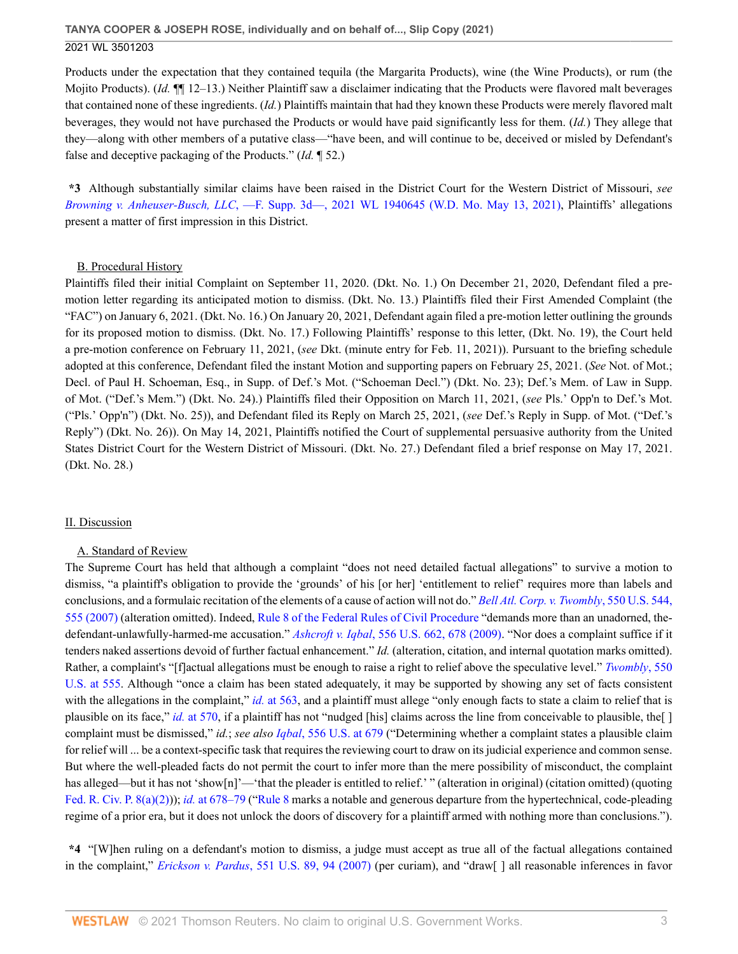Products under the expectation that they contained tequila (the Margarita Products), wine (the Wine Products), or rum (the Mojito Products). (*Id.* ¶¶ 12–13.) Neither Plaintiff saw a disclaimer indicating that the Products were flavored malt beverages that contained none of these ingredients. (*Id.*) Plaintiffs maintain that had they known these Products were merely flavored malt beverages, they would not have purchased the Products or would have paid significantly less for them. (*Id.*) They allege that they—along with other members of a putative class—"have been, and will continue to be, deceived or misled by Defendant's false and deceptive packaging of the Products." (*Id.* ¶ 52.)

**\*3** Although substantially similar claims have been raised in the District Court for the Western District of Missouri, *see Browning v. Anheuser-Busch, LLC*[, —F. Supp. 3d—, 2021 WL 1940645 \(W.D. Mo. May 13, 2021\)](http://www.westlaw.com/Link/Document/FullText?findType=Y&serNum=2053633020&pubNum=0000999&originatingDoc=I50bc8ae0f9e611eb9262974acac519d1&refType=RP&originationContext=document&vr=3.0&rs=cblt1.0&transitionType=DocumentItem&contextData=(sc.UserEnteredCitation)), Plaintiffs' allegations present a matter of first impression in this District.

### B. Procedural History

Plaintiffs filed their initial Complaint on September 11, 2020. (Dkt. No. 1.) On December 21, 2020, Defendant filed a premotion letter regarding its anticipated motion to dismiss. (Dkt. No. 13.) Plaintiffs filed their First Amended Complaint (the "FAC") on January 6, 2021. (Dkt. No. 16.) On January 20, 2021, Defendant again filed a pre-motion letter outlining the grounds for its proposed motion to dismiss. (Dkt. No. 17.) Following Plaintiffs' response to this letter, (Dkt. No. 19), the Court held a pre-motion conference on February 11, 2021, (*see* Dkt. (minute entry for Feb. 11, 2021)). Pursuant to the briefing schedule adopted at this conference, Defendant filed the instant Motion and supporting papers on February 25, 2021. (*See* Not. of Mot.; Decl. of Paul H. Schoeman, Esq., in Supp. of Def.'s Mot. ("Schoeman Decl.") (Dkt. No. 23); Def.'s Mem. of Law in Supp. of Mot. ("Def.'s Mem.") (Dkt. No. 24).) Plaintiffs filed their Opposition on March 11, 2021, (*see* Pls.' Opp'n to Def.'s Mot. ("Pls.' Opp'n") (Dkt. No. 25)), and Defendant filed its Reply on March 25, 2021, (*see* Def.'s Reply in Supp. of Mot. ("Def.'s Reply") (Dkt. No. 26)). On May 14, 2021, Plaintiffs notified the Court of supplemental persuasive authority from the United States District Court for the Western District of Missouri. (Dkt. No. 27.) Defendant filed a brief response on May 17, 2021. (Dkt. No. 28.)

### II. Discussion

### A. Standard of Review

The Supreme Court has held that although a complaint "does not need detailed factual allegations" to survive a motion to dismiss, "a plaintiff's obligation to provide the 'grounds' of his [or her] 'entitlement to relief' requires more than labels and conclusions, and a formulaic recitation of the elements of a cause of action will not do." *[Bell Atl. Corp. v. Twombly](http://www.westlaw.com/Link/Document/FullText?findType=Y&serNum=2012293296&pubNum=0000780&originatingDoc=I50bc8ae0f9e611eb9262974acac519d1&refType=RP&fi=co_pp_sp_780_555&originationContext=document&vr=3.0&rs=cblt1.0&transitionType=DocumentItem&contextData=(sc.UserEnteredCitation)#co_pp_sp_780_555)*, 550 U.S. 544, [555 \(2007\)](http://www.westlaw.com/Link/Document/FullText?findType=Y&serNum=2012293296&pubNum=0000780&originatingDoc=I50bc8ae0f9e611eb9262974acac519d1&refType=RP&fi=co_pp_sp_780_555&originationContext=document&vr=3.0&rs=cblt1.0&transitionType=DocumentItem&contextData=(sc.UserEnteredCitation)#co_pp_sp_780_555) (alteration omitted). Indeed, [Rule 8 of the Federal Rules of Civil Procedure](http://www.westlaw.com/Link/Document/FullText?findType=L&pubNum=1000600&cite=USFRCPR8&originatingDoc=I50bc8ae0f9e611eb9262974acac519d1&refType=LQ&originationContext=document&vr=3.0&rs=cblt1.0&transitionType=DocumentItem&contextData=(sc.UserEnteredCitation)) "demands more than an unadorned, thedefendant-unlawfully-harmed-me accusation." *Ashcroft v. Iqbal*[, 556 U.S. 662, 678 \(2009\)](http://www.westlaw.com/Link/Document/FullText?findType=Y&serNum=2018848474&pubNum=0000780&originatingDoc=I50bc8ae0f9e611eb9262974acac519d1&refType=RP&fi=co_pp_sp_780_678&originationContext=document&vr=3.0&rs=cblt1.0&transitionType=DocumentItem&contextData=(sc.UserEnteredCitation)#co_pp_sp_780_678). "Nor does a complaint suffice if it tenders naked assertions devoid of further factual enhancement." *Id.* (alteration, citation, and internal quotation marks omitted). Rather, a complaint's "[f]actual allegations must be enough to raise a right to relief above the speculative level." *[Twombly](http://www.westlaw.com/Link/Document/FullText?findType=Y&serNum=2012293296&pubNum=0000780&originatingDoc=I50bc8ae0f9e611eb9262974acac519d1&refType=RP&fi=co_pp_sp_780_555&originationContext=document&vr=3.0&rs=cblt1.0&transitionType=DocumentItem&contextData=(sc.UserEnteredCitation)#co_pp_sp_780_555)*, 550 [U.S. at 555](http://www.westlaw.com/Link/Document/FullText?findType=Y&serNum=2012293296&pubNum=0000780&originatingDoc=I50bc8ae0f9e611eb9262974acac519d1&refType=RP&fi=co_pp_sp_780_555&originationContext=document&vr=3.0&rs=cblt1.0&transitionType=DocumentItem&contextData=(sc.UserEnteredCitation)#co_pp_sp_780_555). Although "once a claim has been stated adequately, it may be supported by showing any set of facts consistent with the allegations in the complaint," *id.* [at 563,](http://www.westlaw.com/Link/Document/FullText?findType=Y&serNum=2012293296&pubNum=0000780&originatingDoc=I50bc8ae0f9e611eb9262974acac519d1&refType=RP&fi=co_pp_sp_780_563&originationContext=document&vr=3.0&rs=cblt1.0&transitionType=DocumentItem&contextData=(sc.UserEnteredCitation)#co_pp_sp_780_563) and a plaintiff must allege "only enough facts to state a claim to relief that is plausible on its face," *id.* [at 570,](http://www.westlaw.com/Link/Document/FullText?findType=Y&serNum=2012293296&pubNum=0000780&originatingDoc=I50bc8ae0f9e611eb9262974acac519d1&refType=RP&fi=co_pp_sp_780_570&originationContext=document&vr=3.0&rs=cblt1.0&transitionType=DocumentItem&contextData=(sc.UserEnteredCitation)#co_pp_sp_780_570) if a plaintiff has not "nudged [his] claims across the line from conceivable to plausible, the[ ] complaint must be dismissed," *id.*; *see also Iqbal*[, 556 U.S. at 679](http://www.westlaw.com/Link/Document/FullText?findType=Y&serNum=2018848474&pubNum=0000780&originatingDoc=I50bc8ae0f9e611eb9262974acac519d1&refType=RP&fi=co_pp_sp_780_679&originationContext=document&vr=3.0&rs=cblt1.0&transitionType=DocumentItem&contextData=(sc.UserEnteredCitation)#co_pp_sp_780_679) ("Determining whether a complaint states a plausible claim for relief will ... be a context-specific task that requires the reviewing court to draw on its judicial experience and common sense. But where the well-pleaded facts do not permit the court to infer more than the mere possibility of misconduct, the complaint has alleged—but it has not 'show[n]'—'that the pleader is entitled to relief.' " (alteration in original) (citation omitted) (quoting [Fed. R. Civ. P. 8\(a\)\(2\)](http://www.westlaw.com/Link/Document/FullText?findType=L&pubNum=1000600&cite=USFRCPR8&originatingDoc=I50bc8ae0f9e611eb9262974acac519d1&refType=LQ&originationContext=document&vr=3.0&rs=cblt1.0&transitionType=DocumentItem&contextData=(sc.UserEnteredCitation)))); *id.* [at 678–79](http://www.westlaw.com/Link/Document/FullText?findType=Y&serNum=2018848474&pubNum=0000780&originatingDoc=I50bc8ae0f9e611eb9262974acac519d1&refType=RP&fi=co_pp_sp_780_678&originationContext=document&vr=3.0&rs=cblt1.0&transitionType=DocumentItem&contextData=(sc.UserEnteredCitation)#co_pp_sp_780_678) ("[Rule 8](http://www.westlaw.com/Link/Document/FullText?findType=L&pubNum=1000600&cite=USFRCPR8&originatingDoc=I50bc8ae0f9e611eb9262974acac519d1&refType=LQ&originationContext=document&vr=3.0&rs=cblt1.0&transitionType=DocumentItem&contextData=(sc.UserEnteredCitation)) marks a notable and generous departure from the hypertechnical, code-pleading regime of a prior era, but it does not unlock the doors of discovery for a plaintiff armed with nothing more than conclusions.").

**\*4** "[W]hen ruling on a defendant's motion to dismiss, a judge must accept as true all of the factual allegations contained in the complaint," *Erickson v. Pardus*[, 551 U.S. 89, 94 \(2007\)](http://www.westlaw.com/Link/Document/FullText?findType=Y&serNum=2012395796&pubNum=0000780&originatingDoc=I50bc8ae0f9e611eb9262974acac519d1&refType=RP&fi=co_pp_sp_780_94&originationContext=document&vr=3.0&rs=cblt1.0&transitionType=DocumentItem&contextData=(sc.UserEnteredCitation)#co_pp_sp_780_94) (per curiam), and "draw[ ] all reasonable inferences in favor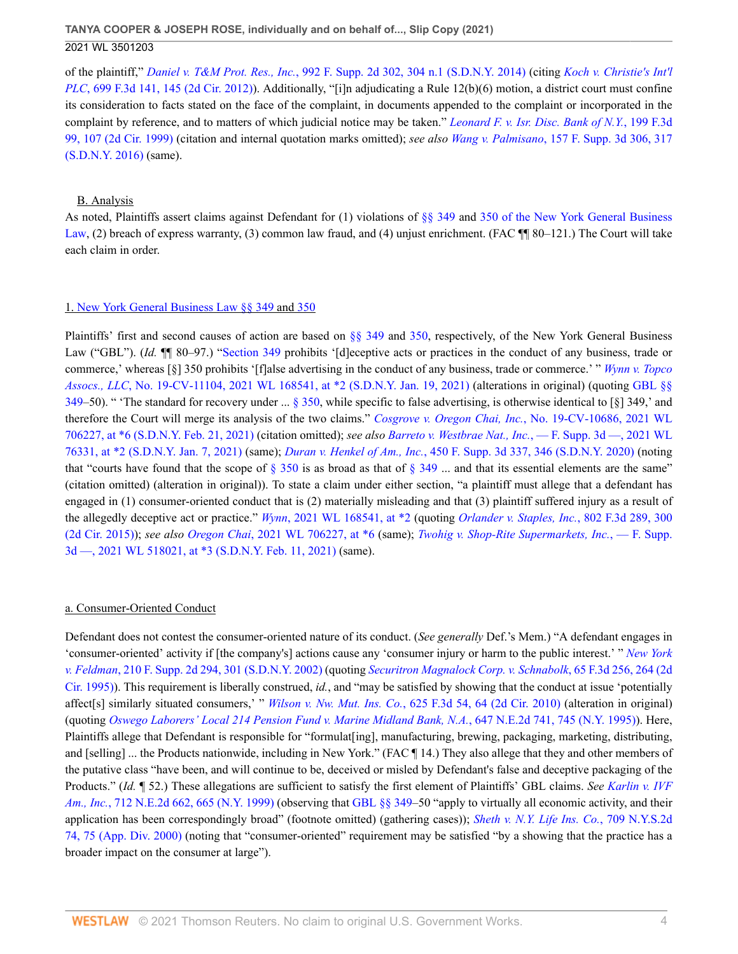of the plaintiff," *Daniel v. T&M Prot. Res., Inc.*[, 992 F. Supp. 2d 302, 304 n.1 \(S.D.N.Y. 2014\)](http://www.westlaw.com/Link/Document/FullText?findType=Y&serNum=2032550053&pubNum=0004637&originatingDoc=I50bc8ae0f9e611eb9262974acac519d1&refType=RP&fi=co_pp_sp_4637_304&originationContext=document&vr=3.0&rs=cblt1.0&transitionType=DocumentItem&contextData=(sc.UserEnteredCitation)#co_pp_sp_4637_304) (citing *[Koch v. Christie's Int'l](http://www.westlaw.com/Link/Document/FullText?findType=Y&serNum=2028764363&pubNum=0000506&originatingDoc=I50bc8ae0f9e611eb9262974acac519d1&refType=RP&fi=co_pp_sp_506_145&originationContext=document&vr=3.0&rs=cblt1.0&transitionType=DocumentItem&contextData=(sc.UserEnteredCitation)#co_pp_sp_506_145) PLC*[, 699 F.3d 141, 145 \(2d Cir. 2012\)\)](http://www.westlaw.com/Link/Document/FullText?findType=Y&serNum=2028764363&pubNum=0000506&originatingDoc=I50bc8ae0f9e611eb9262974acac519d1&refType=RP&fi=co_pp_sp_506_145&originationContext=document&vr=3.0&rs=cblt1.0&transitionType=DocumentItem&contextData=(sc.UserEnteredCitation)#co_pp_sp_506_145). Additionally, "[i]n adjudicating a Rule 12(b)(6) motion, a district court must confine its consideration to facts stated on the face of the complaint, in documents appended to the complaint or incorporated in the complaint by reference, and to matters of which judicial notice may be taken." *[Leonard F. v. Isr. Disc. Bank of N.Y.](http://www.westlaw.com/Link/Document/FullText?findType=Y&serNum=1999268602&pubNum=0000506&originatingDoc=I50bc8ae0f9e611eb9262974acac519d1&refType=RP&fi=co_pp_sp_506_107&originationContext=document&vr=3.0&rs=cblt1.0&transitionType=DocumentItem&contextData=(sc.UserEnteredCitation)#co_pp_sp_506_107)*, 199 F.3d [99, 107 \(2d Cir. 1999\)](http://www.westlaw.com/Link/Document/FullText?findType=Y&serNum=1999268602&pubNum=0000506&originatingDoc=I50bc8ae0f9e611eb9262974acac519d1&refType=RP&fi=co_pp_sp_506_107&originationContext=document&vr=3.0&rs=cblt1.0&transitionType=DocumentItem&contextData=(sc.UserEnteredCitation)#co_pp_sp_506_107) (citation and internal quotation marks omitted); *see also Wang v. Palmisano*[, 157 F. Supp. 3d 306, 317](http://www.westlaw.com/Link/Document/FullText?findType=Y&serNum=2038169682&pubNum=0007903&originatingDoc=I50bc8ae0f9e611eb9262974acac519d1&refType=RP&fi=co_pp_sp_7903_317&originationContext=document&vr=3.0&rs=cblt1.0&transitionType=DocumentItem&contextData=(sc.UserEnteredCitation)#co_pp_sp_7903_317) [\(S.D.N.Y. 2016\)](http://www.westlaw.com/Link/Document/FullText?findType=Y&serNum=2038169682&pubNum=0007903&originatingDoc=I50bc8ae0f9e611eb9262974acac519d1&refType=RP&fi=co_pp_sp_7903_317&originationContext=document&vr=3.0&rs=cblt1.0&transitionType=DocumentItem&contextData=(sc.UserEnteredCitation)#co_pp_sp_7903_317) (same).

#### B. Analysis

As noted, Plaintiffs assert claims against Defendant for (1) violations of [§§ 349](http://www.westlaw.com/Link/Document/FullText?findType=L&pubNum=1000081&cite=NYGBS349&originatingDoc=I50bc8ae0f9e611eb9262974acac519d1&refType=LQ&originationContext=document&vr=3.0&rs=cblt1.0&transitionType=DocumentItem&contextData=(sc.UserEnteredCitation)) and [350 of the New York General Business](http://www.westlaw.com/Link/Document/FullText?findType=L&pubNum=1000081&cite=NYGBS350&originatingDoc=I50bc8ae0f9e611eb9262974acac519d1&refType=LQ&originationContext=document&vr=3.0&rs=cblt1.0&transitionType=DocumentItem&contextData=(sc.UserEnteredCitation)) [Law,](http://www.westlaw.com/Link/Document/FullText?findType=L&pubNum=1000081&cite=NYGBS350&originatingDoc=I50bc8ae0f9e611eb9262974acac519d1&refType=LQ&originationContext=document&vr=3.0&rs=cblt1.0&transitionType=DocumentItem&contextData=(sc.UserEnteredCitation)) (2) breach of express warranty, (3) common law fraud, and (4) unjust enrichment. (FAC  $\P$  80–121.) The Court will take each claim in order.

#### 1. [New York General Business Law §§ 349](http://www.westlaw.com/Link/Document/FullText?findType=L&pubNum=1000081&cite=NYGBS349&originatingDoc=I50bc8ae0f9e611eb9262974acac519d1&refType=LQ&originationContext=document&vr=3.0&rs=cblt1.0&transitionType=DocumentItem&contextData=(sc.UserEnteredCitation)) and [350](http://www.westlaw.com/Link/Document/FullText?findType=L&pubNum=1000081&cite=NYGBS350&originatingDoc=I50bc8ae0f9e611eb9262974acac519d1&refType=LQ&originationContext=document&vr=3.0&rs=cblt1.0&transitionType=DocumentItem&contextData=(sc.UserEnteredCitation))

Plaintiffs' first and second causes of action are based on [§§ 349](http://www.westlaw.com/Link/Document/FullText?findType=L&pubNum=1000081&cite=NYGBS349&originatingDoc=I50bc8ae0f9e611eb9262974acac519d1&refType=LQ&originationContext=document&vr=3.0&rs=cblt1.0&transitionType=DocumentItem&contextData=(sc.UserEnteredCitation)) and [350](http://www.westlaw.com/Link/Document/FullText?findType=L&pubNum=1000081&cite=NYGBS350&originatingDoc=I50bc8ae0f9e611eb9262974acac519d1&refType=LQ&originationContext=document&vr=3.0&rs=cblt1.0&transitionType=DocumentItem&contextData=(sc.UserEnteredCitation)), respectively, of the New York General Business Law ("GBL"). *(Id.*  $\P$  80–97.) "[Section 349](http://www.westlaw.com/Link/Document/FullText?findType=L&pubNum=1000081&cite=NYGBS349&originatingDoc=I50bc8ae0f9e611eb9262974acac519d1&refType=LQ&originationContext=document&vr=3.0&rs=cblt1.0&transitionType=DocumentItem&contextData=(sc.UserEnteredCitation)) prohibits '[d]eceptive acts or practices in the conduct of any business, trade or commerce,' whereas [§] 350 prohibits '[f]alse advertising in the conduct of any business, trade or commerce.' " *[Wynn v. Topco](http://www.westlaw.com/Link/Document/FullText?findType=Y&serNum=2052791643&pubNum=0000999&originatingDoc=I50bc8ae0f9e611eb9262974acac519d1&refType=RP&originationContext=document&vr=3.0&rs=cblt1.0&transitionType=DocumentItem&contextData=(sc.UserEnteredCitation)) Assocs., LLC*[, No. 19-CV-11104, 2021 WL 168541, at \\*2 \(S.D.N.Y. Jan. 19, 2021\)](http://www.westlaw.com/Link/Document/FullText?findType=Y&serNum=2052791643&pubNum=0000999&originatingDoc=I50bc8ae0f9e611eb9262974acac519d1&refType=RP&originationContext=document&vr=3.0&rs=cblt1.0&transitionType=DocumentItem&contextData=(sc.UserEnteredCitation)) (alterations in original) (quoting [GBL §§](http://www.westlaw.com/Link/Document/FullText?findType=L&pubNum=1000081&cite=NYGBS349&originatingDoc=I50bc8ae0f9e611eb9262974acac519d1&refType=LQ&originationContext=document&vr=3.0&rs=cblt1.0&transitionType=DocumentItem&contextData=(sc.UserEnteredCitation)) [349](http://www.westlaw.com/Link/Document/FullText?findType=L&pubNum=1000081&cite=NYGBS349&originatingDoc=I50bc8ae0f9e611eb9262974acac519d1&refType=LQ&originationContext=document&vr=3.0&rs=cblt1.0&transitionType=DocumentItem&contextData=(sc.UserEnteredCitation))–50). " The standard for recovery under ... [§ 350](http://www.westlaw.com/Link/Document/FullText?findType=L&pubNum=1000081&cite=NYGBS350&originatingDoc=I50bc8ae0f9e611eb9262974acac519d1&refType=LQ&originationContext=document&vr=3.0&rs=cblt1.0&transitionType=DocumentItem&contextData=(sc.UserEnteredCitation)), while specific to false advertising, is otherwise identical to [§] 349,' and therefore the Court will merge its analysis of the two claims." *[Cosgrove v. Oregon Chai, Inc.](http://www.westlaw.com/Link/Document/FullText?findType=Y&serNum=2053092877&pubNum=0000999&originatingDoc=I50bc8ae0f9e611eb9262974acac519d1&refType=RP&originationContext=document&vr=3.0&rs=cblt1.0&transitionType=DocumentItem&contextData=(sc.UserEnteredCitation))*, No. 19-CV-10686, 2021 WL [706227, at \\*6 \(S.D.N.Y. Feb. 21, 2021\)](http://www.westlaw.com/Link/Document/FullText?findType=Y&serNum=2053092877&pubNum=0000999&originatingDoc=I50bc8ae0f9e611eb9262974acac519d1&refType=RP&originationContext=document&vr=3.0&rs=cblt1.0&transitionType=DocumentItem&contextData=(sc.UserEnteredCitation)) (citation omitted); *see also [Barreto v. Westbrae Nat., Inc.](http://www.westlaw.com/Link/Document/FullText?findType=Y&serNum=2052739326&pubNum=0000999&originatingDoc=I50bc8ae0f9e611eb9262974acac519d1&refType=RP&originationContext=document&vr=3.0&rs=cblt1.0&transitionType=DocumentItem&contextData=(sc.UserEnteredCitation))*, — F. Supp. 3d —, 2021 WL [76331, at \\*2 \(S.D.N.Y. Jan. 7, 2021\)](http://www.westlaw.com/Link/Document/FullText?findType=Y&serNum=2052739326&pubNum=0000999&originatingDoc=I50bc8ae0f9e611eb9262974acac519d1&refType=RP&originationContext=document&vr=3.0&rs=cblt1.0&transitionType=DocumentItem&contextData=(sc.UserEnteredCitation)) (same); *Duran v. Henkel of Am., Inc.*[, 450 F. Supp. 3d 337, 346 \(S.D.N.Y. 2020\)](http://www.westlaw.com/Link/Document/FullText?findType=Y&serNum=2050663328&pubNum=0007903&originatingDoc=I50bc8ae0f9e611eb9262974acac519d1&refType=RP&fi=co_pp_sp_7903_346&originationContext=document&vr=3.0&rs=cblt1.0&transitionType=DocumentItem&contextData=(sc.UserEnteredCitation)#co_pp_sp_7903_346) (noting that "courts have found that the scope of  $\S 350$  is as broad as that of  $\S 349$  ... and that its essential elements are the same" (citation omitted) (alteration in original)). To state a claim under either section, "a plaintiff must allege that a defendant has engaged in (1) consumer-oriented conduct that is (2) materially misleading and that (3) plaintiff suffered injury as a result of the allegedly deceptive act or practice." *Wynn*[, 2021 WL 168541, at \\*2](http://www.westlaw.com/Link/Document/FullText?findType=Y&serNum=2052791643&pubNum=0000999&originatingDoc=I50bc8ae0f9e611eb9262974acac519d1&refType=RP&originationContext=document&vr=3.0&rs=cblt1.0&transitionType=DocumentItem&contextData=(sc.UserEnteredCitation)) (quoting *[Orlander v. Staples, Inc.](http://www.westlaw.com/Link/Document/FullText?findType=Y&serNum=2037173466&pubNum=0000506&originatingDoc=I50bc8ae0f9e611eb9262974acac519d1&refType=RP&fi=co_pp_sp_506_300&originationContext=document&vr=3.0&rs=cblt1.0&transitionType=DocumentItem&contextData=(sc.UserEnteredCitation)#co_pp_sp_506_300)*, 802 F.3d 289, 300 [\(2d Cir. 2015\)](http://www.westlaw.com/Link/Document/FullText?findType=Y&serNum=2037173466&pubNum=0000506&originatingDoc=I50bc8ae0f9e611eb9262974acac519d1&refType=RP&fi=co_pp_sp_506_300&originationContext=document&vr=3.0&rs=cblt1.0&transitionType=DocumentItem&contextData=(sc.UserEnteredCitation)#co_pp_sp_506_300)); *see also Oregon Chai*[, 2021 WL 706227, at \\*6](http://www.westlaw.com/Link/Document/FullText?findType=Y&serNum=2053092877&pubNum=0000999&originatingDoc=I50bc8ae0f9e611eb9262974acac519d1&refType=RP&originationContext=document&vr=3.0&rs=cblt1.0&transitionType=DocumentItem&contextData=(sc.UserEnteredCitation)) (same); *[Twohig v. Shop-Rite Supermarkets, Inc.](http://www.westlaw.com/Link/Document/FullText?findType=Y&serNum=2052959149&pubNum=0000999&originatingDoc=I50bc8ae0f9e611eb9262974acac519d1&refType=RP&originationContext=document&vr=3.0&rs=cblt1.0&transitionType=DocumentItem&contextData=(sc.UserEnteredCitation))*, — F. Supp. [3d —, 2021 WL 518021, at \\*3 \(S.D.N.Y. Feb. 11, 2021\)](http://www.westlaw.com/Link/Document/FullText?findType=Y&serNum=2052959149&pubNum=0000999&originatingDoc=I50bc8ae0f9e611eb9262974acac519d1&refType=RP&originationContext=document&vr=3.0&rs=cblt1.0&transitionType=DocumentItem&contextData=(sc.UserEnteredCitation)) (same).

#### a. Consumer-Oriented Conduct

Defendant does not contest the consumer-oriented nature of its conduct. (*See generally* Def.'s Mem.) "A defendant engages in 'consumer-oriented' activity if [the company's] actions cause any 'consumer injury or harm to the public interest.' " *[New York](http://www.westlaw.com/Link/Document/FullText?findType=Y&serNum=2002134700&pubNum=0004637&originatingDoc=I50bc8ae0f9e611eb9262974acac519d1&refType=RP&fi=co_pp_sp_4637_301&originationContext=document&vr=3.0&rs=cblt1.0&transitionType=DocumentItem&contextData=(sc.UserEnteredCitation)#co_pp_sp_4637_301) v. Feldman*[, 210 F. Supp. 2d 294, 301 \(S.D.N.Y. 2002\)](http://www.westlaw.com/Link/Document/FullText?findType=Y&serNum=2002134700&pubNum=0004637&originatingDoc=I50bc8ae0f9e611eb9262974acac519d1&refType=RP&fi=co_pp_sp_4637_301&originationContext=document&vr=3.0&rs=cblt1.0&transitionType=DocumentItem&contextData=(sc.UserEnteredCitation)#co_pp_sp_4637_301) (quoting *[Securitron Magnalock Corp. v. Schnabolk](http://www.westlaw.com/Link/Document/FullText?findType=Y&serNum=1995182338&pubNum=0000506&originatingDoc=I50bc8ae0f9e611eb9262974acac519d1&refType=RP&fi=co_pp_sp_506_264&originationContext=document&vr=3.0&rs=cblt1.0&transitionType=DocumentItem&contextData=(sc.UserEnteredCitation)#co_pp_sp_506_264)*, 65 F.3d 256, 264 (2d [Cir. 1995\)](http://www.westlaw.com/Link/Document/FullText?findType=Y&serNum=1995182338&pubNum=0000506&originatingDoc=I50bc8ae0f9e611eb9262974acac519d1&refType=RP&fi=co_pp_sp_506_264&originationContext=document&vr=3.0&rs=cblt1.0&transitionType=DocumentItem&contextData=(sc.UserEnteredCitation)#co_pp_sp_506_264)). This requirement is liberally construed, *id.*, and "may be satisfied by showing that the conduct at issue 'potentially affect[s] similarly situated consumers,' " *Wilson v. Nw. Mut. Ins. Co.*[, 625 F.3d 54, 64 \(2d Cir. 2010\)](http://www.westlaw.com/Link/Document/FullText?findType=Y&serNum=2023608306&pubNum=0000506&originatingDoc=I50bc8ae0f9e611eb9262974acac519d1&refType=RP&fi=co_pp_sp_506_64&originationContext=document&vr=3.0&rs=cblt1.0&transitionType=DocumentItem&contextData=(sc.UserEnteredCitation)#co_pp_sp_506_64) (alteration in original) (quoting *[Oswego Laborers' Local 214 Pension Fund v. Marine Midland Bank, N.A.](http://www.westlaw.com/Link/Document/FullText?findType=Y&serNum=1995047643&pubNum=0000578&originatingDoc=I50bc8ae0f9e611eb9262974acac519d1&refType=RP&fi=co_pp_sp_578_745&originationContext=document&vr=3.0&rs=cblt1.0&transitionType=DocumentItem&contextData=(sc.UserEnteredCitation)#co_pp_sp_578_745)*, 647 N.E.2d 741, 745 (N.Y. 1995)). Here, Plaintiffs allege that Defendant is responsible for "formulat[ing], manufacturing, brewing, packaging, marketing, distributing, and [selling] ... the Products nationwide, including in New York." (FAC ¶ 14.) They also allege that they and other members of the putative class "have been, and will continue to be, deceived or misled by Defendant's false and deceptive packaging of the Products." (*Id.* ¶ 52.) These allegations are sufficient to satisfy the first element of Plaintiffs' GBL claims. *See [Karlin v. IVF](http://www.westlaw.com/Link/Document/FullText?findType=Y&serNum=1999114201&pubNum=0000578&originatingDoc=I50bc8ae0f9e611eb9262974acac519d1&refType=RP&fi=co_pp_sp_578_665&originationContext=document&vr=3.0&rs=cblt1.0&transitionType=DocumentItem&contextData=(sc.UserEnteredCitation)#co_pp_sp_578_665) Am., Inc.*[, 712 N.E.2d 662, 665 \(N.Y. 1999\)](http://www.westlaw.com/Link/Document/FullText?findType=Y&serNum=1999114201&pubNum=0000578&originatingDoc=I50bc8ae0f9e611eb9262974acac519d1&refType=RP&fi=co_pp_sp_578_665&originationContext=document&vr=3.0&rs=cblt1.0&transitionType=DocumentItem&contextData=(sc.UserEnteredCitation)#co_pp_sp_578_665) (observing that [GBL §§ 349](http://www.westlaw.com/Link/Document/FullText?findType=L&pubNum=1000081&cite=NYGBS349&originatingDoc=I50bc8ae0f9e611eb9262974acac519d1&refType=LQ&originationContext=document&vr=3.0&rs=cblt1.0&transitionType=DocumentItem&contextData=(sc.UserEnteredCitation))–50 "apply to virtually all economic activity, and their application has been correspondingly broad" (footnote omitted) (gathering cases)); *[Sheth v. N.Y. Life Ins. Co.](http://www.westlaw.com/Link/Document/FullText?findType=Y&serNum=2000381605&pubNum=0000602&originatingDoc=I50bc8ae0f9e611eb9262974acac519d1&refType=RP&fi=co_pp_sp_602_75&originationContext=document&vr=3.0&rs=cblt1.0&transitionType=DocumentItem&contextData=(sc.UserEnteredCitation)#co_pp_sp_602_75)*, 709 N.Y.S.2d [74, 75 \(App. Div. 2000\)](http://www.westlaw.com/Link/Document/FullText?findType=Y&serNum=2000381605&pubNum=0000602&originatingDoc=I50bc8ae0f9e611eb9262974acac519d1&refType=RP&fi=co_pp_sp_602_75&originationContext=document&vr=3.0&rs=cblt1.0&transitionType=DocumentItem&contextData=(sc.UserEnteredCitation)#co_pp_sp_602_75) (noting that "consumer-oriented" requirement may be satisfied "by a showing that the practice has a broader impact on the consumer at large").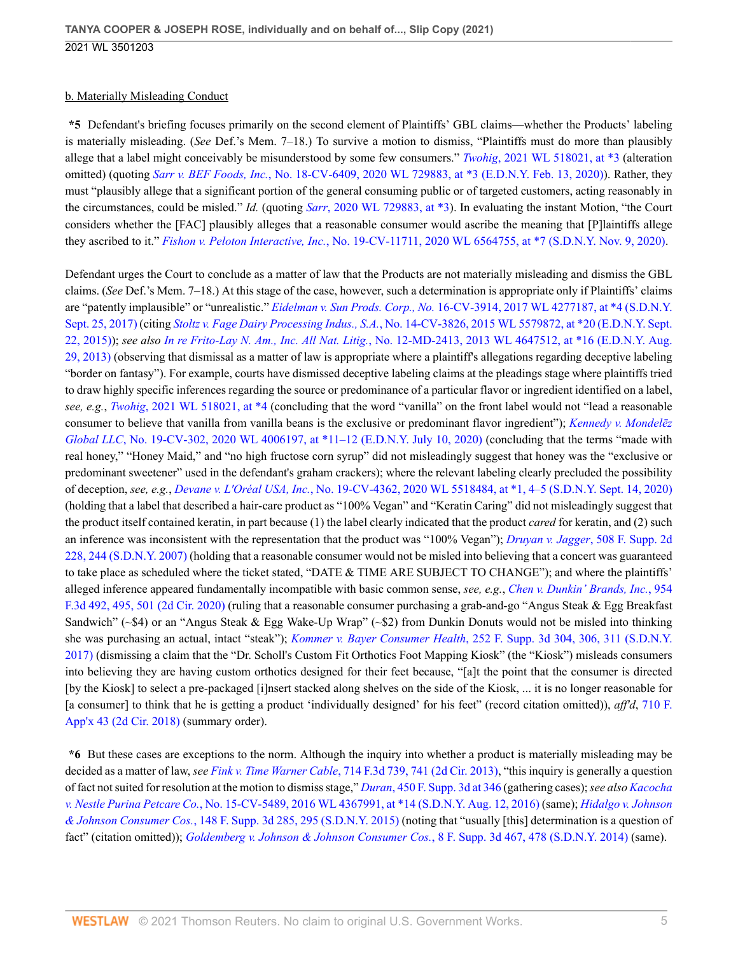# b. Materially Misleading Conduct

**\*5** Defendant's briefing focuses primarily on the second element of Plaintiffs' GBL claims—whether the Products' labeling is materially misleading. (*See* Def.'s Mem. 7–18.) To survive a motion to dismiss, "Plaintiffs must do more than plausibly allege that a label might conceivably be misunderstood by some few consumers." *Twohig*[, 2021 WL 518021, at \\*3](http://www.westlaw.com/Link/Document/FullText?findType=Y&serNum=2052959149&pubNum=0000999&originatingDoc=I50bc8ae0f9e611eb9262974acac519d1&refType=RP&originationContext=document&vr=3.0&rs=cblt1.0&transitionType=DocumentItem&contextData=(sc.UserEnteredCitation)) (alteration omitted) (quoting *Sarr v. BEF Foods, Inc.*[, No. 18-CV-6409, 2020 WL 729883, at \\*3 \(E.D.N.Y. Feb. 13, 2020\)\)](http://www.westlaw.com/Link/Document/FullText?findType=Y&serNum=2050364912&pubNum=0000999&originatingDoc=I50bc8ae0f9e611eb9262974acac519d1&refType=RP&originationContext=document&vr=3.0&rs=cblt1.0&transitionType=DocumentItem&contextData=(sc.UserEnteredCitation)). Rather, they must "plausibly allege that a significant portion of the general consuming public or of targeted customers, acting reasonably in the circumstances, could be misled." *Id.* (quoting *Sarr*[, 2020 WL 729883, at \\*3](http://www.westlaw.com/Link/Document/FullText?findType=Y&serNum=2050364912&pubNum=0000999&originatingDoc=I50bc8ae0f9e611eb9262974acac519d1&refType=RP&originationContext=document&vr=3.0&rs=cblt1.0&transitionType=DocumentItem&contextData=(sc.UserEnteredCitation))). In evaluating the instant Motion, "the Court considers whether the [FAC] plausibly alleges that a reasonable consumer would ascribe the meaning that [P]laintiffs allege they ascribed to it." *Fishon v. Peloton Interactive, Inc.*[, No. 19-CV-11711, 2020 WL 6564755, at \\*7 \(S.D.N.Y. Nov. 9, 2020\)](http://www.westlaw.com/Link/Document/FullText?findType=Y&serNum=2052330646&pubNum=0000999&originatingDoc=I50bc8ae0f9e611eb9262974acac519d1&refType=RP&originationContext=document&vr=3.0&rs=cblt1.0&transitionType=DocumentItem&contextData=(sc.UserEnteredCitation)).

Defendant urges the Court to conclude as a matter of law that the Products are not materially misleading and dismiss the GBL claims. (*See* Def.'s Mem. 7–18.) At this stage of the case, however, such a determination is appropriate only if Plaintiffs' claims are "patently implausible" or "unrealistic." *Eidelman v. Sun Prods. Corp., No.* [16-CV-3914, 2017 WL 4277187, at \\*4 \(S.D.N.Y.](http://www.westlaw.com/Link/Document/FullText?findType=Y&serNum=2042743236&pubNum=0000999&originatingDoc=I50bc8ae0f9e611eb9262974acac519d1&refType=RP&originationContext=document&vr=3.0&rs=cblt1.0&transitionType=DocumentItem&contextData=(sc.UserEnteredCitation)) [Sept. 25, 2017\)](http://www.westlaw.com/Link/Document/FullText?findType=Y&serNum=2042743236&pubNum=0000999&originatingDoc=I50bc8ae0f9e611eb9262974acac519d1&refType=RP&originationContext=document&vr=3.0&rs=cblt1.0&transitionType=DocumentItem&contextData=(sc.UserEnteredCitation)) (citing *Stoltz v. Fage Dairy Processing Indus., S.A.*[, No. 14-CV-3826, 2015 WL 5579872, at \\*20 \(E.D.N.Y. Sept.](http://www.westlaw.com/Link/Document/FullText?findType=Y&serNum=2037233227&pubNum=0000999&originatingDoc=I50bc8ae0f9e611eb9262974acac519d1&refType=RP&originationContext=document&vr=3.0&rs=cblt1.0&transitionType=DocumentItem&contextData=(sc.UserEnteredCitation)) [22, 2015\)\)](http://www.westlaw.com/Link/Document/FullText?findType=Y&serNum=2037233227&pubNum=0000999&originatingDoc=I50bc8ae0f9e611eb9262974acac519d1&refType=RP&originationContext=document&vr=3.0&rs=cblt1.0&transitionType=DocumentItem&contextData=(sc.UserEnteredCitation)); *see also In re Frito-Lay N. Am., Inc. All Nat. Litig.*[, No. 12-MD-2413, 2013 WL 4647512, at \\*16 \(E.D.N.Y. Aug.](http://www.westlaw.com/Link/Document/FullText?findType=Y&serNum=2031454760&pubNum=0000999&originatingDoc=I50bc8ae0f9e611eb9262974acac519d1&refType=RP&originationContext=document&vr=3.0&rs=cblt1.0&transitionType=DocumentItem&contextData=(sc.UserEnteredCitation)) [29, 2013\)](http://www.westlaw.com/Link/Document/FullText?findType=Y&serNum=2031454760&pubNum=0000999&originatingDoc=I50bc8ae0f9e611eb9262974acac519d1&refType=RP&originationContext=document&vr=3.0&rs=cblt1.0&transitionType=DocumentItem&contextData=(sc.UserEnteredCitation)) (observing that dismissal as a matter of law is appropriate where a plaintiff's allegations regarding deceptive labeling "border on fantasy"). For example, courts have dismissed deceptive labeling claims at the pleadings stage where plaintiffs tried to draw highly specific inferences regarding the source or predominance of a particular flavor or ingredient identified on a label, *see, e.g.*, *Twohig*[, 2021 WL 518021, at \\*4](http://www.westlaw.com/Link/Document/FullText?findType=Y&serNum=2052959149&pubNum=0000999&originatingDoc=I50bc8ae0f9e611eb9262974acac519d1&refType=RP&originationContext=document&vr=3.0&rs=cblt1.0&transitionType=DocumentItem&contextData=(sc.UserEnteredCitation)) (concluding that the word "vanilla" on the front label would not "lead a reasonable consumer to believe that vanilla from vanilla beans is the exclusive or predominant flavor ingredient"); *[Kennedy v. Mondelēz](http://www.westlaw.com/Link/Document/FullText?findType=Y&serNum=2051469766&pubNum=0000999&originatingDoc=I50bc8ae0f9e611eb9262974acac519d1&refType=RP&originationContext=document&vr=3.0&rs=cblt1.0&transitionType=DocumentItem&contextData=(sc.UserEnteredCitation)) Global LLC*[, No. 19-CV-302, 2020 WL 4006197, at \\*11–12 \(E.D.N.Y. July 10, 2020\)](http://www.westlaw.com/Link/Document/FullText?findType=Y&serNum=2051469766&pubNum=0000999&originatingDoc=I50bc8ae0f9e611eb9262974acac519d1&refType=RP&originationContext=document&vr=3.0&rs=cblt1.0&transitionType=DocumentItem&contextData=(sc.UserEnteredCitation)) (concluding that the terms "made with real honey," "Honey Maid," and "no high fructose corn syrup" did not misleadingly suggest that honey was the "exclusive or predominant sweetener" used in the defendant's graham crackers); where the relevant labeling clearly precluded the possibility of deception, *see, e.g.*, *Devane v. L'Oréal USA, Inc.*[, No. 19-CV-4362, 2020 WL 5518484, at \\*1, 4–5 \(S.D.N.Y. Sept. 14, 2020\)](http://www.westlaw.com/Link/Document/FullText?findType=Y&serNum=2051856865&pubNum=0000999&originatingDoc=I50bc8ae0f9e611eb9262974acac519d1&refType=RP&originationContext=document&vr=3.0&rs=cblt1.0&transitionType=DocumentItem&contextData=(sc.UserEnteredCitation)) (holding that a label that described a hair-care product as "100% Vegan" and "Keratin Caring" did not misleadingly suggest that the product itself contained keratin, in part because (1) the label clearly indicated that the product *cared* for keratin, and (2) such an inference was inconsistent with the representation that the product was "100% Vegan"); *[Druyan v. Jagger](http://www.westlaw.com/Link/Document/FullText?findType=Y&serNum=2013150527&pubNum=0004637&originatingDoc=I50bc8ae0f9e611eb9262974acac519d1&refType=RP&fi=co_pp_sp_4637_244&originationContext=document&vr=3.0&rs=cblt1.0&transitionType=DocumentItem&contextData=(sc.UserEnteredCitation)#co_pp_sp_4637_244)*, 508 F. Supp. 2d [228, 244 \(S.D.N.Y. 2007\)](http://www.westlaw.com/Link/Document/FullText?findType=Y&serNum=2013150527&pubNum=0004637&originatingDoc=I50bc8ae0f9e611eb9262974acac519d1&refType=RP&fi=co_pp_sp_4637_244&originationContext=document&vr=3.0&rs=cblt1.0&transitionType=DocumentItem&contextData=(sc.UserEnteredCitation)#co_pp_sp_4637_244) (holding that a reasonable consumer would not be misled into believing that a concert was guaranteed to take place as scheduled where the ticket stated, "DATE & TIME ARE SUBJECT TO CHANGE"); and where the plaintiffs' alleged inference appeared fundamentally incompatible with basic common sense, *see, e.g.*, *[Chen v. Dunkin' Brands, Inc.](http://www.westlaw.com/Link/Document/FullText?findType=Y&serNum=2050673999&pubNum=0000506&originatingDoc=I50bc8ae0f9e611eb9262974acac519d1&refType=RP&fi=co_pp_sp_506_495&originationContext=document&vr=3.0&rs=cblt1.0&transitionType=DocumentItem&contextData=(sc.UserEnteredCitation)#co_pp_sp_506_495)*, 954 [F.3d 492, 495, 501 \(2d Cir. 2020\)](http://www.westlaw.com/Link/Document/FullText?findType=Y&serNum=2050673999&pubNum=0000506&originatingDoc=I50bc8ae0f9e611eb9262974acac519d1&refType=RP&fi=co_pp_sp_506_495&originationContext=document&vr=3.0&rs=cblt1.0&transitionType=DocumentItem&contextData=(sc.UserEnteredCitation)#co_pp_sp_506_495) (ruling that a reasonable consumer purchasing a grab-and-go "Angus Steak & Egg Breakfast Sandwich" (~\$4) or an "Angus Steak & Egg Wake-Up Wrap" (~\$2) from Dunkin Donuts would not be misled into thinking she was purchasing an actual, intact "steak"); *Kommer v. Bayer Consumer Health*[, 252 F. Supp. 3d 304, 306, 311 \(S.D.N.Y.](http://www.westlaw.com/Link/Document/FullText?findType=Y&serNum=2041705913&pubNum=0007903&originatingDoc=I50bc8ae0f9e611eb9262974acac519d1&refType=RP&fi=co_pp_sp_7903_306&originationContext=document&vr=3.0&rs=cblt1.0&transitionType=DocumentItem&contextData=(sc.UserEnteredCitation)#co_pp_sp_7903_306) [2017\)](http://www.westlaw.com/Link/Document/FullText?findType=Y&serNum=2041705913&pubNum=0007903&originatingDoc=I50bc8ae0f9e611eb9262974acac519d1&refType=RP&fi=co_pp_sp_7903_306&originationContext=document&vr=3.0&rs=cblt1.0&transitionType=DocumentItem&contextData=(sc.UserEnteredCitation)#co_pp_sp_7903_306) (dismissing a claim that the "Dr. Scholl's Custom Fit Orthotics Foot Mapping Kiosk" (the "Kiosk") misleads consumers into believing they are having custom orthotics designed for their feet because, "[a]t the point that the consumer is directed [by the Kiosk] to select a pre-packaged [i]nsert stacked along shelves on the side of the Kiosk, ... it is no longer reasonable for [a consumer] to think that he is getting a product 'individually designed' for his feet" (record citation omitted)), *aff'd*, [710 F.](http://www.westlaw.com/Link/Document/FullText?findType=Y&serNum=2043709959&pubNum=0006538&originatingDoc=I50bc8ae0f9e611eb9262974acac519d1&refType=RP&originationContext=document&vr=3.0&rs=cblt1.0&transitionType=DocumentItem&contextData=(sc.UserEnteredCitation)) [App'x 43 \(2d Cir. 2018\)](http://www.westlaw.com/Link/Document/FullText?findType=Y&serNum=2043709959&pubNum=0006538&originatingDoc=I50bc8ae0f9e611eb9262974acac519d1&refType=RP&originationContext=document&vr=3.0&rs=cblt1.0&transitionType=DocumentItem&contextData=(sc.UserEnteredCitation)) (summary order).

**\*6** But these cases are exceptions to the norm. Although the inquiry into whether a product is materially misleading may be decided as a matter of law, *see Fink v. Time Warner Cable*[, 714 F.3d 739, 741 \(2d Cir. 2013\)](http://www.westlaw.com/Link/Document/FullText?findType=Y&serNum=2030470437&pubNum=0000506&originatingDoc=I50bc8ae0f9e611eb9262974acac519d1&refType=RP&fi=co_pp_sp_506_741&originationContext=document&vr=3.0&rs=cblt1.0&transitionType=DocumentItem&contextData=(sc.UserEnteredCitation)#co_pp_sp_506_741), "this inquiry is generally a question of fact not suited for resolution at the motion to dismiss stage," *Duran*[, 450 F. Supp. 3d at 346](http://www.westlaw.com/Link/Document/FullText?findType=Y&serNum=2050663328&pubNum=0007903&originatingDoc=I50bc8ae0f9e611eb9262974acac519d1&refType=RP&fi=co_pp_sp_7903_346&originationContext=document&vr=3.0&rs=cblt1.0&transitionType=DocumentItem&contextData=(sc.UserEnteredCitation)#co_pp_sp_7903_346) (gathering cases); *see also [Kacocha](http://www.westlaw.com/Link/Document/FullText?findType=Y&serNum=2039597486&pubNum=0000999&originatingDoc=I50bc8ae0f9e611eb9262974acac519d1&refType=RP&originationContext=document&vr=3.0&rs=cblt1.0&transitionType=DocumentItem&contextData=(sc.UserEnteredCitation)) v. Nestle Purina Petcare Co.*[, No. 15-CV-5489, 2016 WL 4367991, at \\*14 \(S.D.N.Y. Aug. 12, 2016\)](http://www.westlaw.com/Link/Document/FullText?findType=Y&serNum=2039597486&pubNum=0000999&originatingDoc=I50bc8ae0f9e611eb9262974acac519d1&refType=RP&originationContext=document&vr=3.0&rs=cblt1.0&transitionType=DocumentItem&contextData=(sc.UserEnteredCitation)) (same); *[Hidalgo v. Johnson](http://www.westlaw.com/Link/Document/FullText?findType=Y&serNum=2037770158&pubNum=0007903&originatingDoc=I50bc8ae0f9e611eb9262974acac519d1&refType=RP&fi=co_pp_sp_7903_295&originationContext=document&vr=3.0&rs=cblt1.0&transitionType=DocumentItem&contextData=(sc.UserEnteredCitation)#co_pp_sp_7903_295) & Johnson Consumer Cos.*[, 148 F. Supp. 3d 285, 295 \(S.D.N.Y. 2015\)](http://www.westlaw.com/Link/Document/FullText?findType=Y&serNum=2037770158&pubNum=0007903&originatingDoc=I50bc8ae0f9e611eb9262974acac519d1&refType=RP&fi=co_pp_sp_7903_295&originationContext=document&vr=3.0&rs=cblt1.0&transitionType=DocumentItem&contextData=(sc.UserEnteredCitation)#co_pp_sp_7903_295) (noting that "usually [this] determination is a question of fact" (citation omitted)); *[Goldemberg v. Johnson & Johnson Consumer Cos.](http://www.westlaw.com/Link/Document/FullText?findType=Y&serNum=2032998265&pubNum=0007903&originatingDoc=I50bc8ae0f9e611eb9262974acac519d1&refType=RP&fi=co_pp_sp_7903_478&originationContext=document&vr=3.0&rs=cblt1.0&transitionType=DocumentItem&contextData=(sc.UserEnteredCitation)#co_pp_sp_7903_478)*, 8 F. Supp. 3d 467, 478 (S.D.N.Y. 2014) (same).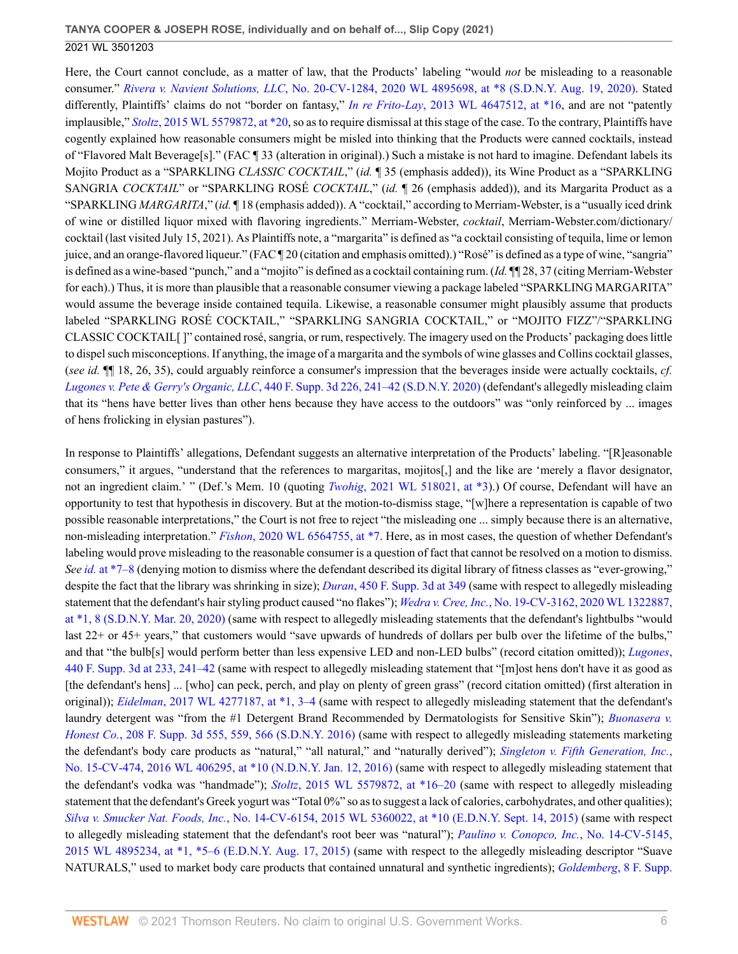Here, the Court cannot conclude, as a matter of law, that the Products' labeling "would *not* be misleading to a reasonable consumer." *Rivera v. Navient Solutions, LLC*[, No. 20-CV-1284, 2020 WL 4895698, at \\*8 \(S.D.N.Y. Aug. 19, 2020\)](http://www.westlaw.com/Link/Document/FullText?findType=Y&serNum=2051698934&pubNum=0000999&originatingDoc=I50bc8ae0f9e611eb9262974acac519d1&refType=RP&originationContext=document&vr=3.0&rs=cblt1.0&transitionType=DocumentItem&contextData=(sc.UserEnteredCitation)). Stated differently, Plaintiffs' claims do not "border on fantasy," *In re Frito-Lay*[, 2013 WL 4647512, at \\*16,](http://www.westlaw.com/Link/Document/FullText?findType=Y&serNum=2031454760&pubNum=0000999&originatingDoc=I50bc8ae0f9e611eb9262974acac519d1&refType=RP&originationContext=document&vr=3.0&rs=cblt1.0&transitionType=DocumentItem&contextData=(sc.UserEnteredCitation)) and are not "patently implausible," *Stoltz*[, 2015 WL 5579872, at \\*20,](http://www.westlaw.com/Link/Document/FullText?findType=Y&serNum=2037233227&pubNum=0000999&originatingDoc=I50bc8ae0f9e611eb9262974acac519d1&refType=RP&originationContext=document&vr=3.0&rs=cblt1.0&transitionType=DocumentItem&contextData=(sc.UserEnteredCitation)) so as to require dismissal at this stage of the case. To the contrary, Plaintiffs have cogently explained how reasonable consumers might be misled into thinking that the Products were canned cocktails, instead of "Flavored Malt Beverage[s]." (FAC ¶ 33 (alteration in original).) Such a mistake is not hard to imagine. Defendant labels its Mojito Product as a "SPARKLING *CLASSIC COCKTAIL*," (*id.* ¶ 35 (emphasis added)), its Wine Product as a "SPARKLING SANGRIA *COCKTAIL*" or "SPARKLING ROSÉ *COCKTAIL*," (*id.* ¶ 26 (emphasis added)), and its Margarita Product as a "SPARKLING *MARGARITA*," (*id.* ¶ 18 (emphasis added)). A "cocktail," according to Merriam-Webster, is a "usually iced drink of wine or distilled liquor mixed with flavoring ingredients." Merriam-Webster, *cocktail*, Merriam-Webster.com/dictionary/ cocktail (last visited July 15, 2021). As Plaintiffs note, a "margarita" is defined as "a cocktail consisting of tequila, lime or lemon juice, and an orange-flavored liqueur." (FAC ¶ 20 (citation and emphasis omitted).) "Rosé" is defined as a type of wine, "sangria" is defined as a wine-based "punch," and a "mojito" is defined as a cocktail containing rum. (*Id.* ¶¶ 28, 37 (citing Merriam-Webster for each).) Thus, it is more than plausible that a reasonable consumer viewing a package labeled "SPARKLING MARGARITA" would assume the beverage inside contained tequila. Likewise, a reasonable consumer might plausibly assume that products labeled "SPARKLING ROSÉ COCKTAIL," "SPARKLING SANGRIA COCKTAIL," or "MOJITO FIZZ"/"SPARKLING CLASSIC COCKTAIL[ ]" contained rosé, sangria, or rum, respectively. The imagery used on the Products' packaging does little to dispel such misconceptions. If anything, the image of a margarita and the symbols of wine glasses and Collins cocktail glasses, (*see id.* ¶¶ 18, 26, 35), could arguably reinforce a consumer's impression that the beverages inside were actually cocktails, *cf. Lugones v. Pete & Gerry's Organic, LLC*[, 440 F. Supp. 3d 226, 241–42 \(S.D.N.Y. 2020\)](http://www.westlaw.com/Link/Document/FullText?findType=Y&serNum=2050422351&pubNum=0007903&originatingDoc=I50bc8ae0f9e611eb9262974acac519d1&refType=RP&fi=co_pp_sp_7903_241&originationContext=document&vr=3.0&rs=cblt1.0&transitionType=DocumentItem&contextData=(sc.UserEnteredCitation)#co_pp_sp_7903_241) (defendant's allegedly misleading claim that its "hens have better lives than other hens because they have access to the outdoors" was "only reinforced by ... images of hens frolicking in elysian pastures").

In response to Plaintiffs' allegations, Defendant suggests an alternative interpretation of the Products' labeling. "[R]easonable consumers," it argues, "understand that the references to margaritas, mojitos[,] and the like are 'merely a flavor designator, not an ingredient claim.' " (Def.'s Mem. 10 (quoting *Twohig*[, 2021 WL 518021, at \\*3](http://www.westlaw.com/Link/Document/FullText?findType=Y&serNum=2052959149&pubNum=0000999&originatingDoc=I50bc8ae0f9e611eb9262974acac519d1&refType=RP&originationContext=document&vr=3.0&rs=cblt1.0&transitionType=DocumentItem&contextData=(sc.UserEnteredCitation))).) Of course, Defendant will have an opportunity to test that hypothesis in discovery. But at the motion-to-dismiss stage, "[w]here a representation is capable of two possible reasonable interpretations," the Court is not free to reject "the misleading one ... simply because there is an alternative, non-misleading interpretation." *Fishon*[, 2020 WL 6564755, at \\*7](http://www.westlaw.com/Link/Document/FullText?findType=Y&serNum=2052330646&pubNum=0000999&originatingDoc=I50bc8ae0f9e611eb9262974acac519d1&refType=RP&originationContext=document&vr=3.0&rs=cblt1.0&transitionType=DocumentItem&contextData=(sc.UserEnteredCitation)). Here, as in most cases, the question of whether Defendant's labeling would prove misleading to the reasonable consumer is a question of fact that cannot be resolved on a motion to dismiss. *See id.* [at \\*7–8](http://www.westlaw.com/Link/Document/FullText?findType=Y&serNum=2052330646&pubNum=0000999&originatingDoc=I50bc8ae0f9e611eb9262974acac519d1&refType=RP&originationContext=document&vr=3.0&rs=cblt1.0&transitionType=DocumentItem&contextData=(sc.UserEnteredCitation)) (denying motion to dismiss where the defendant described its digital library of fitness classes as "ever-growing," despite the fact that the library was shrinking in size); *Duran*[, 450 F. Supp. 3d at 349](http://www.westlaw.com/Link/Document/FullText?findType=Y&serNum=2050663328&pubNum=0007903&originatingDoc=I50bc8ae0f9e611eb9262974acac519d1&refType=RP&fi=co_pp_sp_7903_349&originationContext=document&vr=3.0&rs=cblt1.0&transitionType=DocumentItem&contextData=(sc.UserEnteredCitation)#co_pp_sp_7903_349) (same with respect to allegedly misleading statement that the defendant's hair styling product caused "no flakes"); *Wedra v. Cree, Inc.*[, No. 19-CV-3162, 2020 WL 1322887,](http://www.westlaw.com/Link/Document/FullText?findType=Y&serNum=2050614862&pubNum=0000999&originatingDoc=I50bc8ae0f9e611eb9262974acac519d1&refType=RP&originationContext=document&vr=3.0&rs=cblt1.0&transitionType=DocumentItem&contextData=(sc.UserEnteredCitation)) [at \\*1, 8 \(S.D.N.Y. Mar. 20, 2020\)](http://www.westlaw.com/Link/Document/FullText?findType=Y&serNum=2050614862&pubNum=0000999&originatingDoc=I50bc8ae0f9e611eb9262974acac519d1&refType=RP&originationContext=document&vr=3.0&rs=cblt1.0&transitionType=DocumentItem&contextData=(sc.UserEnteredCitation)) (same with respect to allegedly misleading statements that the defendant's lightbulbs "would last 22+ or 45+ years," that customers would "save upwards of hundreds of dollars per bulb over the lifetime of the bulbs," and that "the bulb[s] would perform better than less expensive LED and non-LED bulbs" (record citation omitted)); *[Lugones](http://www.westlaw.com/Link/Document/FullText?findType=Y&serNum=2050422351&pubNum=0007903&originatingDoc=I50bc8ae0f9e611eb9262974acac519d1&refType=RP&fi=co_pp_sp_7903_233&originationContext=document&vr=3.0&rs=cblt1.0&transitionType=DocumentItem&contextData=(sc.UserEnteredCitation)#co_pp_sp_7903_233)*, [440 F. Supp. 3d at 233, 241–42](http://www.westlaw.com/Link/Document/FullText?findType=Y&serNum=2050422351&pubNum=0007903&originatingDoc=I50bc8ae0f9e611eb9262974acac519d1&refType=RP&fi=co_pp_sp_7903_233&originationContext=document&vr=3.0&rs=cblt1.0&transitionType=DocumentItem&contextData=(sc.UserEnteredCitation)#co_pp_sp_7903_233) (same with respect to allegedly misleading statement that "[m]ost hens don't have it as good as [the defendant's hens] ... [who] can peck, perch, and play on plenty of green grass" (record citation omitted) (first alteration in original)); *Eidelman*[, 2017 WL 4277187, at \\*1, 3–4](http://www.westlaw.com/Link/Document/FullText?findType=Y&serNum=2042743236&pubNum=0000999&originatingDoc=I50bc8ae0f9e611eb9262974acac519d1&refType=RP&originationContext=document&vr=3.0&rs=cblt1.0&transitionType=DocumentItem&contextData=(sc.UserEnteredCitation)) (same with respect to allegedly misleading statement that the defendant's laundry detergent was "from the #1 Detergent Brand Recommended by Dermatologists for Sensitive Skin"); *[Buonasera v.](http://www.westlaw.com/Link/Document/FullText?findType=Y&serNum=2039916009&pubNum=0007903&originatingDoc=I50bc8ae0f9e611eb9262974acac519d1&refType=RP&fi=co_pp_sp_7903_559&originationContext=document&vr=3.0&rs=cblt1.0&transitionType=DocumentItem&contextData=(sc.UserEnteredCitation)#co_pp_sp_7903_559) Honest Co.*[, 208 F. Supp. 3d 555, 559, 566 \(S.D.N.Y. 2016\)](http://www.westlaw.com/Link/Document/FullText?findType=Y&serNum=2039916009&pubNum=0007903&originatingDoc=I50bc8ae0f9e611eb9262974acac519d1&refType=RP&fi=co_pp_sp_7903_559&originationContext=document&vr=3.0&rs=cblt1.0&transitionType=DocumentItem&contextData=(sc.UserEnteredCitation)#co_pp_sp_7903_559) (same with respect to allegedly misleading statements marketing the defendant's body care products as "natural," "all natural," and "naturally derived"); *[Singleton v. Fifth Generation, Inc.](http://www.westlaw.com/Link/Document/FullText?findType=Y&serNum=2038219191&pubNum=0000999&originatingDoc=I50bc8ae0f9e611eb9262974acac519d1&refType=RP&originationContext=document&vr=3.0&rs=cblt1.0&transitionType=DocumentItem&contextData=(sc.UserEnteredCitation))*, [No. 15-CV-474, 2016 WL 406295, at \\*10 \(N.D.N.Y. Jan. 12, 2016\)](http://www.westlaw.com/Link/Document/FullText?findType=Y&serNum=2038219191&pubNum=0000999&originatingDoc=I50bc8ae0f9e611eb9262974acac519d1&refType=RP&originationContext=document&vr=3.0&rs=cblt1.0&transitionType=DocumentItem&contextData=(sc.UserEnteredCitation)) (same with respect to allegedly misleading statement that the defendant's vodka was "handmade"); *Stoltz*[, 2015 WL 5579872, at \\*16–20](http://www.westlaw.com/Link/Document/FullText?findType=Y&serNum=2037233227&pubNum=0000999&originatingDoc=I50bc8ae0f9e611eb9262974acac519d1&refType=RP&originationContext=document&vr=3.0&rs=cblt1.0&transitionType=DocumentItem&contextData=(sc.UserEnteredCitation)) (same with respect to allegedly misleading statement that the defendant's Greek yogurt was "Total 0%" so as to suggest a lack of calories, carbohydrates, and other qualities); *Silva v. Smucker Nat. Foods, Inc.*[, No. 14-CV-6154, 2015 WL 5360022, at \\*10 \(E.D.N.Y. Sept. 14, 2015\)](http://www.westlaw.com/Link/Document/FullText?findType=Y&serNum=2037169696&pubNum=0000999&originatingDoc=I50bc8ae0f9e611eb9262974acac519d1&refType=RP&originationContext=document&vr=3.0&rs=cblt1.0&transitionType=DocumentItem&contextData=(sc.UserEnteredCitation)) (same with respect to allegedly misleading statement that the defendant's root beer was "natural"); *[Paulino v. Conopco, Inc.](http://www.westlaw.com/Link/Document/FullText?findType=Y&serNum=2036894751&pubNum=0000999&originatingDoc=I50bc8ae0f9e611eb9262974acac519d1&refType=RP&originationContext=document&vr=3.0&rs=cblt1.0&transitionType=DocumentItem&contextData=(sc.UserEnteredCitation))*, No. 14-CV-5145, [2015 WL 4895234, at \\*1, \\*5–6 \(E.D.N.Y. Aug. 17, 2015\)](http://www.westlaw.com/Link/Document/FullText?findType=Y&serNum=2036894751&pubNum=0000999&originatingDoc=I50bc8ae0f9e611eb9262974acac519d1&refType=RP&originationContext=document&vr=3.0&rs=cblt1.0&transitionType=DocumentItem&contextData=(sc.UserEnteredCitation)) (same with respect to the allegedly misleading descriptor "Suave NATURALS," used to market body care products that contained unnatural and synthetic ingredients); *[Goldemberg](http://www.westlaw.com/Link/Document/FullText?findType=Y&serNum=2032998265&pubNum=0007903&originatingDoc=I50bc8ae0f9e611eb9262974acac519d1&refType=RP&fi=co_pp_sp_7903_478&originationContext=document&vr=3.0&rs=cblt1.0&transitionType=DocumentItem&contextData=(sc.UserEnteredCitation)#co_pp_sp_7903_478)*, 8 F. Supp.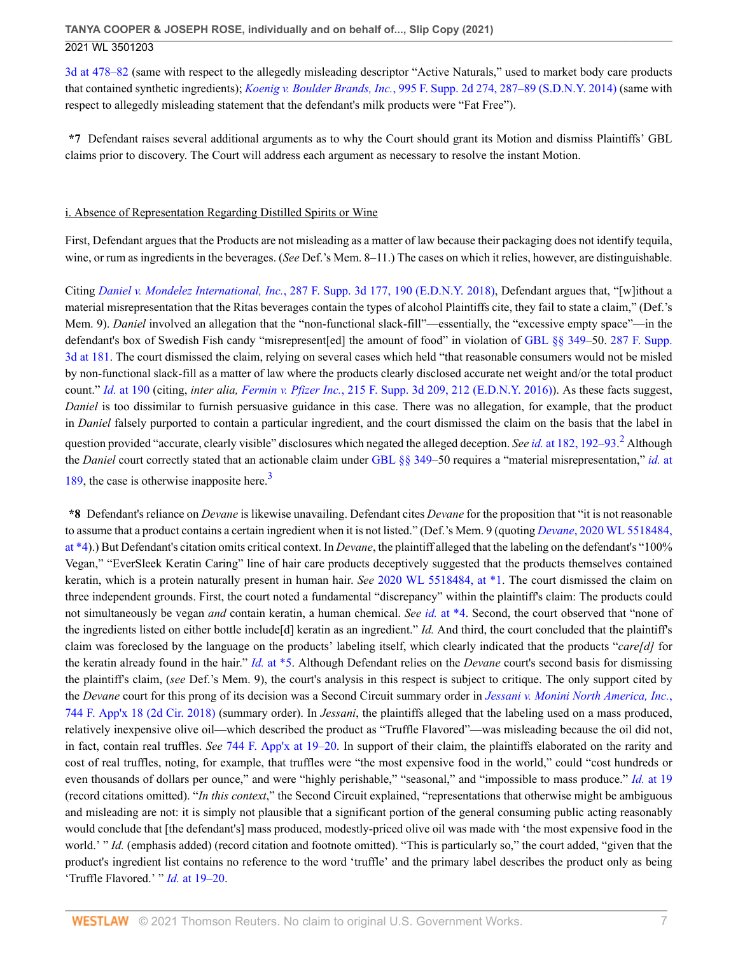[3d at 478–82](http://www.westlaw.com/Link/Document/FullText?findType=Y&serNum=2032998265&pubNum=0007903&originatingDoc=I50bc8ae0f9e611eb9262974acac519d1&refType=RP&fi=co_pp_sp_7903_478&originationContext=document&vr=3.0&rs=cblt1.0&transitionType=DocumentItem&contextData=(sc.UserEnteredCitation)#co_pp_sp_7903_478) (same with respect to the allegedly misleading descriptor "Active Naturals," used to market body care products that contained synthetic ingredients); *Koenig v. Boulder Brands, Inc.*[, 995 F. Supp. 2d 274, 287–89 \(S.D.N.Y. 2014\)](http://www.westlaw.com/Link/Document/FullText?findType=Y&serNum=2032644555&pubNum=0004637&originatingDoc=I50bc8ae0f9e611eb9262974acac519d1&refType=RP&fi=co_pp_sp_4637_287&originationContext=document&vr=3.0&rs=cblt1.0&transitionType=DocumentItem&contextData=(sc.UserEnteredCitation)#co_pp_sp_4637_287) (same with respect to allegedly misleading statement that the defendant's milk products were "Fat Free").

**\*7** Defendant raises several additional arguments as to why the Court should grant its Motion and dismiss Plaintiffs' GBL claims prior to discovery. The Court will address each argument as necessary to resolve the instant Motion.

# i. Absence of Representation Regarding Distilled Spirits or Wine

First, Defendant argues that the Products are not misleading as a matter of law because their packaging does not identify tequila, wine, or rum as ingredients in the beverages. (*See* Def.'s Mem. 8–11.) The cases on which it relies, however, are distinguishable.

Citing *Daniel v. Mondelez International, Inc.*[, 287 F. Supp. 3d 177, 190 \(E.D.N.Y. 2018\),](http://www.westlaw.com/Link/Document/FullText?findType=Y&serNum=2043906822&pubNum=0007903&originatingDoc=I50bc8ae0f9e611eb9262974acac519d1&refType=RP&fi=co_pp_sp_7903_190&originationContext=document&vr=3.0&rs=cblt1.0&transitionType=DocumentItem&contextData=(sc.UserEnteredCitation)#co_pp_sp_7903_190) Defendant argues that, "[w]ithout a material misrepresentation that the Ritas beverages contain the types of alcohol Plaintiffs cite, they fail to state a claim," (Def.'s Mem. 9). *Daniel* involved an allegation that the "non-functional slack-fill"—essentially, the "excessive empty space"—in the defendant's box of Swedish Fish candy "misrepresent[ed] the amount of food" in violation of [GBL §§ 349](http://www.westlaw.com/Link/Document/FullText?findType=L&pubNum=1000081&cite=NYGBS349&originatingDoc=I50bc8ae0f9e611eb9262974acac519d1&refType=LQ&originationContext=document&vr=3.0&rs=cblt1.0&transitionType=DocumentItem&contextData=(sc.UserEnteredCitation))–50. [287 F. Supp.](http://www.westlaw.com/Link/Document/FullText?findType=Y&serNum=2043906822&pubNum=0007903&originatingDoc=I50bc8ae0f9e611eb9262974acac519d1&refType=RP&fi=co_pp_sp_7903_181&originationContext=document&vr=3.0&rs=cblt1.0&transitionType=DocumentItem&contextData=(sc.UserEnteredCitation)#co_pp_sp_7903_181) [3d at 181](http://www.westlaw.com/Link/Document/FullText?findType=Y&serNum=2043906822&pubNum=0007903&originatingDoc=I50bc8ae0f9e611eb9262974acac519d1&refType=RP&fi=co_pp_sp_7903_181&originationContext=document&vr=3.0&rs=cblt1.0&transitionType=DocumentItem&contextData=(sc.UserEnteredCitation)#co_pp_sp_7903_181). The court dismissed the claim, relying on several cases which held "that reasonable consumers would not be misled by non-functional slack-fill as a matter of law where the products clearly disclosed accurate net weight and/or the total product count." *Id.* [at 190](http://www.westlaw.com/Link/Document/FullText?findType=Y&serNum=2043906822&pubNum=0007903&originatingDoc=I50bc8ae0f9e611eb9262974acac519d1&refType=RP&fi=co_pp_sp_7903_190&originationContext=document&vr=3.0&rs=cblt1.0&transitionType=DocumentItem&contextData=(sc.UserEnteredCitation)#co_pp_sp_7903_190) (citing, *inter alia, Fermin v. Pfizer Inc.*[, 215 F. Supp. 3d 209, 212 \(E.D.N.Y. 2016\)](http://www.westlaw.com/Link/Document/FullText?findType=Y&serNum=2040160038&pubNum=0007903&originatingDoc=I50bc8ae0f9e611eb9262974acac519d1&refType=RP&fi=co_pp_sp_7903_212&originationContext=document&vr=3.0&rs=cblt1.0&transitionType=DocumentItem&contextData=(sc.UserEnteredCitation)#co_pp_sp_7903_212)). As these facts suggest, *Daniel* is too dissimilar to furnish persuasive guidance in this case. There was no allegation, for example, that the product in *Daniel* falsely purported to contain a particular ingredient, and the court dismissed the claim on the basis that the label in question provided "accurate, clearly visible" disclosures which negated the alleged deception. *See id.* [at 182, 192–93.](http://www.westlaw.com/Link/Document/FullText?findType=Y&serNum=2043906822&pubNum=0007903&originatingDoc=I50bc8ae0f9e611eb9262974acac519d1&refType=RP&fi=co_pp_sp_7903_182&originationContext=document&vr=3.0&rs=cblt1.0&transitionType=DocumentItem&contextData=(sc.UserEnteredCitation)#co_pp_sp_7903_182)<sup>[2](#page-19-1)</sup> Although the *Daniel* court correctly stated that an actionable claim under [GBL §§ 349–](http://www.westlaw.com/Link/Document/FullText?findType=L&pubNum=1000081&cite=NYGBS349&originatingDoc=I50bc8ae0f9e611eb9262974acac519d1&refType=LQ&originationContext=document&vr=3.0&rs=cblt1.0&transitionType=DocumentItem&contextData=(sc.UserEnteredCitation))50 requires a "material misrepresentation," *[id.](http://www.westlaw.com/Link/Document/FullText?findType=Y&serNum=2043906822&pubNum=0007903&originatingDoc=I50bc8ae0f9e611eb9262974acac519d1&refType=RP&fi=co_pp_sp_7903_189&originationContext=document&vr=3.0&rs=cblt1.0&transitionType=DocumentItem&contextData=(sc.UserEnteredCitation)#co_pp_sp_7903_189)* at [189](http://www.westlaw.com/Link/Document/FullText?findType=Y&serNum=2043906822&pubNum=0007903&originatingDoc=I50bc8ae0f9e611eb9262974acac519d1&refType=RP&fi=co_pp_sp_7903_189&originationContext=document&vr=3.0&rs=cblt1.0&transitionType=DocumentItem&contextData=(sc.UserEnteredCitation)#co_pp_sp_7903_189), the case is otherwise inapposite here.<sup>[3](#page-19-2)</sup>

<span id="page-6-1"></span><span id="page-6-0"></span>**\*8** Defendant's reliance on *Devane* is likewise unavailing. Defendant cites *Devane* for the proposition that "it is not reasonable to assume that a product contains a certain ingredient when it is not listed." (Def.'s Mem. 9 (quoting *Devane*[, 2020 WL 5518484,](http://www.westlaw.com/Link/Document/FullText?findType=Y&serNum=2051856865&pubNum=0000999&originatingDoc=I50bc8ae0f9e611eb9262974acac519d1&refType=RP&originationContext=document&vr=3.0&rs=cblt1.0&transitionType=DocumentItem&contextData=(sc.UserEnteredCitation)) [at \\*4](http://www.westlaw.com/Link/Document/FullText?findType=Y&serNum=2051856865&pubNum=0000999&originatingDoc=I50bc8ae0f9e611eb9262974acac519d1&refType=RP&originationContext=document&vr=3.0&rs=cblt1.0&transitionType=DocumentItem&contextData=(sc.UserEnteredCitation))).) But Defendant's citation omits critical context. In *Devane*, the plaintiff alleged that the labeling on the defendant's "100% Vegan," "EverSleek Keratin Caring" line of hair care products deceptively suggested that the products themselves contained keratin, which is a protein naturally present in human hair. *See* [2020 WL 5518484, at \\*1.](http://www.westlaw.com/Link/Document/FullText?findType=Y&serNum=2051856865&pubNum=0000999&originatingDoc=I50bc8ae0f9e611eb9262974acac519d1&refType=RP&originationContext=document&vr=3.0&rs=cblt1.0&transitionType=DocumentItem&contextData=(sc.UserEnteredCitation)) The court dismissed the claim on three independent grounds. First, the court noted a fundamental "discrepancy" within the plaintiff's claim: The products could not simultaneously be vegan *and* contain keratin, a human chemical. *See id.* [at \\*4](http://www.westlaw.com/Link/Document/FullText?findType=Y&serNum=2051856865&pubNum=0000999&originatingDoc=I50bc8ae0f9e611eb9262974acac519d1&refType=RP&originationContext=document&vr=3.0&rs=cblt1.0&transitionType=DocumentItem&contextData=(sc.UserEnteredCitation)). Second, the court observed that "none of the ingredients listed on either bottle include[d] keratin as an ingredient." *Id.* And third, the court concluded that the plaintiff's claim was foreclosed by the language on the products' labeling itself, which clearly indicated that the products "*care[d]* for the keratin already found in the hair." *Id.* [at \\*5](http://www.westlaw.com/Link/Document/FullText?findType=Y&serNum=2051856865&pubNum=0000999&originatingDoc=I50bc8ae0f9e611eb9262974acac519d1&refType=RP&originationContext=document&vr=3.0&rs=cblt1.0&transitionType=DocumentItem&contextData=(sc.UserEnteredCitation)). Although Defendant relies on the *Devane* court's second basis for dismissing the plaintiff's claim, (*see* Def.'s Mem. 9), the court's analysis in this respect is subject to critique. The only support cited by the *Devane* court for this prong of its decision was a Second Circuit summary order in *[Jessani v. Monini North America, Inc.](http://www.westlaw.com/Link/Document/FullText?findType=Y&serNum=2046153031&pubNum=0006538&originatingDoc=I50bc8ae0f9e611eb9262974acac519d1&refType=RP&originationContext=document&vr=3.0&rs=cblt1.0&transitionType=DocumentItem&contextData=(sc.UserEnteredCitation))*, [744 F. App'x 18 \(2d Cir. 2018\)](http://www.westlaw.com/Link/Document/FullText?findType=Y&serNum=2046153031&pubNum=0006538&originatingDoc=I50bc8ae0f9e611eb9262974acac519d1&refType=RP&originationContext=document&vr=3.0&rs=cblt1.0&transitionType=DocumentItem&contextData=(sc.UserEnteredCitation)) (summary order). In *Jessani*, the plaintiffs alleged that the labeling used on a mass produced, relatively inexpensive olive oil—which described the product as "Truffle Flavored"—was misleading because the oil did not, in fact, contain real truffles. *See* [744 F. App'x at 19–20](http://www.westlaw.com/Link/Document/FullText?findType=Y&serNum=2046153031&pubNum=0006538&originatingDoc=I50bc8ae0f9e611eb9262974acac519d1&refType=RP&fi=co_pp_sp_6538_19&originationContext=document&vr=3.0&rs=cblt1.0&transitionType=DocumentItem&contextData=(sc.UserEnteredCitation)#co_pp_sp_6538_19). In support of their claim, the plaintiffs elaborated on the rarity and cost of real truffles, noting, for example, that truffles were "the most expensive food in the world," could "cost hundreds or even thousands of dollars per ounce," and were "highly perishable," "seasonal," and "impossible to mass produce." *Id.* [at 19](http://www.westlaw.com/Link/Document/FullText?findType=Y&serNum=2046153031&pubNum=0006538&originatingDoc=I50bc8ae0f9e611eb9262974acac519d1&refType=RP&fi=co_pp_sp_6538_19&originationContext=document&vr=3.0&rs=cblt1.0&transitionType=DocumentItem&contextData=(sc.UserEnteredCitation)#co_pp_sp_6538_19) (record citations omitted). "*In this context*," the Second Circuit explained, "representations that otherwise might be ambiguous and misleading are not: it is simply not plausible that a significant portion of the general consuming public acting reasonably would conclude that [the defendant's] mass produced, modestly-priced olive oil was made with 'the most expensive food in the world.' " *Id.* (emphasis added) (record citation and footnote omitted). "This is particularly so," the court added, "given that the product's ingredient list contains no reference to the word 'truffle' and the primary label describes the product only as being 'Truffle Flavored.' " *Id.* [at 19–20](http://www.westlaw.com/Link/Document/FullText?findType=Y&serNum=2046153031&pubNum=0006538&originatingDoc=I50bc8ae0f9e611eb9262974acac519d1&refType=RP&fi=co_pp_sp_6538_19&originationContext=document&vr=3.0&rs=cblt1.0&transitionType=DocumentItem&contextData=(sc.UserEnteredCitation)#co_pp_sp_6538_19).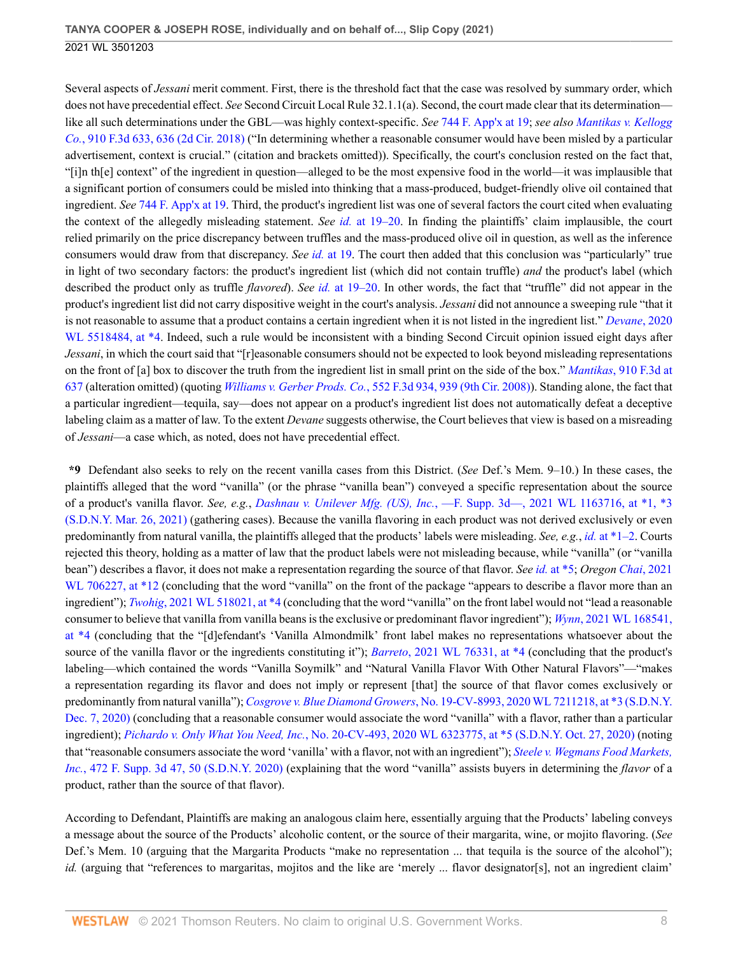Several aspects of *Jessani* merit comment. First, there is the threshold fact that the case was resolved by summary order, which does not have precedential effect. *See* Second Circuit Local Rule 32.1.1(a). Second, the court made clear that its determination like all such determinations under the GBL—was highly context-specific. *See* [744 F. App'x at 19](http://www.westlaw.com/Link/Document/FullText?findType=Y&serNum=2046153031&pubNum=0006538&originatingDoc=I50bc8ae0f9e611eb9262974acac519d1&refType=RP&fi=co_pp_sp_6538_19&originationContext=document&vr=3.0&rs=cblt1.0&transitionType=DocumentItem&contextData=(sc.UserEnteredCitation)#co_pp_sp_6538_19); *see also [Mantikas v. Kellogg](http://www.westlaw.com/Link/Document/FullText?findType=Y&serNum=2047062960&pubNum=0000506&originatingDoc=I50bc8ae0f9e611eb9262974acac519d1&refType=RP&fi=co_pp_sp_506_636&originationContext=document&vr=3.0&rs=cblt1.0&transitionType=DocumentItem&contextData=(sc.UserEnteredCitation)#co_pp_sp_506_636) Co.*[, 910 F.3d 633, 636 \(2d Cir. 2018\)](http://www.westlaw.com/Link/Document/FullText?findType=Y&serNum=2047062960&pubNum=0000506&originatingDoc=I50bc8ae0f9e611eb9262974acac519d1&refType=RP&fi=co_pp_sp_506_636&originationContext=document&vr=3.0&rs=cblt1.0&transitionType=DocumentItem&contextData=(sc.UserEnteredCitation)#co_pp_sp_506_636) ("In determining whether a reasonable consumer would have been misled by a particular advertisement, context is crucial." (citation and brackets omitted)). Specifically, the court's conclusion rested on the fact that, "[i]n th[e] context" of the ingredient in question—alleged to be the most expensive food in the world—it was implausible that a significant portion of consumers could be misled into thinking that a mass-produced, budget-friendly olive oil contained that ingredient. *See* [744 F. App'x at 19.](http://www.westlaw.com/Link/Document/FullText?findType=Y&serNum=2046153031&pubNum=0006538&originatingDoc=I50bc8ae0f9e611eb9262974acac519d1&refType=RP&fi=co_pp_sp_6538_19&originationContext=document&vr=3.0&rs=cblt1.0&transitionType=DocumentItem&contextData=(sc.UserEnteredCitation)#co_pp_sp_6538_19) Third, the product's ingredient list was one of several factors the court cited when evaluating the context of the allegedly misleading statement. *See id.* [at 19–20](http://www.westlaw.com/Link/Document/FullText?findType=Y&serNum=2046153031&pubNum=0006538&originatingDoc=I50bc8ae0f9e611eb9262974acac519d1&refType=RP&fi=co_pp_sp_6538_19&originationContext=document&vr=3.0&rs=cblt1.0&transitionType=DocumentItem&contextData=(sc.UserEnteredCitation)#co_pp_sp_6538_19). In finding the plaintiffs' claim implausible, the court relied primarily on the price discrepancy between truffles and the mass-produced olive oil in question, as well as the inference consumers would draw from that discrepancy. *See id.* [at 19.](http://www.westlaw.com/Link/Document/FullText?findType=Y&serNum=2046153031&pubNum=0006538&originatingDoc=I50bc8ae0f9e611eb9262974acac519d1&refType=RP&fi=co_pp_sp_6538_19&originationContext=document&vr=3.0&rs=cblt1.0&transitionType=DocumentItem&contextData=(sc.UserEnteredCitation)#co_pp_sp_6538_19) The court then added that this conclusion was "particularly" true in light of two secondary factors: the product's ingredient list (which did not contain truffle) *and* the product's label (which described the product only as truffle *flavored*). *See id.* [at 19–20](http://www.westlaw.com/Link/Document/FullText?findType=Y&serNum=2046153031&pubNum=0006538&originatingDoc=I50bc8ae0f9e611eb9262974acac519d1&refType=RP&fi=co_pp_sp_6538_19&originationContext=document&vr=3.0&rs=cblt1.0&transitionType=DocumentItem&contextData=(sc.UserEnteredCitation)#co_pp_sp_6538_19). In other words, the fact that "truffle" did not appear in the product's ingredient list did not carry dispositive weight in the court's analysis. *Jessani* did not announce a sweeping rule "that it is not reasonable to assume that a product contains a certain ingredient when it is not listed in the ingredient list." *[Devane](http://www.westlaw.com/Link/Document/FullText?findType=Y&serNum=2051856865&pubNum=0000999&originatingDoc=I50bc8ae0f9e611eb9262974acac519d1&refType=RP&originationContext=document&vr=3.0&rs=cblt1.0&transitionType=DocumentItem&contextData=(sc.UserEnteredCitation))*, 2020 [WL 5518484, at \\*4](http://www.westlaw.com/Link/Document/FullText?findType=Y&serNum=2051856865&pubNum=0000999&originatingDoc=I50bc8ae0f9e611eb9262974acac519d1&refType=RP&originationContext=document&vr=3.0&rs=cblt1.0&transitionType=DocumentItem&contextData=(sc.UserEnteredCitation)). Indeed, such a rule would be inconsistent with a binding Second Circuit opinion issued eight days after *Jessani*, in which the court said that "[r]easonable consumers should not be expected to look beyond misleading representations on the front of [a] box to discover the truth from the ingredient list in small print on the side of the box." *Mantikas*[, 910 F.3d at](http://www.westlaw.com/Link/Document/FullText?findType=Y&serNum=2047062960&pubNum=0000506&originatingDoc=I50bc8ae0f9e611eb9262974acac519d1&refType=RP&fi=co_pp_sp_506_637&originationContext=document&vr=3.0&rs=cblt1.0&transitionType=DocumentItem&contextData=(sc.UserEnteredCitation)#co_pp_sp_506_637) [637](http://www.westlaw.com/Link/Document/FullText?findType=Y&serNum=2047062960&pubNum=0000506&originatingDoc=I50bc8ae0f9e611eb9262974acac519d1&refType=RP&fi=co_pp_sp_506_637&originationContext=document&vr=3.0&rs=cblt1.0&transitionType=DocumentItem&contextData=(sc.UserEnteredCitation)#co_pp_sp_506_637) (alteration omitted) (quoting *Williams v. Gerber Prods. Co.*[, 552 F.3d 934, 939 \(9th Cir. 2008\)](http://www.westlaw.com/Link/Document/FullText?findType=Y&serNum=2017694688&pubNum=0000506&originatingDoc=I50bc8ae0f9e611eb9262974acac519d1&refType=RP&fi=co_pp_sp_506_939&originationContext=document&vr=3.0&rs=cblt1.0&transitionType=DocumentItem&contextData=(sc.UserEnteredCitation)#co_pp_sp_506_939)). Standing alone, the fact that a particular ingredient—tequila, say—does not appear on a product's ingredient list does not automatically defeat a deceptive labeling claim as a matter of law. To the extent *Devane* suggests otherwise, the Court believes that view is based on a misreading of *Jessani*—a case which, as noted, does not have precedential effect.

**\*9** Defendant also seeks to rely on the recent vanilla cases from this District. (*See* Def.'s Mem. 9–10.) In these cases, the plaintiffs alleged that the word "vanilla" (or the phrase "vanilla bean") conveyed a specific representation about the source of a product's vanilla flavor. *See, e.g.*, *Dashnau v. Unilever Mfg. (US), Inc.*[, —F. Supp. 3d—, 2021 WL 1163716, at \\*1, \\*3](http://www.westlaw.com/Link/Document/FullText?findType=Y&serNum=2053334531&pubNum=0000999&originatingDoc=I50bc8ae0f9e611eb9262974acac519d1&refType=RP&originationContext=document&vr=3.0&rs=cblt1.0&transitionType=DocumentItem&contextData=(sc.UserEnteredCitation)) [\(S.D.N.Y. Mar. 26, 2021\)](http://www.westlaw.com/Link/Document/FullText?findType=Y&serNum=2053334531&pubNum=0000999&originatingDoc=I50bc8ae0f9e611eb9262974acac519d1&refType=RP&originationContext=document&vr=3.0&rs=cblt1.0&transitionType=DocumentItem&contextData=(sc.UserEnteredCitation)) (gathering cases). Because the vanilla flavoring in each product was not derived exclusively or even predominantly from natural vanilla, the plaintiffs alleged that the products' labels were misleading. *See, e.g.*, *id.* [at \\*1–2.](http://www.westlaw.com/Link/Document/FullText?findType=Y&serNum=2053334531&pubNum=0000999&originatingDoc=I50bc8ae0f9e611eb9262974acac519d1&refType=RP&originationContext=document&vr=3.0&rs=cblt1.0&transitionType=DocumentItem&contextData=(sc.UserEnteredCitation)) Courts rejected this theory, holding as a matter of law that the product labels were not misleading because, while "vanilla" (or "vanilla bean") describes a flavor, it does not make a representation regarding the source of that flavor. *See id.* [at \\*5](http://www.westlaw.com/Link/Document/FullText?findType=Y&serNum=2053334531&pubNum=0000999&originatingDoc=I50bc8ae0f9e611eb9262974acac519d1&refType=RP&originationContext=document&vr=3.0&rs=cblt1.0&transitionType=DocumentItem&contextData=(sc.UserEnteredCitation)); *Oregon Chai*[, 2021](http://www.westlaw.com/Link/Document/FullText?findType=Y&serNum=2053092877&pubNum=0000999&originatingDoc=I50bc8ae0f9e611eb9262974acac519d1&refType=RP&originationContext=document&vr=3.0&rs=cblt1.0&transitionType=DocumentItem&contextData=(sc.UserEnteredCitation)) [WL 706227, at \\*12](http://www.westlaw.com/Link/Document/FullText?findType=Y&serNum=2053092877&pubNum=0000999&originatingDoc=I50bc8ae0f9e611eb9262974acac519d1&refType=RP&originationContext=document&vr=3.0&rs=cblt1.0&transitionType=DocumentItem&contextData=(sc.UserEnteredCitation)) (concluding that the word "vanilla" on the front of the package "appears to describe a flavor more than an ingredient"); *Twohig*[, 2021 WL 518021, at \\*4](http://www.westlaw.com/Link/Document/FullText?findType=Y&serNum=2052959149&pubNum=0000999&originatingDoc=I50bc8ae0f9e611eb9262974acac519d1&refType=RP&originationContext=document&vr=3.0&rs=cblt1.0&transitionType=DocumentItem&contextData=(sc.UserEnteredCitation)) (concluding that the word "vanilla" on the front label would not "lead a reasonable consumer to believe that vanilla from vanilla beans is the exclusive or predominant flavor ingredient"); *Wynn*[, 2021 WL 168541,](http://www.westlaw.com/Link/Document/FullText?findType=Y&serNum=2052791643&pubNum=0000999&originatingDoc=I50bc8ae0f9e611eb9262974acac519d1&refType=RP&originationContext=document&vr=3.0&rs=cblt1.0&transitionType=DocumentItem&contextData=(sc.UserEnteredCitation)) [at \\*4](http://www.westlaw.com/Link/Document/FullText?findType=Y&serNum=2052791643&pubNum=0000999&originatingDoc=I50bc8ae0f9e611eb9262974acac519d1&refType=RP&originationContext=document&vr=3.0&rs=cblt1.0&transitionType=DocumentItem&contextData=(sc.UserEnteredCitation)) (concluding that the "[d]efendant's 'Vanilla Almondmilk' front label makes no representations whatsoever about the source of the vanilla flavor or the ingredients constituting it"); *Barreto*[, 2021 WL 76331, at \\*4](http://www.westlaw.com/Link/Document/FullText?findType=Y&serNum=2052739326&pubNum=0000999&originatingDoc=I50bc8ae0f9e611eb9262974acac519d1&refType=RP&originationContext=document&vr=3.0&rs=cblt1.0&transitionType=DocumentItem&contextData=(sc.UserEnteredCitation)) (concluding that the product's labeling—which contained the words "Vanilla Soymilk" and "Natural Vanilla Flavor With Other Natural Flavors"—"makes a representation regarding its flavor and does not imply or represent [that] the source of that flavor comes exclusively or predominantly from natural vanilla"); *Cosgrove v. Blue Diamond Growers*[, No. 19-CV-8993, 2020 WL 7211218, at \\*3 \(S.D.N.Y.](http://www.westlaw.com/Link/Document/FullText?findType=Y&serNum=2052529064&pubNum=0000999&originatingDoc=I50bc8ae0f9e611eb9262974acac519d1&refType=RP&originationContext=document&vr=3.0&rs=cblt1.0&transitionType=DocumentItem&contextData=(sc.UserEnteredCitation)) [Dec. 7, 2020\)](http://www.westlaw.com/Link/Document/FullText?findType=Y&serNum=2052529064&pubNum=0000999&originatingDoc=I50bc8ae0f9e611eb9262974acac519d1&refType=RP&originationContext=document&vr=3.0&rs=cblt1.0&transitionType=DocumentItem&contextData=(sc.UserEnteredCitation)) (concluding that a reasonable consumer would associate the word "vanilla" with a flavor, rather than a particular ingredient); *Pichardo v. Only What You Need, Inc.*[, No. 20-CV-493, 2020 WL 6323775, at \\*5 \(S.D.N.Y. Oct. 27, 2020\)](http://www.westlaw.com/Link/Document/FullText?findType=Y&serNum=2052252985&pubNum=0000999&originatingDoc=I50bc8ae0f9e611eb9262974acac519d1&refType=RP&originationContext=document&vr=3.0&rs=cblt1.0&transitionType=DocumentItem&contextData=(sc.UserEnteredCitation)) (noting that "reasonable consumers associate the word 'vanilla' with a flavor, not with an ingredient"); *[Steele v. Wegmans Food Markets,](http://www.westlaw.com/Link/Document/FullText?findType=Y&serNum=2051457496&pubNum=0007903&originatingDoc=I50bc8ae0f9e611eb9262974acac519d1&refType=RP&fi=co_pp_sp_7903_50&originationContext=document&vr=3.0&rs=cblt1.0&transitionType=DocumentItem&contextData=(sc.UserEnteredCitation)#co_pp_sp_7903_50) Inc.*[, 472 F. Supp. 3d 47, 50 \(S.D.N.Y. 2020\)](http://www.westlaw.com/Link/Document/FullText?findType=Y&serNum=2051457496&pubNum=0007903&originatingDoc=I50bc8ae0f9e611eb9262974acac519d1&refType=RP&fi=co_pp_sp_7903_50&originationContext=document&vr=3.0&rs=cblt1.0&transitionType=DocumentItem&contextData=(sc.UserEnteredCitation)#co_pp_sp_7903_50) (explaining that the word "vanilla" assists buyers in determining the *flavor* of a product, rather than the source of that flavor).

According to Defendant, Plaintiffs are making an analogous claim here, essentially arguing that the Products' labeling conveys a message about the source of the Products' alcoholic content, or the source of their margarita, wine, or mojito flavoring. (*See* Def.'s Mem. 10 (arguing that the Margarita Products "make no representation ... that tequila is the source of the alcohol"); *id.* (arguing that "references to margaritas, mojitos and the like are 'merely ... flavor designator[s], not an ingredient claim'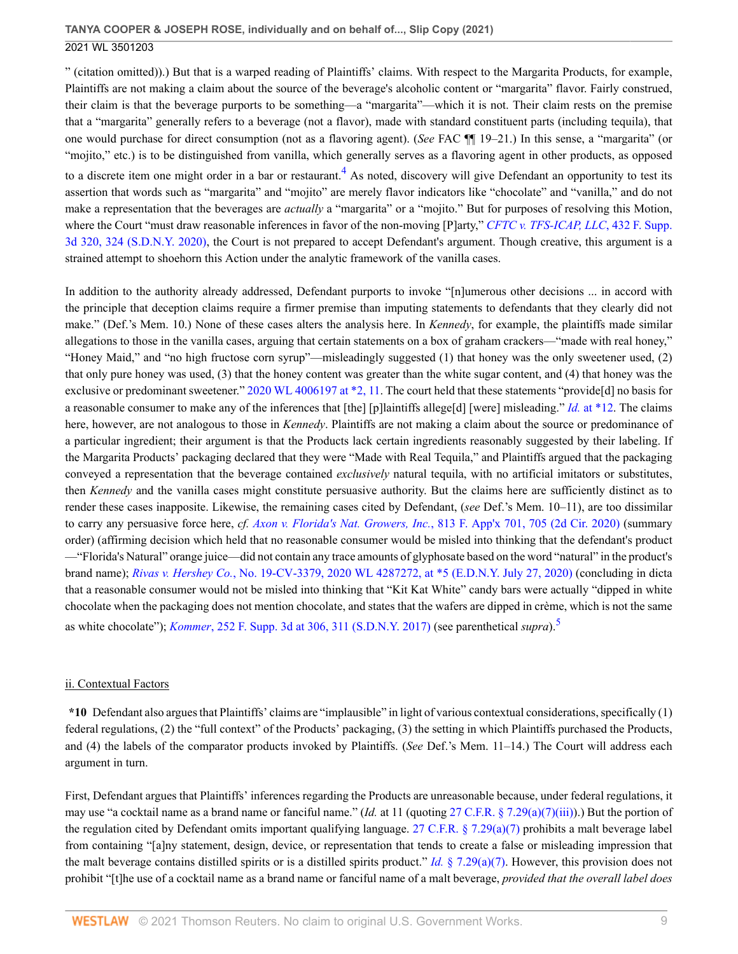" (citation omitted)).) But that is a warped reading of Plaintiffs' claims. With respect to the Margarita Products, for example, Plaintiffs are not making a claim about the source of the beverage's alcoholic content or "margarita" flavor. Fairly construed, their claim is that the beverage purports to be something—a "margarita"—which it is not. Their claim rests on the premise that a "margarita" generally refers to a beverage (not a flavor), made with standard constituent parts (including tequila), that one would purchase for direct consumption (not as a flavoring agent). (*See* FAC ¶¶ 19–21.) In this sense, a "margarita" (or "mojito," etc.) is to be distinguished from vanilla, which generally serves as a flavoring agent in other products, as opposed

<span id="page-8-0"></span>to a discrete item one might order in a bar or restaurant.<sup>[4](#page-19-3)</sup> As noted, discovery will give Defendant an opportunity to test its assertion that words such as "margarita" and "mojito" are merely flavor indicators like "chocolate" and "vanilla," and do not make a representation that the beverages are *actually* a "margarita" or a "mojito." But for purposes of resolving this Motion, where the Court "must draw reasonable inferences in favor of the non-moving [P]arty," *[CFTC v. TFS-ICAP, LLC](http://www.westlaw.com/Link/Document/FullText?findType=Y&serNum=2050072848&pubNum=0007903&originatingDoc=I50bc8ae0f9e611eb9262974acac519d1&refType=RP&fi=co_pp_sp_7903_324&originationContext=document&vr=3.0&rs=cblt1.0&transitionType=DocumentItem&contextData=(sc.UserEnteredCitation)#co_pp_sp_7903_324)*, 432 F. Supp. [3d 320, 324 \(S.D.N.Y. 2020\)](http://www.westlaw.com/Link/Document/FullText?findType=Y&serNum=2050072848&pubNum=0007903&originatingDoc=I50bc8ae0f9e611eb9262974acac519d1&refType=RP&fi=co_pp_sp_7903_324&originationContext=document&vr=3.0&rs=cblt1.0&transitionType=DocumentItem&contextData=(sc.UserEnteredCitation)#co_pp_sp_7903_324), the Court is not prepared to accept Defendant's argument. Though creative, this argument is a strained attempt to shoehorn this Action under the analytic framework of the vanilla cases.

In addition to the authority already addressed, Defendant purports to invoke "[n]umerous other decisions ... in accord with the principle that deception claims require a firmer premise than imputing statements to defendants that they clearly did not make." (Def.'s Mem. 10.) None of these cases alters the analysis here. In *Kennedy*, for example, the plaintiffs made similar allegations to those in the vanilla cases, arguing that certain statements on a box of graham crackers—"made with real honey," "Honey Maid," and "no high fructose corn syrup"—misleadingly suggested (1) that honey was the only sweetener used, (2) that only pure honey was used, (3) that the honey content was greater than the white sugar content, and (4) that honey was the exclusive or predominant sweetener." [2020 WL 4006197 at \\*2, 11](http://www.westlaw.com/Link/Document/FullText?findType=Y&serNum=2051469766&pubNum=0000999&originatingDoc=I50bc8ae0f9e611eb9262974acac519d1&refType=RP&originationContext=document&vr=3.0&rs=cblt1.0&transitionType=DocumentItem&contextData=(sc.UserEnteredCitation)). The court held that these statements "provide[d] no basis for a reasonable consumer to make any of the inferences that [the] [p]laintiffs allege[d] [were] misleading." *Id.* [at \\*12.](http://www.westlaw.com/Link/Document/FullText?findType=Y&serNum=2051469766&pubNum=0000999&originatingDoc=I50bc8ae0f9e611eb9262974acac519d1&refType=RP&originationContext=document&vr=3.0&rs=cblt1.0&transitionType=DocumentItem&contextData=(sc.UserEnteredCitation)) The claims here, however, are not analogous to those in *Kennedy*. Plaintiffs are not making a claim about the source or predominance of a particular ingredient; their argument is that the Products lack certain ingredients reasonably suggested by their labeling. If the Margarita Products' packaging declared that they were "Made with Real Tequila," and Plaintiffs argued that the packaging conveyed a representation that the beverage contained *exclusively* natural tequila, with no artificial imitators or substitutes, then *Kennedy* and the vanilla cases might constitute persuasive authority. But the claims here are sufficiently distinct as to render these cases inapposite. Likewise, the remaining cases cited by Defendant, (*see* Def.'s Mem. 10–11), are too dissimilar to carry any persuasive force here, *cf. Axon v. Florida's Nat. Growers, Inc.*[, 813 F. App'x 701, 705 \(2d Cir. 2020\)](http://www.westlaw.com/Link/Document/FullText?findType=Y&serNum=2051153800&pubNum=0006538&originatingDoc=I50bc8ae0f9e611eb9262974acac519d1&refType=RP&fi=co_pp_sp_6538_705&originationContext=document&vr=3.0&rs=cblt1.0&transitionType=DocumentItem&contextData=(sc.UserEnteredCitation)#co_pp_sp_6538_705) (summary order) (affirming decision which held that no reasonable consumer would be misled into thinking that the defendant's product —"Florida's Natural" orange juice—did not contain any trace amounts of glyphosate based on the word "natural" in the product's brand name); *Rivas v. Hershey Co.*[, No. 19-CV-3379, 2020 WL 4287272, at \\*5 \(E.D.N.Y. July 27, 2020\)](http://www.westlaw.com/Link/Document/FullText?findType=Y&serNum=2051536486&pubNum=0000999&originatingDoc=I50bc8ae0f9e611eb9262974acac519d1&refType=RP&originationContext=document&vr=3.0&rs=cblt1.0&transitionType=DocumentItem&contextData=(sc.UserEnteredCitation)) (concluding in dicta that a reasonable consumer would not be misled into thinking that "Kit Kat White" candy bars were actually "dipped in white chocolate when the packaging does not mention chocolate, and states that the wafers are dipped in crème, which is not the same as white chocolate"); *Kommer*[, 252 F. Supp. 3d at 306, 311 \(S.D.N.Y. 2017\)](http://www.westlaw.com/Link/Document/FullText?findType=Y&serNum=2041705913&pubNum=0007903&originatingDoc=I50bc8ae0f9e611eb9262974acac519d1&refType=RP&fi=co_pp_sp_7903_306&originationContext=document&vr=3.0&rs=cblt1.0&transitionType=DocumentItem&contextData=(sc.UserEnteredCitation)#co_pp_sp_7903_306) (see parenthetical *supra*).[5](#page-19-4)

# <span id="page-8-1"></span>ii. Contextual Factors

**\*10** Defendant also argues that Plaintiffs' claims are "implausible" in light of various contextual considerations, specifically (1) federal regulations, (2) the "full context" of the Products' packaging, (3) the setting in which Plaintiffs purchased the Products, and (4) the labels of the comparator products invoked by Plaintiffs. (*See* Def.'s Mem. 11–14.) The Court will address each argument in turn.

First, Defendant argues that Plaintiffs' inferences regarding the Products are unreasonable because, under federal regulations, it may use "a cocktail name as a brand name or fanciful name." (*Id.* at 11 (quoting [27 C.F.R. § 7.29\(a\)\(7\)\(iii\)\)](http://www.westlaw.com/Link/Document/FullText?findType=L&pubNum=1000547&cite=27CFRS7.29&originatingDoc=I50bc8ae0f9e611eb9262974acac519d1&refType=RB&originationContext=document&vr=3.0&rs=cblt1.0&transitionType=DocumentItem&contextData=(sc.UserEnteredCitation)#co_pp_df1f0000a7201).) But the portion of the regulation cited by Defendant omits important qualifying language. [27 C.F.R. § 7.29\(a\)\(7\)](http://www.westlaw.com/Link/Document/FullText?findType=L&pubNum=1000547&cite=27CFRS7.29&originatingDoc=I50bc8ae0f9e611eb9262974acac519d1&refType=RB&originationContext=document&vr=3.0&rs=cblt1.0&transitionType=DocumentItem&contextData=(sc.UserEnteredCitation)#co_pp_36f10000408d4) prohibits a malt beverage label from containing "[a]ny statement, design, device, or representation that tends to create a false or misleading impression that the malt beverage contains distilled spirits or is a distilled spirits product." *Id.*  $\S$  7.29(a)(7). However, this provision does not prohibit "[t]he use of a cocktail name as a brand name or fanciful name of a malt beverage, *provided that the overall label does*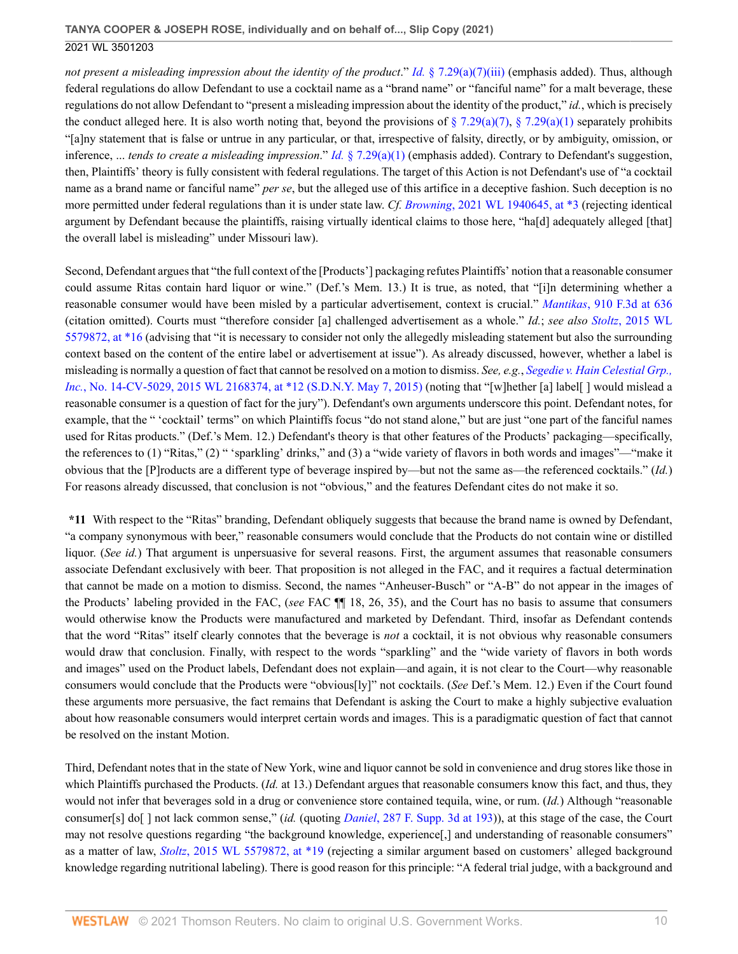*not present a misleading impression about the identity of the product." Id.* [§ 7.29\(a\)\(7\)\(iii\)](http://www.westlaw.com/Link/Document/FullText?findType=L&pubNum=1000547&cite=27CFRS7.29&originatingDoc=I50bc8ae0f9e611eb9262974acac519d1&refType=RB&originationContext=document&vr=3.0&rs=cblt1.0&transitionType=DocumentItem&contextData=(sc.UserEnteredCitation)#co_pp_df1f0000a7201) (emphasis added). Thus, although federal regulations do allow Defendant to use a cocktail name as a "brand name" or "fanciful name" for a malt beverage, these regulations do not allow Defendant to "present a misleading impression about the identity of the product," *id.*, which is precisely the conduct alleged here. It is also worth noting that, beyond the provisions of  $\S 7.29(a)(7)$ ,  $\S 7.29(a)(1)$  separately prohibits "[a]ny statement that is false or untrue in any particular, or that, irrespective of falsity, directly, or by ambiguity, omission, or inference, ... *tends to create a misleading impression*." *Id.* [§ 7.29\(a\)\(1\)](http://www.westlaw.com/Link/Document/FullText?findType=L&pubNum=1000547&cite=27CFRS7.29&originatingDoc=I50bc8ae0f9e611eb9262974acac519d1&refType=RB&originationContext=document&vr=3.0&rs=cblt1.0&transitionType=DocumentItem&contextData=(sc.UserEnteredCitation)#co_pp_7b9b000044381) (emphasis added). Contrary to Defendant's suggestion, then, Plaintiffs' theory is fully consistent with federal regulations. The target of this Action is not Defendant's use of "a cocktail name as a brand name or fanciful name" *per se*, but the alleged use of this artifice in a deceptive fashion. Such deception is no more permitted under federal regulations than it is under state law. *Cf. Browning*[, 2021 WL 1940645, at \\*3](http://www.westlaw.com/Link/Document/FullText?findType=Y&serNum=2053633020&pubNum=0000999&originatingDoc=I50bc8ae0f9e611eb9262974acac519d1&refType=RP&originationContext=document&vr=3.0&rs=cblt1.0&transitionType=DocumentItem&contextData=(sc.UserEnteredCitation)) (rejecting identical argument by Defendant because the plaintiffs, raising virtually identical claims to those here, "ha[d] adequately alleged [that] the overall label is misleading" under Missouri law).

Second, Defendant argues that "the full context of the [Products'] packaging refutes Plaintiffs' notion that a reasonable consumer could assume Ritas contain hard liquor or wine." (Def.'s Mem. 13.) It is true, as noted, that "[i]n determining whether a reasonable consumer would have been misled by a particular advertisement, context is crucial." *Mantikas*[, 910 F.3d at 636](http://www.westlaw.com/Link/Document/FullText?findType=Y&serNum=2047062960&pubNum=0000506&originatingDoc=I50bc8ae0f9e611eb9262974acac519d1&refType=RP&fi=co_pp_sp_506_636&originationContext=document&vr=3.0&rs=cblt1.0&transitionType=DocumentItem&contextData=(sc.UserEnteredCitation)#co_pp_sp_506_636) (citation omitted). Courts must "therefore consider [a] challenged advertisement as a whole." *Id.*; *see also Stoltz*[, 2015 WL](http://www.westlaw.com/Link/Document/FullText?findType=Y&serNum=2037233227&pubNum=0000999&originatingDoc=I50bc8ae0f9e611eb9262974acac519d1&refType=RP&originationContext=document&vr=3.0&rs=cblt1.0&transitionType=DocumentItem&contextData=(sc.UserEnteredCitation)) [5579872, at \\*16](http://www.westlaw.com/Link/Document/FullText?findType=Y&serNum=2037233227&pubNum=0000999&originatingDoc=I50bc8ae0f9e611eb9262974acac519d1&refType=RP&originationContext=document&vr=3.0&rs=cblt1.0&transitionType=DocumentItem&contextData=(sc.UserEnteredCitation)) (advising that "it is necessary to consider not only the allegedly misleading statement but also the surrounding context based on the content of the entire label or advertisement at issue"). As already discussed, however, whether a label is misleading is normally a question of fact that cannot be resolved on a motion to dismiss. *See, e.g.*, *[Segedie v. Hain Celestial Grp.,](http://www.westlaw.com/Link/Document/FullText?findType=Y&serNum=2036251519&pubNum=0000999&originatingDoc=I50bc8ae0f9e611eb9262974acac519d1&refType=RP&originationContext=document&vr=3.0&rs=cblt1.0&transitionType=DocumentItem&contextData=(sc.UserEnteredCitation)) Inc.*[, No. 14-CV-5029, 2015 WL 2168374, at \\*12 \(S.D.N.Y. May 7, 2015\)](http://www.westlaw.com/Link/Document/FullText?findType=Y&serNum=2036251519&pubNum=0000999&originatingDoc=I50bc8ae0f9e611eb9262974acac519d1&refType=RP&originationContext=document&vr=3.0&rs=cblt1.0&transitionType=DocumentItem&contextData=(sc.UserEnteredCitation)) (noting that "[w]hether [a] label[ ] would mislead a reasonable consumer is a question of fact for the jury"). Defendant's own arguments underscore this point. Defendant notes, for example, that the " 'cocktail' terms" on which Plaintiffs focus "do not stand alone," but are just "one part of the fanciful names used for Ritas products." (Def.'s Mem. 12.) Defendant's theory is that other features of the Products' packaging—specifically, the references to (1) "Ritas," (2) " 'sparkling' drinks," and (3) a "wide variety of flavors in both words and images"—"make it obvious that the [P]roducts are a different type of beverage inspired by—but not the same as—the referenced cocktails." (*Id.*) For reasons already discussed, that conclusion is not "obvious," and the features Defendant cites do not make it so.

**\*11** With respect to the "Ritas" branding, Defendant obliquely suggests that because the brand name is owned by Defendant, "a company synonymous with beer," reasonable consumers would conclude that the Products do not contain wine or distilled liquor. (*See id.*) That argument is unpersuasive for several reasons. First, the argument assumes that reasonable consumers associate Defendant exclusively with beer. That proposition is not alleged in the FAC, and it requires a factual determination that cannot be made on a motion to dismiss. Second, the names "Anheuser-Busch" or "A-B" do not appear in the images of the Products' labeling provided in the FAC, (*see* FAC ¶¶ 18, 26, 35), and the Court has no basis to assume that consumers would otherwise know the Products were manufactured and marketed by Defendant. Third, insofar as Defendant contends that the word "Ritas" itself clearly connotes that the beverage is *not* a cocktail, it is not obvious why reasonable consumers would draw that conclusion. Finally, with respect to the words "sparkling" and the "wide variety of flavors in both words and images" used on the Product labels, Defendant does not explain—and again, it is not clear to the Court—why reasonable consumers would conclude that the Products were "obvious[ly]" not cocktails. (*See* Def.'s Mem. 12.) Even if the Court found these arguments more persuasive, the fact remains that Defendant is asking the Court to make a highly subjective evaluation about how reasonable consumers would interpret certain words and images. This is a paradigmatic question of fact that cannot be resolved on the instant Motion.

Third, Defendant notes that in the state of New York, wine and liquor cannot be sold in convenience and drug stores like those in which Plaintiffs purchased the Products. (*Id.* at 13.) Defendant argues that reasonable consumers know this fact, and thus, they would not infer that beverages sold in a drug or convenience store contained tequila, wine, or rum. (*Id.*) Although "reasonable consumer[s] do[ ] not lack common sense," (*id.* (quoting *Daniel*[, 287 F. Supp. 3d at 193](http://www.westlaw.com/Link/Document/FullText?findType=Y&serNum=2043906822&pubNum=0007903&originatingDoc=I50bc8ae0f9e611eb9262974acac519d1&refType=RP&fi=co_pp_sp_7903_193&originationContext=document&vr=3.0&rs=cblt1.0&transitionType=DocumentItem&contextData=(sc.UserEnteredCitation)#co_pp_sp_7903_193))), at this stage of the case, the Court may not resolve questions regarding "the background knowledge, experience[,] and understanding of reasonable consumers" as a matter of law, *Stoltz*[, 2015 WL 5579872, at \\*19](http://www.westlaw.com/Link/Document/FullText?findType=Y&serNum=2037233227&pubNum=0000999&originatingDoc=I50bc8ae0f9e611eb9262974acac519d1&refType=RP&originationContext=document&vr=3.0&rs=cblt1.0&transitionType=DocumentItem&contextData=(sc.UserEnteredCitation)) (rejecting a similar argument based on customers' alleged background knowledge regarding nutritional labeling). There is good reason for this principle: "A federal trial judge, with a background and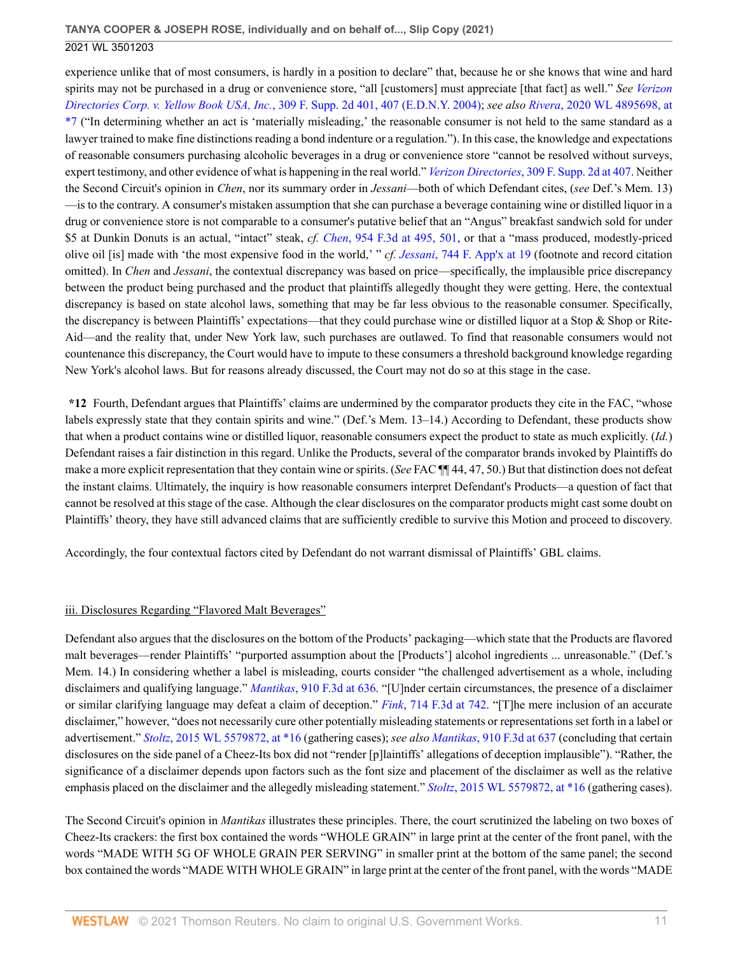experience unlike that of most consumers, is hardly in a position to declare" that, because he or she knows that wine and hard spirits may not be purchased in a drug or convenience store, "all [customers] must appreciate [that fact] as well." *See [Verizon](http://www.westlaw.com/Link/Document/FullText?findType=Y&serNum=2004244516&pubNum=0004637&originatingDoc=I50bc8ae0f9e611eb9262974acac519d1&refType=RP&fi=co_pp_sp_4637_407&originationContext=document&vr=3.0&rs=cblt1.0&transitionType=DocumentItem&contextData=(sc.UserEnteredCitation)#co_pp_sp_4637_407) Directories Corp. v. Yellow Book USA, Inc.*[, 309 F. Supp. 2d 401, 407 \(E.D.N.Y. 2004\)](http://www.westlaw.com/Link/Document/FullText?findType=Y&serNum=2004244516&pubNum=0004637&originatingDoc=I50bc8ae0f9e611eb9262974acac519d1&refType=RP&fi=co_pp_sp_4637_407&originationContext=document&vr=3.0&rs=cblt1.0&transitionType=DocumentItem&contextData=(sc.UserEnteredCitation)#co_pp_sp_4637_407); *see also Rivera*[, 2020 WL 4895698, at](http://www.westlaw.com/Link/Document/FullText?findType=Y&serNum=2051698934&pubNum=0000999&originatingDoc=I50bc8ae0f9e611eb9262974acac519d1&refType=RP&originationContext=document&vr=3.0&rs=cblt1.0&transitionType=DocumentItem&contextData=(sc.UserEnteredCitation)) [\\*7](http://www.westlaw.com/Link/Document/FullText?findType=Y&serNum=2051698934&pubNum=0000999&originatingDoc=I50bc8ae0f9e611eb9262974acac519d1&refType=RP&originationContext=document&vr=3.0&rs=cblt1.0&transitionType=DocumentItem&contextData=(sc.UserEnteredCitation)) ("In determining whether an act is 'materially misleading,' the reasonable consumer is not held to the same standard as a lawyer trained to make fine distinctions reading a bond indenture or a regulation."). In this case, the knowledge and expectations of reasonable consumers purchasing alcoholic beverages in a drug or convenience store "cannot be resolved without surveys, expert testimony, and other evidence of what is happening in the real world." *Verizon Directories*[, 309 F. Supp. 2d at 407.](http://www.westlaw.com/Link/Document/FullText?findType=Y&serNum=2004244516&pubNum=0004637&originatingDoc=I50bc8ae0f9e611eb9262974acac519d1&refType=RP&fi=co_pp_sp_4637_407&originationContext=document&vr=3.0&rs=cblt1.0&transitionType=DocumentItem&contextData=(sc.UserEnteredCitation)#co_pp_sp_4637_407) Neither the Second Circuit's opinion in *Chen*, nor its summary order in *Jessani*—both of which Defendant cites, (*see* Def.'s Mem. 13) —is to the contrary. A consumer's mistaken assumption that she can purchase a beverage containing wine or distilled liquor in a drug or convenience store is not comparable to a consumer's putative belief that an "Angus" breakfast sandwich sold for under \$5 at Dunkin Donuts is an actual, "intact" steak, *cf. Chen*[, 954 F.3d at 495, 501,](http://www.westlaw.com/Link/Document/FullText?findType=Y&serNum=2050673999&pubNum=0000506&originatingDoc=I50bc8ae0f9e611eb9262974acac519d1&refType=RP&fi=co_pp_sp_506_495&originationContext=document&vr=3.0&rs=cblt1.0&transitionType=DocumentItem&contextData=(sc.UserEnteredCitation)#co_pp_sp_506_495) or that a "mass produced, modestly-priced olive oil [is] made with 'the most expensive food in the world,' " *cf. Jessani*[, 744 F. App'x at 19](http://www.westlaw.com/Link/Document/FullText?findType=Y&serNum=2046153031&pubNum=0006538&originatingDoc=I50bc8ae0f9e611eb9262974acac519d1&refType=RP&fi=co_pp_sp_6538_19&originationContext=document&vr=3.0&rs=cblt1.0&transitionType=DocumentItem&contextData=(sc.UserEnteredCitation)#co_pp_sp_6538_19) (footnote and record citation omitted). In *Chen* and *Jessani*, the contextual discrepancy was based on price—specifically, the implausible price discrepancy between the product being purchased and the product that plaintiffs allegedly thought they were getting. Here, the contextual discrepancy is based on state alcohol laws, something that may be far less obvious to the reasonable consumer. Specifically, the discrepancy is between Plaintiffs' expectations—that they could purchase wine or distilled liquor at a Stop & Shop or Rite-Aid—and the reality that, under New York law, such purchases are outlawed. To find that reasonable consumers would not countenance this discrepancy, the Court would have to impute to these consumers a threshold background knowledge regarding New York's alcohol laws. But for reasons already discussed, the Court may not do so at this stage in the case.

**\*12** Fourth, Defendant argues that Plaintiffs' claims are undermined by the comparator products they cite in the FAC, "whose labels expressly state that they contain spirits and wine." (Def.'s Mem. 13–14.) According to Defendant, these products show that when a product contains wine or distilled liquor, reasonable consumers expect the product to state as much explicitly. (*Id.*) Defendant raises a fair distinction in this regard. Unlike the Products, several of the comparator brands invoked by Plaintiffs do make a more explicit representation that they contain wine or spirits. (*See* FAC ¶¶ 44, 47, 50.) But that distinction does not defeat the instant claims. Ultimately, the inquiry is how reasonable consumers interpret Defendant's Products—a question of fact that cannot be resolved at this stage of the case. Although the clear disclosures on the comparator products might cast some doubt on Plaintiffs' theory, they have still advanced claims that are sufficiently credible to survive this Motion and proceed to discovery.

Accordingly, the four contextual factors cited by Defendant do not warrant dismissal of Plaintiffs' GBL claims.

# iii. Disclosures Regarding "Flavored Malt Beverages"

Defendant also argues that the disclosures on the bottom of the Products' packaging—which state that the Products are flavored malt beverages—render Plaintiffs' "purported assumption about the [Products'] alcohol ingredients ... unreasonable." (Def.'s Mem. 14.) In considering whether a label is misleading, courts consider "the challenged advertisement as a whole, including disclaimers and qualifying language." *Mantikas*[, 910 F.3d at 636.](http://www.westlaw.com/Link/Document/FullText?findType=Y&serNum=2047062960&pubNum=0000506&originatingDoc=I50bc8ae0f9e611eb9262974acac519d1&refType=RP&fi=co_pp_sp_506_636&originationContext=document&vr=3.0&rs=cblt1.0&transitionType=DocumentItem&contextData=(sc.UserEnteredCitation)#co_pp_sp_506_636) "[U]nder certain circumstances, the presence of a disclaimer or similar clarifying language may defeat a claim of deception." *Fink*[, 714 F.3d at 742.](http://www.westlaw.com/Link/Document/FullText?findType=Y&serNum=2030470437&pubNum=0000506&originatingDoc=I50bc8ae0f9e611eb9262974acac519d1&refType=RP&fi=co_pp_sp_506_742&originationContext=document&vr=3.0&rs=cblt1.0&transitionType=DocumentItem&contextData=(sc.UserEnteredCitation)#co_pp_sp_506_742) "[T]he mere inclusion of an accurate disclaimer," however, "does not necessarily cure other potentially misleading statements or representations set forth in a label or advertisement." *Stoltz*[, 2015 WL 5579872, at \\*16](http://www.westlaw.com/Link/Document/FullText?findType=Y&serNum=2037233227&pubNum=0000999&originatingDoc=I50bc8ae0f9e611eb9262974acac519d1&refType=RP&originationContext=document&vr=3.0&rs=cblt1.0&transitionType=DocumentItem&contextData=(sc.UserEnteredCitation)) (gathering cases); *see also Mantikas*[, 910 F.3d at 637](http://www.westlaw.com/Link/Document/FullText?findType=Y&serNum=2047062960&pubNum=0000506&originatingDoc=I50bc8ae0f9e611eb9262974acac519d1&refType=RP&fi=co_pp_sp_506_637&originationContext=document&vr=3.0&rs=cblt1.0&transitionType=DocumentItem&contextData=(sc.UserEnteredCitation)#co_pp_sp_506_637) (concluding that certain disclosures on the side panel of a Cheez-Its box did not "render [p]laintiffs' allegations of deception implausible"). "Rather, the significance of a disclaimer depends upon factors such as the font size and placement of the disclaimer as well as the relative emphasis placed on the disclaimer and the allegedly misleading statement." *Stoltz*[, 2015 WL 5579872, at \\*16](http://www.westlaw.com/Link/Document/FullText?findType=Y&serNum=2037233227&pubNum=0000999&originatingDoc=I50bc8ae0f9e611eb9262974acac519d1&refType=RP&originationContext=document&vr=3.0&rs=cblt1.0&transitionType=DocumentItem&contextData=(sc.UserEnteredCitation)) (gathering cases).

The Second Circuit's opinion in *Mantikas* illustrates these principles. There, the court scrutinized the labeling on two boxes of Cheez-Its crackers: the first box contained the words "WHOLE GRAIN" in large print at the center of the front panel, with the words "MADE WITH 5G OF WHOLE GRAIN PER SERVING" in smaller print at the bottom of the same panel; the second box contained the words "MADE WITH WHOLE GRAIN" in large print at the center of the front panel, with the words "MADE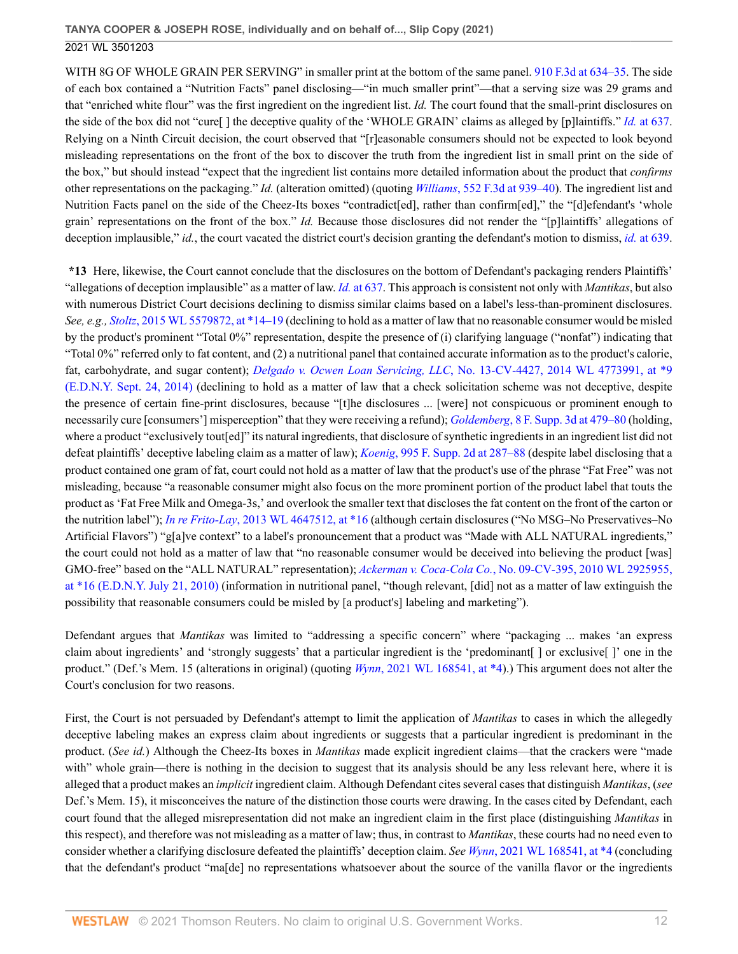WITH 8G OF WHOLE GRAIN PER SERVING" in smaller print at the bottom of the same panel. [910 F.3d at 634–35.](http://www.westlaw.com/Link/Document/FullText?findType=Y&serNum=2047062960&pubNum=0000506&originatingDoc=I50bc8ae0f9e611eb9262974acac519d1&refType=RP&fi=co_pp_sp_506_634&originationContext=document&vr=3.0&rs=cblt1.0&transitionType=DocumentItem&contextData=(sc.UserEnteredCitation)#co_pp_sp_506_634) The side of each box contained a "Nutrition Facts" panel disclosing—"in much smaller print"—that a serving size was 29 grams and that "enriched white flour" was the first ingredient on the ingredient list. *Id.* The court found that the small-print disclosures on the side of the box did not "cure[ ] the deceptive quality of the 'WHOLE GRAIN' claims as alleged by [p]laintiffs." *Id.* [at 637.](http://www.westlaw.com/Link/Document/FullText?findType=Y&serNum=2047062960&pubNum=0000506&originatingDoc=I50bc8ae0f9e611eb9262974acac519d1&refType=RP&fi=co_pp_sp_506_637&originationContext=document&vr=3.0&rs=cblt1.0&transitionType=DocumentItem&contextData=(sc.UserEnteredCitation)#co_pp_sp_506_637) Relying on a Ninth Circuit decision, the court observed that "[r]easonable consumers should not be expected to look beyond misleading representations on the front of the box to discover the truth from the ingredient list in small print on the side of the box," but should instead "expect that the ingredient list contains more detailed information about the product that *confirms* other representations on the packaging." *Id.* (alteration omitted) (quoting *Williams*[, 552 F.3d at 939–40\)](http://www.westlaw.com/Link/Document/FullText?findType=Y&serNum=2017694688&pubNum=0000506&originatingDoc=I50bc8ae0f9e611eb9262974acac519d1&refType=RP&fi=co_pp_sp_506_939&originationContext=document&vr=3.0&rs=cblt1.0&transitionType=DocumentItem&contextData=(sc.UserEnteredCitation)#co_pp_sp_506_939). The ingredient list and Nutrition Facts panel on the side of the Cheez-Its boxes "contradict[ed], rather than confirm[ed]," the "[d]efendant's 'whole grain' representations on the front of the box." *Id.* Because those disclosures did not render the "[p]laintiffs' allegations of deception implausible," *id.*, the court vacated the district court's decision granting the defendant's motion to dismiss, *id.* [at 639.](http://www.westlaw.com/Link/Document/FullText?findType=Y&serNum=2047062960&pubNum=0000506&originatingDoc=I50bc8ae0f9e611eb9262974acac519d1&refType=RP&fi=co_pp_sp_506_639&originationContext=document&vr=3.0&rs=cblt1.0&transitionType=DocumentItem&contextData=(sc.UserEnteredCitation)#co_pp_sp_506_639)

**\*13** Here, likewise, the Court cannot conclude that the disclosures on the bottom of Defendant's packaging renders Plaintiffs' "allegations of deception implausible" as a matter of law. *Id.* [at 637.](http://www.westlaw.com/Link/Document/FullText?findType=Y&serNum=2047062960&pubNum=0000506&originatingDoc=I50bc8ae0f9e611eb9262974acac519d1&refType=RP&fi=co_pp_sp_506_637&originationContext=document&vr=3.0&rs=cblt1.0&transitionType=DocumentItem&contextData=(sc.UserEnteredCitation)#co_pp_sp_506_637) This approach is consistent not only with *Mantikas*, but also with numerous District Court decisions declining to dismiss similar claims based on a label's less-than-prominent disclosures. *See, e.g., Stoltz*[, 2015 WL 5579872, at \\*14–19](http://www.westlaw.com/Link/Document/FullText?findType=Y&serNum=2037233227&pubNum=0000999&originatingDoc=I50bc8ae0f9e611eb9262974acac519d1&refType=RP&originationContext=document&vr=3.0&rs=cblt1.0&transitionType=DocumentItem&contextData=(sc.UserEnteredCitation)) (declining to hold as a matter of law that no reasonable consumer would be misled by the product's prominent "Total 0%" representation, despite the presence of (i) clarifying language ("nonfat") indicating that "Total 0%" referred only to fat content, and (2) a nutritional panel that contained accurate information as to the product's calorie, fat, carbohydrate, and sugar content); *Delgado v. Ocwen Loan Servicing, LLC*[, No. 13-CV-4427, 2014 WL 4773991, at \\*9](http://www.westlaw.com/Link/Document/FullText?findType=Y&serNum=2034379634&pubNum=0000999&originatingDoc=I50bc8ae0f9e611eb9262974acac519d1&refType=RP&originationContext=document&vr=3.0&rs=cblt1.0&transitionType=DocumentItem&contextData=(sc.UserEnteredCitation)) [\(E.D.N.Y. Sept. 24, 2014\)](http://www.westlaw.com/Link/Document/FullText?findType=Y&serNum=2034379634&pubNum=0000999&originatingDoc=I50bc8ae0f9e611eb9262974acac519d1&refType=RP&originationContext=document&vr=3.0&rs=cblt1.0&transitionType=DocumentItem&contextData=(sc.UserEnteredCitation)) (declining to hold as a matter of law that a check solicitation scheme was not deceptive, despite the presence of certain fine-print disclosures, because "[t]he disclosures ... [were] not conspicuous or prominent enough to necessarily cure [consumers'] misperception" that they were receiving a refund); *Goldemberg*[, 8 F. Supp. 3d at 479–80](http://www.westlaw.com/Link/Document/FullText?findType=Y&serNum=2032998265&pubNum=0007903&originatingDoc=I50bc8ae0f9e611eb9262974acac519d1&refType=RP&fi=co_pp_sp_7903_479&originationContext=document&vr=3.0&rs=cblt1.0&transitionType=DocumentItem&contextData=(sc.UserEnteredCitation)#co_pp_sp_7903_479) (holding, where a product "exclusively tout[ed]" its natural ingredients, that disclosure of synthetic ingredients in an ingredient list did not defeat plaintiffs' deceptive labeling claim as a matter of law); *Koenig*[, 995 F. Supp. 2d at 287–88](http://www.westlaw.com/Link/Document/FullText?findType=Y&serNum=2032644555&pubNum=0004637&originatingDoc=I50bc8ae0f9e611eb9262974acac519d1&refType=RP&fi=co_pp_sp_4637_287&originationContext=document&vr=3.0&rs=cblt1.0&transitionType=DocumentItem&contextData=(sc.UserEnteredCitation)#co_pp_sp_4637_287) (despite label disclosing that a product contained one gram of fat, court could not hold as a matter of law that the product's use of the phrase "Fat Free" was not misleading, because "a reasonable consumer might also focus on the more prominent portion of the product label that touts the product as 'Fat Free Milk and Omega-3s,' and overlook the smaller text that discloses the fat content on the front of the carton or the nutrition label"); *In re Frito-Lay*[, 2013 WL 4647512, at \\*16](http://www.westlaw.com/Link/Document/FullText?findType=Y&serNum=2031454760&pubNum=0000999&originatingDoc=I50bc8ae0f9e611eb9262974acac519d1&refType=RP&originationContext=document&vr=3.0&rs=cblt1.0&transitionType=DocumentItem&contextData=(sc.UserEnteredCitation)) (although certain disclosures ("No MSG–No Preservatives–No Artificial Flavors") "g[a]ve context" to a label's pronouncement that a product was "Made with ALL NATURAL ingredients," the court could not hold as a matter of law that "no reasonable consumer would be deceived into believing the product [was] GMO-free" based on the "ALL NATURAL" representation); *Ackerman v. Coca-Cola Co.*[, No. 09-CV-395, 2010 WL 2925955,](http://www.westlaw.com/Link/Document/FullText?findType=Y&serNum=2022626626&pubNum=0000999&originatingDoc=I50bc8ae0f9e611eb9262974acac519d1&refType=RP&originationContext=document&vr=3.0&rs=cblt1.0&transitionType=DocumentItem&contextData=(sc.UserEnteredCitation)) [at \\*16 \(E.D.N.Y. July 21, 2010\)](http://www.westlaw.com/Link/Document/FullText?findType=Y&serNum=2022626626&pubNum=0000999&originatingDoc=I50bc8ae0f9e611eb9262974acac519d1&refType=RP&originationContext=document&vr=3.0&rs=cblt1.0&transitionType=DocumentItem&contextData=(sc.UserEnteredCitation)) (information in nutritional panel, "though relevant, [did] not as a matter of law extinguish the possibility that reasonable consumers could be misled by [a product's] labeling and marketing").

Defendant argues that *Mantikas* was limited to "addressing a specific concern" where "packaging ... makes 'an express claim about ingredients' and 'strongly suggests' that a particular ingredient is the 'predominant[ ] or exclusive[ ]' one in the product." (Def.'s Mem. 15 (alterations in original) (quoting *Wynn*[, 2021 WL 168541, at \\*4\)](http://www.westlaw.com/Link/Document/FullText?findType=Y&serNum=2052791643&pubNum=0000999&originatingDoc=I50bc8ae0f9e611eb9262974acac519d1&refType=RP&originationContext=document&vr=3.0&rs=cblt1.0&transitionType=DocumentItem&contextData=(sc.UserEnteredCitation)).) This argument does not alter the Court's conclusion for two reasons.

First, the Court is not persuaded by Defendant's attempt to limit the application of *Mantikas* to cases in which the allegedly deceptive labeling makes an express claim about ingredients or suggests that a particular ingredient is predominant in the product. (*See id.*) Although the Cheez-Its boxes in *Mantikas* made explicit ingredient claims—that the crackers were "made with" whole grain—there is nothing in the decision to suggest that its analysis should be any less relevant here, where it is alleged that a product makes an *implicit* ingredient claim. Although Defendant cites several cases that distinguish *Mantikas*, (*see* Def.'s Mem. 15), it misconceives the nature of the distinction those courts were drawing. In the cases cited by Defendant, each court found that the alleged misrepresentation did not make an ingredient claim in the first place (distinguishing *Mantikas* in this respect), and therefore was not misleading as a matter of law; thus, in contrast to *Mantikas*, these courts had no need even to consider whether a clarifying disclosure defeated the plaintiffs' deception claim. *See Wynn*[, 2021 WL 168541, at \\*4](http://www.westlaw.com/Link/Document/FullText?findType=Y&serNum=2052791643&pubNum=0000999&originatingDoc=I50bc8ae0f9e611eb9262974acac519d1&refType=RP&originationContext=document&vr=3.0&rs=cblt1.0&transitionType=DocumentItem&contextData=(sc.UserEnteredCitation)) (concluding that the defendant's product "ma[de] no representations whatsoever about the source of the vanilla flavor or the ingredients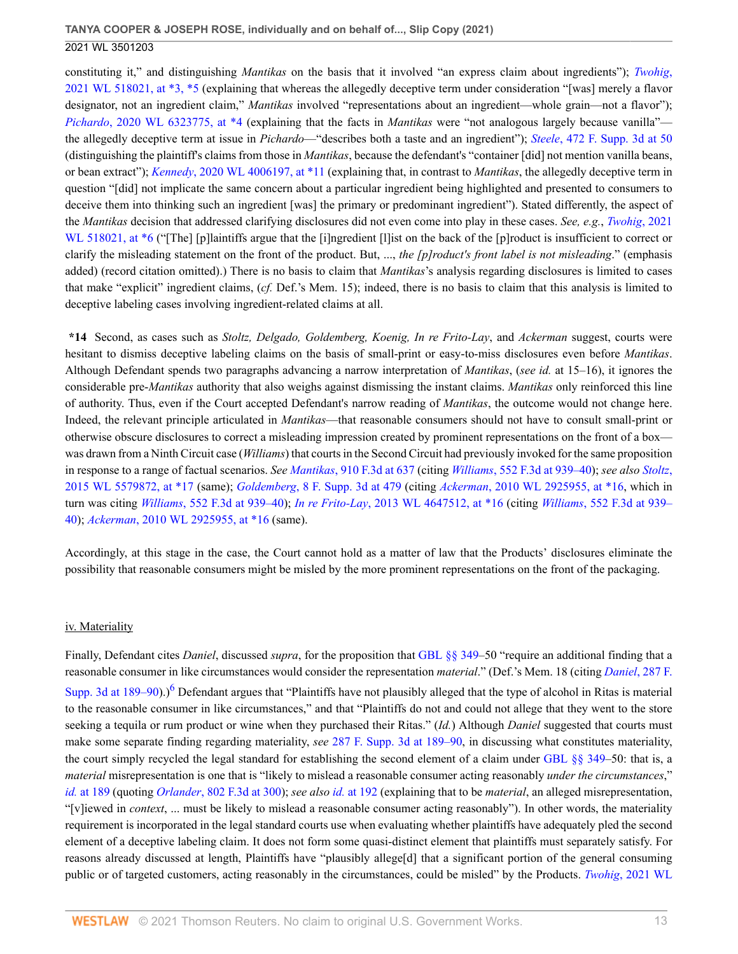constituting it," and distinguishing *Mantikas* on the basis that it involved "an express claim about ingredients"); *[Twohig](http://www.westlaw.com/Link/Document/FullText?findType=Y&serNum=2052959149&pubNum=0000999&originatingDoc=I50bc8ae0f9e611eb9262974acac519d1&refType=RP&originationContext=document&vr=3.0&rs=cblt1.0&transitionType=DocumentItem&contextData=(sc.UserEnteredCitation))*, [2021 WL 518021, at \\*3, \\*5](http://www.westlaw.com/Link/Document/FullText?findType=Y&serNum=2052959149&pubNum=0000999&originatingDoc=I50bc8ae0f9e611eb9262974acac519d1&refType=RP&originationContext=document&vr=3.0&rs=cblt1.0&transitionType=DocumentItem&contextData=(sc.UserEnteredCitation)) (explaining that whereas the allegedly deceptive term under consideration "[was] merely a flavor designator, not an ingredient claim," *Mantikas* involved "representations about an ingredient—whole grain—not a flavor"); *Pichardo*[, 2020 WL 6323775, at \\*4](http://www.westlaw.com/Link/Document/FullText?findType=Y&serNum=2052252985&pubNum=0000999&originatingDoc=I50bc8ae0f9e611eb9262974acac519d1&refType=RP&originationContext=document&vr=3.0&rs=cblt1.0&transitionType=DocumentItem&contextData=(sc.UserEnteredCitation)) (explaining that the facts in *Mantikas* were "not analogous largely because vanilla" the allegedly deceptive term at issue in *Pichardo*—"describes both a taste and an ingredient"); *Steele*[, 472 F. Supp. 3d at 50](http://www.westlaw.com/Link/Document/FullText?findType=Y&serNum=2051457496&pubNum=0007903&originatingDoc=I50bc8ae0f9e611eb9262974acac519d1&refType=RP&fi=co_pp_sp_7903_50&originationContext=document&vr=3.0&rs=cblt1.0&transitionType=DocumentItem&contextData=(sc.UserEnteredCitation)#co_pp_sp_7903_50) (distinguishing the plaintiff's claims from those in *Mantikas*, because the defendant's "container [did] not mention vanilla beans, or bean extract"); *Kennedy*[, 2020 WL 4006197, at \\*11](http://www.westlaw.com/Link/Document/FullText?findType=Y&serNum=2051469766&pubNum=0000999&originatingDoc=I50bc8ae0f9e611eb9262974acac519d1&refType=RP&originationContext=document&vr=3.0&rs=cblt1.0&transitionType=DocumentItem&contextData=(sc.UserEnteredCitation)) (explaining that, in contrast to *Mantikas*, the allegedly deceptive term in question "[did] not implicate the same concern about a particular ingredient being highlighted and presented to consumers to deceive them into thinking such an ingredient [was] the primary or predominant ingredient"). Stated differently, the aspect of the *Mantikas* decision that addressed clarifying disclosures did not even come into play in these cases. *See, e.g.*, *[Twohig](http://www.westlaw.com/Link/Document/FullText?findType=Y&serNum=2052959149&pubNum=0000999&originatingDoc=I50bc8ae0f9e611eb9262974acac519d1&refType=RP&originationContext=document&vr=3.0&rs=cblt1.0&transitionType=DocumentItem&contextData=(sc.UserEnteredCitation))*, 2021 [WL 518021, at \\*6](http://www.westlaw.com/Link/Document/FullText?findType=Y&serNum=2052959149&pubNum=0000999&originatingDoc=I50bc8ae0f9e611eb9262974acac519d1&refType=RP&originationContext=document&vr=3.0&rs=cblt1.0&transitionType=DocumentItem&contextData=(sc.UserEnteredCitation)) ("The] [p]laintiffs argue that the [i]ngredient [1] ist on the back of the [p]roduct is insufficient to correct or clarify the misleading statement on the front of the product. But, ..., *the [p]roduct's front label is not misleading*." (emphasis added) (record citation omitted).) There is no basis to claim that *Mantikas*'s analysis regarding disclosures is limited to cases that make "explicit" ingredient claims, (*cf.* Def.'s Mem. 15); indeed, there is no basis to claim that this analysis is limited to deceptive labeling cases involving ingredient-related claims at all.

**\*14** Second, as cases such as *Stoltz, Delgado, Goldemberg, Koenig, In re Frito-Lay*, and *Ackerman* suggest, courts were hesitant to dismiss deceptive labeling claims on the basis of small-print or easy-to-miss disclosures even before *Mantikas*. Although Defendant spends two paragraphs advancing a narrow interpretation of *Mantikas*, (*see id.* at 15–16), it ignores the considerable pre-*Mantikas* authority that also weighs against dismissing the instant claims. *Mantikas* only reinforced this line of authority. Thus, even if the Court accepted Defendant's narrow reading of *Mantikas*, the outcome would not change here. Indeed, the relevant principle articulated in *Mantikas*—that reasonable consumers should not have to consult small-print or otherwise obscure disclosures to correct a misleading impression created by prominent representations on the front of a box was drawn from a Ninth Circuit case (*Williams*) that courts in the Second Circuit had previously invoked for the same proposition in response to a range of factual scenarios. *See Mantikas*[, 910 F.3d at 637](http://www.westlaw.com/Link/Document/FullText?findType=Y&serNum=2047062960&pubNum=0000506&originatingDoc=I50bc8ae0f9e611eb9262974acac519d1&refType=RP&fi=co_pp_sp_506_637&originationContext=document&vr=3.0&rs=cblt1.0&transitionType=DocumentItem&contextData=(sc.UserEnteredCitation)#co_pp_sp_506_637) (citing *Williams*[, 552 F.3d at 939–40\)](http://www.westlaw.com/Link/Document/FullText?findType=Y&serNum=2017694688&pubNum=0000506&originatingDoc=I50bc8ae0f9e611eb9262974acac519d1&refType=RP&fi=co_pp_sp_506_939&originationContext=document&vr=3.0&rs=cblt1.0&transitionType=DocumentItem&contextData=(sc.UserEnteredCitation)#co_pp_sp_506_939); *see also [Stoltz](http://www.westlaw.com/Link/Document/FullText?findType=Y&serNum=2037233227&pubNum=0000999&originatingDoc=I50bc8ae0f9e611eb9262974acac519d1&refType=RP&originationContext=document&vr=3.0&rs=cblt1.0&transitionType=DocumentItem&contextData=(sc.UserEnteredCitation))*, [2015 WL 5579872, at \\*17](http://www.westlaw.com/Link/Document/FullText?findType=Y&serNum=2037233227&pubNum=0000999&originatingDoc=I50bc8ae0f9e611eb9262974acac519d1&refType=RP&originationContext=document&vr=3.0&rs=cblt1.0&transitionType=DocumentItem&contextData=(sc.UserEnteredCitation)) (same); *Goldemberg*[, 8 F. Supp. 3d at 479](http://www.westlaw.com/Link/Document/FullText?findType=Y&serNum=2032998265&pubNum=0007903&originatingDoc=I50bc8ae0f9e611eb9262974acac519d1&refType=RP&fi=co_pp_sp_7903_479&originationContext=document&vr=3.0&rs=cblt1.0&transitionType=DocumentItem&contextData=(sc.UserEnteredCitation)#co_pp_sp_7903_479) (citing *Ackerman*[, 2010 WL 2925955, at \\*16,](http://www.westlaw.com/Link/Document/FullText?findType=Y&serNum=2022626626&pubNum=0000999&originatingDoc=I50bc8ae0f9e611eb9262974acac519d1&refType=RP&originationContext=document&vr=3.0&rs=cblt1.0&transitionType=DocumentItem&contextData=(sc.UserEnteredCitation)) which in turn was citing *Williams*[, 552 F.3d at 939–40\)](http://www.westlaw.com/Link/Document/FullText?findType=Y&serNum=2017694688&pubNum=0000506&originatingDoc=I50bc8ae0f9e611eb9262974acac519d1&refType=RP&fi=co_pp_sp_506_939&originationContext=document&vr=3.0&rs=cblt1.0&transitionType=DocumentItem&contextData=(sc.UserEnteredCitation)#co_pp_sp_506_939); *In re Frito-Lay*[, 2013 WL 4647512, at \\*16](http://www.westlaw.com/Link/Document/FullText?findType=Y&serNum=2031454760&pubNum=0000999&originatingDoc=I50bc8ae0f9e611eb9262974acac519d1&refType=RP&originationContext=document&vr=3.0&rs=cblt1.0&transitionType=DocumentItem&contextData=(sc.UserEnteredCitation)) (citing *Williams*[, 552 F.3d at 939–](http://www.westlaw.com/Link/Document/FullText?findType=Y&serNum=2017694688&pubNum=0000506&originatingDoc=I50bc8ae0f9e611eb9262974acac519d1&refType=RP&fi=co_pp_sp_506_939&originationContext=document&vr=3.0&rs=cblt1.0&transitionType=DocumentItem&contextData=(sc.UserEnteredCitation)#co_pp_sp_506_939) [40](http://www.westlaw.com/Link/Document/FullText?findType=Y&serNum=2017694688&pubNum=0000506&originatingDoc=I50bc8ae0f9e611eb9262974acac519d1&refType=RP&fi=co_pp_sp_506_939&originationContext=document&vr=3.0&rs=cblt1.0&transitionType=DocumentItem&contextData=(sc.UserEnteredCitation)#co_pp_sp_506_939)); *Ackerman*[, 2010 WL 2925955, at \\*16](http://www.westlaw.com/Link/Document/FullText?findType=Y&serNum=2022626626&pubNum=0000999&originatingDoc=I50bc8ae0f9e611eb9262974acac519d1&refType=RP&originationContext=document&vr=3.0&rs=cblt1.0&transitionType=DocumentItem&contextData=(sc.UserEnteredCitation)) (same).

Accordingly, at this stage in the case, the Court cannot hold as a matter of law that the Products' disclosures eliminate the possibility that reasonable consumers might be misled by the more prominent representations on the front of the packaging.

#### iv. Materiality

<span id="page-12-0"></span>Finally, Defendant cites *Daniel*, discussed *supra*, for the proposition that [GBL §§ 349](http://www.westlaw.com/Link/Document/FullText?findType=L&pubNum=1000081&cite=NYGBS349&originatingDoc=I50bc8ae0f9e611eb9262974acac519d1&refType=LQ&originationContext=document&vr=3.0&rs=cblt1.0&transitionType=DocumentItem&contextData=(sc.UserEnteredCitation))–50 "require an additional finding that a reasonable consumer in like circumstances would consider the representation *material*." (Def.'s Mem. 18 (citing *Daniel*[, 287 F.](http://www.westlaw.com/Link/Document/FullText?findType=Y&serNum=2043906822&pubNum=0007903&originatingDoc=I50bc8ae0f9e611eb9262974acac519d1&refType=RP&fi=co_pp_sp_7903_189&originationContext=document&vr=3.0&rs=cblt1.0&transitionType=DocumentItem&contextData=(sc.UserEnteredCitation)#co_pp_sp_7903_189) Supp. 3d at  $189-90$ ).)<sup>[6](#page-19-5)</sup> Defendant argues that "Plaintiffs have not plausibly alleged that the type of alcohol in Ritas is material to the reasonable consumer in like circumstances," and that "Plaintiffs do not and could not allege that they went to the store seeking a tequila or rum product or wine when they purchased their Ritas." (*Id.*) Although *Daniel* suggested that courts must make some separate finding regarding materiality, *see* [287 F. Supp. 3d at 189–90,](http://www.westlaw.com/Link/Document/FullText?findType=Y&serNum=2043906822&pubNum=0007903&originatingDoc=I50bc8ae0f9e611eb9262974acac519d1&refType=RP&fi=co_pp_sp_7903_189&originationContext=document&vr=3.0&rs=cblt1.0&transitionType=DocumentItem&contextData=(sc.UserEnteredCitation)#co_pp_sp_7903_189) in discussing what constitutes materiality, the court simply recycled the legal standard for establishing the second element of a claim under [GBL §§ 349](http://www.westlaw.com/Link/Document/FullText?findType=L&pubNum=1000081&cite=NYGBS349&originatingDoc=I50bc8ae0f9e611eb9262974acac519d1&refType=LQ&originationContext=document&vr=3.0&rs=cblt1.0&transitionType=DocumentItem&contextData=(sc.UserEnteredCitation))–50: that is, a *material* misrepresentation is one that is "likely to mislead a reasonable consumer acting reasonably *under the circumstances*," *id.* [at 189](http://www.westlaw.com/Link/Document/FullText?findType=Y&serNum=2043906822&pubNum=0007903&originatingDoc=I50bc8ae0f9e611eb9262974acac519d1&refType=RP&fi=co_pp_sp_7903_189&originationContext=document&vr=3.0&rs=cblt1.0&transitionType=DocumentItem&contextData=(sc.UserEnteredCitation)#co_pp_sp_7903_189) (quoting *Orlander*[, 802 F.3d at 300](http://www.westlaw.com/Link/Document/FullText?findType=Y&serNum=2037173466&pubNum=0000506&originatingDoc=I50bc8ae0f9e611eb9262974acac519d1&refType=RP&fi=co_pp_sp_506_300&originationContext=document&vr=3.0&rs=cblt1.0&transitionType=DocumentItem&contextData=(sc.UserEnteredCitation)#co_pp_sp_506_300)); *see also id.* [at 192](http://www.westlaw.com/Link/Document/FullText?findType=Y&serNum=2043906822&pubNum=0007903&originatingDoc=I50bc8ae0f9e611eb9262974acac519d1&refType=RP&fi=co_pp_sp_7903_192&originationContext=document&vr=3.0&rs=cblt1.0&transitionType=DocumentItem&contextData=(sc.UserEnteredCitation)#co_pp_sp_7903_192) (explaining that to be *material*, an alleged misrepresentation, "[v]iewed in *context*, ... must be likely to mislead a reasonable consumer acting reasonably"). In other words, the materiality requirement is incorporated in the legal standard courts use when evaluating whether plaintiffs have adequately pled the second element of a deceptive labeling claim. It does not form some quasi-distinct element that plaintiffs must separately satisfy. For reasons already discussed at length, Plaintiffs have "plausibly allege[d] that a significant portion of the general consuming public or of targeted customers, acting reasonably in the circumstances, could be misled" by the Products. *Twohig*[, 2021 WL](http://www.westlaw.com/Link/Document/FullText?findType=Y&serNum=2052959149&pubNum=0000999&originatingDoc=I50bc8ae0f9e611eb9262974acac519d1&refType=RP&originationContext=document&vr=3.0&rs=cblt1.0&transitionType=DocumentItem&contextData=(sc.UserEnteredCitation))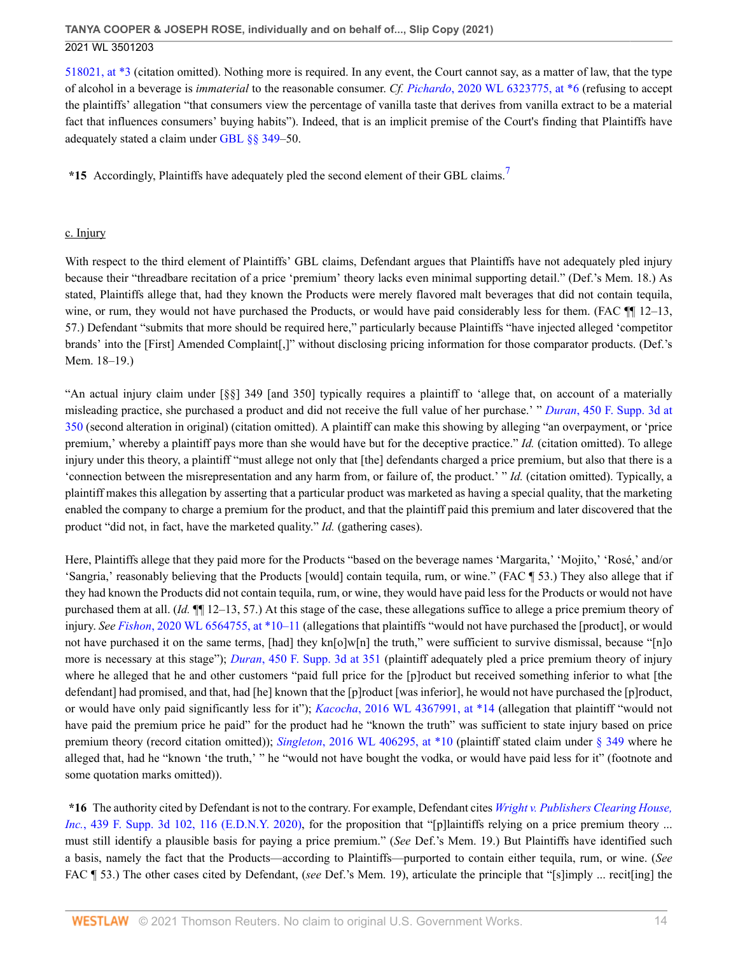[518021, at \\*3](http://www.westlaw.com/Link/Document/FullText?findType=Y&serNum=2052959149&pubNum=0000999&originatingDoc=I50bc8ae0f9e611eb9262974acac519d1&refType=RP&originationContext=document&vr=3.0&rs=cblt1.0&transitionType=DocumentItem&contextData=(sc.UserEnteredCitation)) (citation omitted). Nothing more is required. In any event, the Court cannot say, as a matter of law, that the type of alcohol in a beverage is *immaterial* to the reasonable consumer. *Cf. Pichardo*[, 2020 WL 6323775, at \\*6](http://www.westlaw.com/Link/Document/FullText?findType=Y&serNum=2052252985&pubNum=0000999&originatingDoc=I50bc8ae0f9e611eb9262974acac519d1&refType=RP&originationContext=document&vr=3.0&rs=cblt1.0&transitionType=DocumentItem&contextData=(sc.UserEnteredCitation)) (refusing to accept the plaintiffs' allegation "that consumers view the percentage of vanilla taste that derives from vanilla extract to be a material fact that influences consumers' buying habits"). Indeed, that is an implicit premise of the Court's finding that Plaintiffs have adequately stated a claim under [GBL §§ 349](http://www.westlaw.com/Link/Document/FullText?findType=L&pubNum=1000081&cite=NYGBS349&originatingDoc=I50bc8ae0f9e611eb9262974acac519d1&refType=LQ&originationContext=document&vr=3.0&rs=cblt1.0&transitionType=DocumentItem&contextData=(sc.UserEnteredCitation))–50.

<span id="page-13-0"></span>\*15 Accordingly, Plaintiffs have adequately pled the second element of their GBL claims.<sup>[7](#page-19-6)</sup>

### c. Injury

With respect to the third element of Plaintiffs' GBL claims. Defendant argues that Plaintiffs have not adequately pled injury because their "threadbare recitation of a price 'premium' theory lacks even minimal supporting detail." (Def.'s Mem. 18.) As stated, Plaintiffs allege that, had they known the Products were merely flavored malt beverages that did not contain tequila, wine, or rum, they would not have purchased the Products, or would have paid considerably less for them. (FAC  $\P$  12–13, 57.) Defendant "submits that more should be required here," particularly because Plaintiffs "have injected alleged 'competitor brands' into the [First] Amended Complaint[,]" without disclosing pricing information for those comparator products. (Def.'s Mem. 18–19.)

"An actual injury claim under [§§] 349 [and 350] typically requires a plaintiff to 'allege that, on account of a materially misleading practice, she purchased a product and did not receive the full value of her purchase.' " *Duran*[, 450 F. Supp. 3d at](http://www.westlaw.com/Link/Document/FullText?findType=Y&serNum=2050663328&pubNum=0007903&originatingDoc=I50bc8ae0f9e611eb9262974acac519d1&refType=RP&fi=co_pp_sp_7903_350&originationContext=document&vr=3.0&rs=cblt1.0&transitionType=DocumentItem&contextData=(sc.UserEnteredCitation)#co_pp_sp_7903_350) [350](http://www.westlaw.com/Link/Document/FullText?findType=Y&serNum=2050663328&pubNum=0007903&originatingDoc=I50bc8ae0f9e611eb9262974acac519d1&refType=RP&fi=co_pp_sp_7903_350&originationContext=document&vr=3.0&rs=cblt1.0&transitionType=DocumentItem&contextData=(sc.UserEnteredCitation)#co_pp_sp_7903_350) (second alteration in original) (citation omitted). A plaintiff can make this showing by alleging "an overpayment, or 'price premium,' whereby a plaintiff pays more than she would have but for the deceptive practice." *Id.* (citation omitted). To allege injury under this theory, a plaintiff "must allege not only that [the] defendants charged a price premium, but also that there is a 'connection between the misrepresentation and any harm from, or failure of, the product.' " *Id.* (citation omitted). Typically, a plaintiff makes this allegation by asserting that a particular product was marketed as having a special quality, that the marketing enabled the company to charge a premium for the product, and that the plaintiff paid this premium and later discovered that the product "did not, in fact, have the marketed quality." *Id.* (gathering cases).

Here, Plaintiffs allege that they paid more for the Products "based on the beverage names 'Margarita,' 'Mojito,' 'Rosé,' and/or 'Sangria,' reasonably believing that the Products [would] contain tequila, rum, or wine." (FAC ¶ 53.) They also allege that if they had known the Products did not contain tequila, rum, or wine, they would have paid less for the Products or would not have purchased them at all. (*Id.* ¶¶ 12–13, 57.) At this stage of the case, these allegations suffice to allege a price premium theory of injury. *See Fishon*[, 2020 WL 6564755, at \\*10–11](http://www.westlaw.com/Link/Document/FullText?findType=Y&serNum=2052330646&pubNum=0000999&originatingDoc=I50bc8ae0f9e611eb9262974acac519d1&refType=RP&originationContext=document&vr=3.0&rs=cblt1.0&transitionType=DocumentItem&contextData=(sc.UserEnteredCitation)) (allegations that plaintiffs "would not have purchased the [product], or would not have purchased it on the same terms, [had] they kn[o]w[n] the truth," were sufficient to survive dismissal, because "[n]o more is necessary at this stage"); *Duran*[, 450 F. Supp. 3d at 351](http://www.westlaw.com/Link/Document/FullText?findType=Y&serNum=2050663328&pubNum=0007903&originatingDoc=I50bc8ae0f9e611eb9262974acac519d1&refType=RP&fi=co_pp_sp_7903_351&originationContext=document&vr=3.0&rs=cblt1.0&transitionType=DocumentItem&contextData=(sc.UserEnteredCitation)#co_pp_sp_7903_351) (plaintiff adequately pled a price premium theory of injury where he alleged that he and other customers "paid full price for the [p]roduct but received something inferior to what [the defendant] had promised, and that, had [he] known that the [p]roduct [was inferior], he would not have purchased the [p]roduct, or would have only paid significantly less for it"); *Kacocha*[, 2016 WL 4367991, at \\*14](http://www.westlaw.com/Link/Document/FullText?findType=Y&serNum=2039597486&pubNum=0000999&originatingDoc=I50bc8ae0f9e611eb9262974acac519d1&refType=RP&originationContext=document&vr=3.0&rs=cblt1.0&transitionType=DocumentItem&contextData=(sc.UserEnteredCitation)) (allegation that plaintiff "would not have paid the premium price he paid" for the product had he "known the truth" was sufficient to state injury based on price premium theory (record citation omitted)); *Singleton*[, 2016 WL 406295, at \\*10](http://www.westlaw.com/Link/Document/FullText?findType=Y&serNum=2038219191&pubNum=0000999&originatingDoc=I50bc8ae0f9e611eb9262974acac519d1&refType=RP&originationContext=document&vr=3.0&rs=cblt1.0&transitionType=DocumentItem&contextData=(sc.UserEnteredCitation)) (plaintiff stated claim under [§ 349](http://www.westlaw.com/Link/Document/FullText?findType=L&pubNum=1000081&cite=NYGBS349&originatingDoc=I50bc8ae0f9e611eb9262974acac519d1&refType=LQ&originationContext=document&vr=3.0&rs=cblt1.0&transitionType=DocumentItem&contextData=(sc.UserEnteredCitation)) where he alleged that, had he "known 'the truth,' " he "would not have bought the vodka, or would have paid less for it" (footnote and some quotation marks omitted)).

**\*16** The authority cited by Defendant is not to the contrary. For example, Defendant cites *[Wright v. Publishers Clearing House,](http://www.westlaw.com/Link/Document/FullText?findType=Y&serNum=2050364914&pubNum=0007903&originatingDoc=I50bc8ae0f9e611eb9262974acac519d1&refType=RP&fi=co_pp_sp_7903_116&originationContext=document&vr=3.0&rs=cblt1.0&transitionType=DocumentItem&contextData=(sc.UserEnteredCitation)#co_pp_sp_7903_116) Inc.*[, 439 F. Supp. 3d 102, 116 \(E.D.N.Y. 2020\)](http://www.westlaw.com/Link/Document/FullText?findType=Y&serNum=2050364914&pubNum=0007903&originatingDoc=I50bc8ae0f9e611eb9262974acac519d1&refType=RP&fi=co_pp_sp_7903_116&originationContext=document&vr=3.0&rs=cblt1.0&transitionType=DocumentItem&contextData=(sc.UserEnteredCitation)#co_pp_sp_7903_116), for the proposition that "[p]laintiffs relying on a price premium theory ... must still identify a plausible basis for paying a price premium." (*See* Def.'s Mem. 19.) But Plaintiffs have identified such a basis, namely the fact that the Products—according to Plaintiffs—purported to contain either tequila, rum, or wine. (*See* FAC ¶ 53.) The other cases cited by Defendant, (*see* Def.'s Mem. 19), articulate the principle that "[s]imply ... recit[ing] the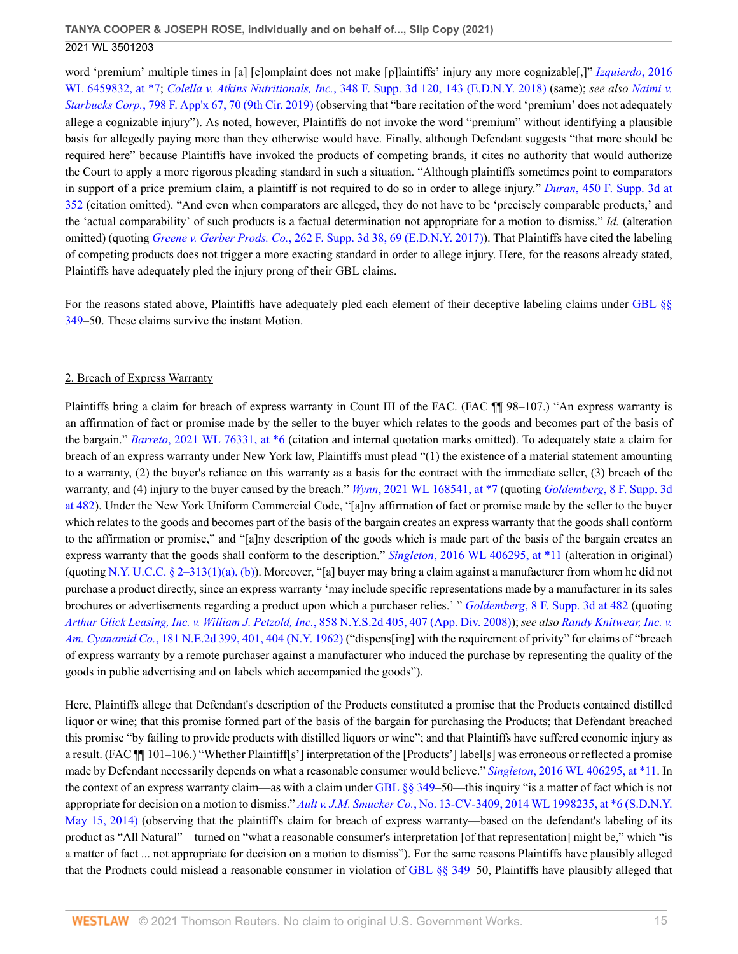word 'premium' multiple times in [a] [c]omplaint does not make [p]laintiffs' injury any more cognizable[,]" *[Izquierdo](http://www.westlaw.com/Link/Document/FullText?findType=Y&serNum=2040227997&pubNum=0000999&originatingDoc=I50bc8ae0f9e611eb9262974acac519d1&refType=RP&originationContext=document&vr=3.0&rs=cblt1.0&transitionType=DocumentItem&contextData=(sc.UserEnteredCitation))*, 2016 [WL 6459832, at \\*7;](http://www.westlaw.com/Link/Document/FullText?findType=Y&serNum=2040227997&pubNum=0000999&originatingDoc=I50bc8ae0f9e611eb9262974acac519d1&refType=RP&originationContext=document&vr=3.0&rs=cblt1.0&transitionType=DocumentItem&contextData=(sc.UserEnteredCitation)) *Colella v. Atkins Nutritionals, Inc.*[, 348 F. Supp. 3d 120, 143 \(E.D.N.Y. 2018\)](http://www.westlaw.com/Link/Document/FullText?findType=Y&serNum=2047054195&pubNum=0007903&originatingDoc=I50bc8ae0f9e611eb9262974acac519d1&refType=RP&fi=co_pp_sp_7903_143&originationContext=document&vr=3.0&rs=cblt1.0&transitionType=DocumentItem&contextData=(sc.UserEnteredCitation)#co_pp_sp_7903_143) (same); *see also [Naimi v.](http://www.westlaw.com/Link/Document/FullText?findType=Y&serNum=2049889006&pubNum=0006538&originatingDoc=I50bc8ae0f9e611eb9262974acac519d1&refType=RP&fi=co_pp_sp_6538_70&originationContext=document&vr=3.0&rs=cblt1.0&transitionType=DocumentItem&contextData=(sc.UserEnteredCitation)#co_pp_sp_6538_70) Starbucks Corp.*[, 798 F. App'x 67, 70 \(9th Cir. 2019\)](http://www.westlaw.com/Link/Document/FullText?findType=Y&serNum=2049889006&pubNum=0006538&originatingDoc=I50bc8ae0f9e611eb9262974acac519d1&refType=RP&fi=co_pp_sp_6538_70&originationContext=document&vr=3.0&rs=cblt1.0&transitionType=DocumentItem&contextData=(sc.UserEnteredCitation)#co_pp_sp_6538_70) (observing that "bare recitation of the word 'premium' does not adequately allege a cognizable injury"). As noted, however, Plaintiffs do not invoke the word "premium" without identifying a plausible basis for allegedly paying more than they otherwise would have. Finally, although Defendant suggests "that more should be required here" because Plaintiffs have invoked the products of competing brands, it cites no authority that would authorize the Court to apply a more rigorous pleading standard in such a situation. "Although plaintiffs sometimes point to comparators in support of a price premium claim, a plaintiff is not required to do so in order to allege injury." *Duran*[, 450 F. Supp. 3d at](http://www.westlaw.com/Link/Document/FullText?findType=Y&serNum=2050663328&pubNum=0007903&originatingDoc=I50bc8ae0f9e611eb9262974acac519d1&refType=RP&fi=co_pp_sp_7903_352&originationContext=document&vr=3.0&rs=cblt1.0&transitionType=DocumentItem&contextData=(sc.UserEnteredCitation)#co_pp_sp_7903_352) [352](http://www.westlaw.com/Link/Document/FullText?findType=Y&serNum=2050663328&pubNum=0007903&originatingDoc=I50bc8ae0f9e611eb9262974acac519d1&refType=RP&fi=co_pp_sp_7903_352&originationContext=document&vr=3.0&rs=cblt1.0&transitionType=DocumentItem&contextData=(sc.UserEnteredCitation)#co_pp_sp_7903_352) (citation omitted). "And even when comparators are alleged, they do not have to be 'precisely comparable products,' and the 'actual comparability' of such products is a factual determination not appropriate for a motion to dismiss." *Id.* (alteration omitted) (quoting *Greene v. Gerber Prods. Co.*[, 262 F. Supp. 3d 38, 69 \(E.D.N.Y. 2017\)](http://www.westlaw.com/Link/Document/FullText?findType=Y&serNum=2042311583&pubNum=0007903&originatingDoc=I50bc8ae0f9e611eb9262974acac519d1&refType=RP&fi=co_pp_sp_7903_69&originationContext=document&vr=3.0&rs=cblt1.0&transitionType=DocumentItem&contextData=(sc.UserEnteredCitation)#co_pp_sp_7903_69)). That Plaintiffs have cited the labeling of competing products does not trigger a more exacting standard in order to allege injury. Here, for the reasons already stated, Plaintiffs have adequately pled the injury prong of their GBL claims.

For the reasons stated above, Plaintiffs have adequately pled each element of their deceptive labeling claims under [GBL §§](http://www.westlaw.com/Link/Document/FullText?findType=L&pubNum=1000081&cite=NYGBS349&originatingDoc=I50bc8ae0f9e611eb9262974acac519d1&refType=LQ&originationContext=document&vr=3.0&rs=cblt1.0&transitionType=DocumentItem&contextData=(sc.UserEnteredCitation)) [349](http://www.westlaw.com/Link/Document/FullText?findType=L&pubNum=1000081&cite=NYGBS349&originatingDoc=I50bc8ae0f9e611eb9262974acac519d1&refType=LQ&originationContext=document&vr=3.0&rs=cblt1.0&transitionType=DocumentItem&contextData=(sc.UserEnteredCitation))–50. These claims survive the instant Motion.

### 2. Breach of Express Warranty

Plaintiffs bring a claim for breach of express warranty in Count III of the FAC. (FAC ¶¶ 98–107.) "An express warranty is an affirmation of fact or promise made by the seller to the buyer which relates to the goods and becomes part of the basis of the bargain." *Barreto*[, 2021 WL 76331, at \\*6](http://www.westlaw.com/Link/Document/FullText?findType=Y&serNum=2052739326&pubNum=0000999&originatingDoc=I50bc8ae0f9e611eb9262974acac519d1&refType=RP&originationContext=document&vr=3.0&rs=cblt1.0&transitionType=DocumentItem&contextData=(sc.UserEnteredCitation)) (citation and internal quotation marks omitted). To adequately state a claim for breach of an express warranty under New York law, Plaintiffs must plead "(1) the existence of a material statement amounting to a warranty, (2) the buyer's reliance on this warranty as a basis for the contract with the immediate seller, (3) breach of the warranty, and (4) injury to the buyer caused by the breach." *Wynn*[, 2021 WL 168541, at \\*7](http://www.westlaw.com/Link/Document/FullText?findType=Y&serNum=2052791643&pubNum=0000999&originatingDoc=I50bc8ae0f9e611eb9262974acac519d1&refType=RP&originationContext=document&vr=3.0&rs=cblt1.0&transitionType=DocumentItem&contextData=(sc.UserEnteredCitation)) (quoting *Goldemberg*[, 8 F. Supp. 3d](http://www.westlaw.com/Link/Document/FullText?findType=Y&serNum=2032998265&pubNum=0007903&originatingDoc=I50bc8ae0f9e611eb9262974acac519d1&refType=RP&fi=co_pp_sp_7903_482&originationContext=document&vr=3.0&rs=cblt1.0&transitionType=DocumentItem&contextData=(sc.UserEnteredCitation)#co_pp_sp_7903_482) [at 482\)](http://www.westlaw.com/Link/Document/FullText?findType=Y&serNum=2032998265&pubNum=0007903&originatingDoc=I50bc8ae0f9e611eb9262974acac519d1&refType=RP&fi=co_pp_sp_7903_482&originationContext=document&vr=3.0&rs=cblt1.0&transitionType=DocumentItem&contextData=(sc.UserEnteredCitation)#co_pp_sp_7903_482). Under the New York Uniform Commercial Code, "[a]ny affirmation of fact or promise made by the seller to the buyer which relates to the goods and becomes part of the basis of the bargain creates an express warranty that the goods shall conform to the affirmation or promise," and "[a]ny description of the goods which is made part of the basis of the bargain creates an express warranty that the goods shall conform to the description." *Singleton*[, 2016 WL 406295, at \\*11](http://www.westlaw.com/Link/Document/FullText?findType=Y&serNum=2038219191&pubNum=0000999&originatingDoc=I50bc8ae0f9e611eb9262974acac519d1&refType=RP&originationContext=document&vr=3.0&rs=cblt1.0&transitionType=DocumentItem&contextData=(sc.UserEnteredCitation)) (alteration in original) (quoting [N.Y. U.C.C. § 2–313\(1\)\(a\), \(b\)](http://www.westlaw.com/Link/Document/FullText?findType=L&pubNum=1000154&cite=NYUCS2-313&originatingDoc=I50bc8ae0f9e611eb9262974acac519d1&refType=SP&originationContext=document&vr=3.0&rs=cblt1.0&transitionType=DocumentItem&contextData=(sc.UserEnteredCitation)#co_pp_9f800000f2221)). Moreover, "[a] buyer may bring a claim against a manufacturer from whom he did not purchase a product directly, since an express warranty 'may include specific representations made by a manufacturer in its sales brochures or advertisements regarding a product upon which a purchaser relies.' " *Goldemberg*[, 8 F. Supp. 3d at 482](http://www.westlaw.com/Link/Document/FullText?findType=Y&serNum=2032998265&pubNum=0007903&originatingDoc=I50bc8ae0f9e611eb9262974acac519d1&refType=RP&fi=co_pp_sp_7903_482&originationContext=document&vr=3.0&rs=cblt1.0&transitionType=DocumentItem&contextData=(sc.UserEnteredCitation)#co_pp_sp_7903_482) (quoting *[Arthur Glick Leasing, Inc. v. William J. Petzold, Inc.](http://www.westlaw.com/Link/Document/FullText?findType=Y&serNum=2015922881&pubNum=0000602&originatingDoc=I50bc8ae0f9e611eb9262974acac519d1&refType=RP&fi=co_pp_sp_602_407&originationContext=document&vr=3.0&rs=cblt1.0&transitionType=DocumentItem&contextData=(sc.UserEnteredCitation)#co_pp_sp_602_407)*, 858 N.Y.S.2d 405, 407 (App. Div. 2008)); *see also [Randy Knitwear, Inc. v.](http://www.westlaw.com/Link/Document/FullText?findType=Y&serNum=1962121488&pubNum=0000578&originatingDoc=I50bc8ae0f9e611eb9262974acac519d1&refType=RP&fi=co_pp_sp_578_401&originationContext=document&vr=3.0&rs=cblt1.0&transitionType=DocumentItem&contextData=(sc.UserEnteredCitation)#co_pp_sp_578_401) Am. Cyanamid Co.*[, 181 N.E.2d 399, 401, 404 \(N.Y. 1962\)](http://www.westlaw.com/Link/Document/FullText?findType=Y&serNum=1962121488&pubNum=0000578&originatingDoc=I50bc8ae0f9e611eb9262974acac519d1&refType=RP&fi=co_pp_sp_578_401&originationContext=document&vr=3.0&rs=cblt1.0&transitionType=DocumentItem&contextData=(sc.UserEnteredCitation)#co_pp_sp_578_401) ("dispens[ing] with the requirement of privity" for claims of "breach of express warranty by a remote purchaser against a manufacturer who induced the purchase by representing the quality of the goods in public advertising and on labels which accompanied the goods").

Here, Plaintiffs allege that Defendant's description of the Products constituted a promise that the Products contained distilled liquor or wine; that this promise formed part of the basis of the bargain for purchasing the Products; that Defendant breached this promise "by failing to provide products with distilled liquors or wine"; and that Plaintiffs have suffered economic injury as a result. (FAC  $\P$  101–106.) "Whether Plaintiff[s'] interpretation of the [Products'] label[s] was erroneous or reflected a promise made by Defendant necessarily depends on what a reasonable consumer would believe." *Singleton*[, 2016 WL 406295, at \\*11](http://www.westlaw.com/Link/Document/FullText?findType=Y&serNum=2038219191&pubNum=0000999&originatingDoc=I50bc8ae0f9e611eb9262974acac519d1&refType=RP&originationContext=document&vr=3.0&rs=cblt1.0&transitionType=DocumentItem&contextData=(sc.UserEnteredCitation)). In the context of an express warranty claim—as with a claim under [GBL §§ 349](http://www.westlaw.com/Link/Document/FullText?findType=L&pubNum=1000081&cite=NYGBS349&originatingDoc=I50bc8ae0f9e611eb9262974acac519d1&refType=LQ&originationContext=document&vr=3.0&rs=cblt1.0&transitionType=DocumentItem&contextData=(sc.UserEnteredCitation))–50—this inquiry "is a matter of fact which is not appropriate for decision on a motion to dismiss." *Ault v. J.M. Smucker Co.*[, No. 13-CV-3409, 2014 WL 1998235, at \\*6 \(S.D.N.Y.](http://www.westlaw.com/Link/Document/FullText?findType=Y&serNum=2033400582&pubNum=0000999&originatingDoc=I50bc8ae0f9e611eb9262974acac519d1&refType=RP&originationContext=document&vr=3.0&rs=cblt1.0&transitionType=DocumentItem&contextData=(sc.UserEnteredCitation)) [May 15, 2014\)](http://www.westlaw.com/Link/Document/FullText?findType=Y&serNum=2033400582&pubNum=0000999&originatingDoc=I50bc8ae0f9e611eb9262974acac519d1&refType=RP&originationContext=document&vr=3.0&rs=cblt1.0&transitionType=DocumentItem&contextData=(sc.UserEnteredCitation)) (observing that the plaintiff's claim for breach of express warranty—based on the defendant's labeling of its product as "All Natural"—turned on "what a reasonable consumer's interpretation [of that representation] might be," which "is a matter of fact ... not appropriate for decision on a motion to dismiss"). For the same reasons Plaintiffs have plausibly alleged that the Products could mislead a reasonable consumer in violation of [GBL §§ 349](http://www.westlaw.com/Link/Document/FullText?findType=L&pubNum=1000081&cite=NYGBS349&originatingDoc=I50bc8ae0f9e611eb9262974acac519d1&refType=LQ&originationContext=document&vr=3.0&rs=cblt1.0&transitionType=DocumentItem&contextData=(sc.UserEnteredCitation))–50, Plaintiffs have plausibly alleged that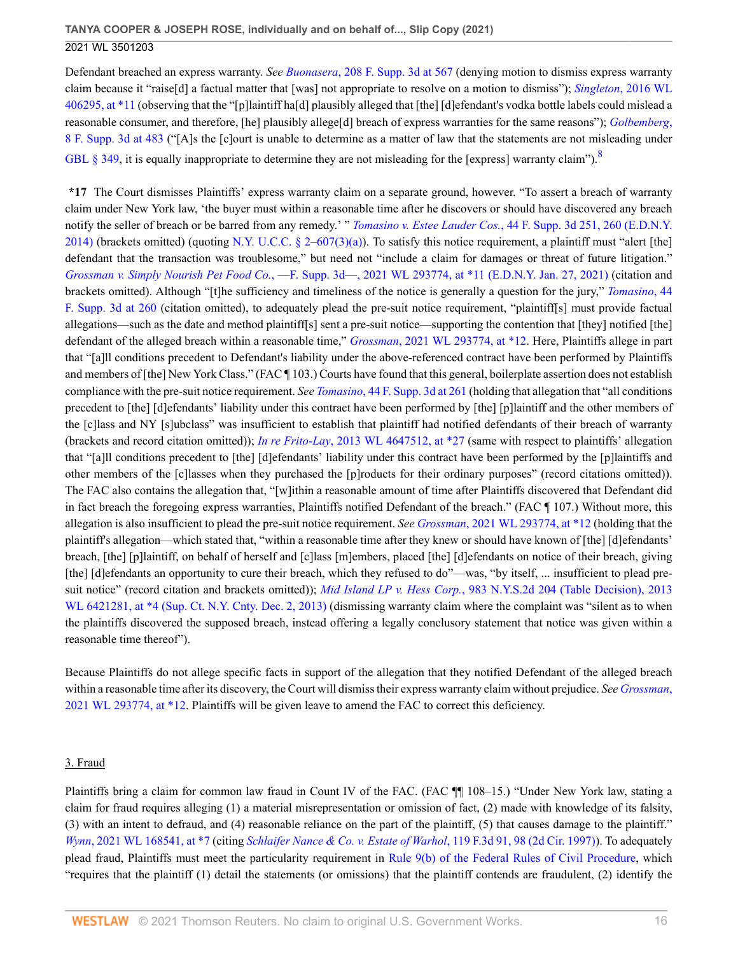Defendant breached an express warranty. *See Buonasera*[, 208 F. Supp. 3d at 567](http://www.westlaw.com/Link/Document/FullText?findType=Y&serNum=2039916009&pubNum=0007903&originatingDoc=I50bc8ae0f9e611eb9262974acac519d1&refType=RP&fi=co_pp_sp_7903_567&originationContext=document&vr=3.0&rs=cblt1.0&transitionType=DocumentItem&contextData=(sc.UserEnteredCitation)#co_pp_sp_7903_567) (denying motion to dismiss express warranty claim because it "raise[d] a factual matter that [was] not appropriate to resolve on a motion to dismiss"); *Singleton*[, 2016 WL](http://www.westlaw.com/Link/Document/FullText?findType=Y&serNum=2038219191&pubNum=0000999&originatingDoc=I50bc8ae0f9e611eb9262974acac519d1&refType=RP&originationContext=document&vr=3.0&rs=cblt1.0&transitionType=DocumentItem&contextData=(sc.UserEnteredCitation)) [406295, at \\*11](http://www.westlaw.com/Link/Document/FullText?findType=Y&serNum=2038219191&pubNum=0000999&originatingDoc=I50bc8ae0f9e611eb9262974acac519d1&refType=RP&originationContext=document&vr=3.0&rs=cblt1.0&transitionType=DocumentItem&contextData=(sc.UserEnteredCitation)) (observing that the "[p]laintiff ha[d] plausibly alleged that [the] [d]efendant's vodka bottle labels could mislead a reasonable consumer, and therefore, [he] plausibly allege[d] breach of express warranties for the same reasons"); *[Golbemberg](http://www.westlaw.com/Link/Document/FullText?findType=Y&serNum=2032998265&pubNum=0007903&originatingDoc=I50bc8ae0f9e611eb9262974acac519d1&refType=RP&fi=co_pp_sp_7903_483&originationContext=document&vr=3.0&rs=cblt1.0&transitionType=DocumentItem&contextData=(sc.UserEnteredCitation)#co_pp_sp_7903_483)*, [8 F. Supp. 3d at 483](http://www.westlaw.com/Link/Document/FullText?findType=Y&serNum=2032998265&pubNum=0007903&originatingDoc=I50bc8ae0f9e611eb9262974acac519d1&refType=RP&fi=co_pp_sp_7903_483&originationContext=document&vr=3.0&rs=cblt1.0&transitionType=DocumentItem&contextData=(sc.UserEnteredCitation)#co_pp_sp_7903_483) ("[A]s the [c]ourt is unable to determine as a matter of law that the statements are not misleading under [GBL § 349,](http://www.westlaw.com/Link/Document/FullText?findType=L&pubNum=1000081&cite=NYGBS349&originatingDoc=I50bc8ae0f9e611eb9262974acac519d1&refType=LQ&originationContext=document&vr=3.0&rs=cblt1.0&transitionType=DocumentItem&contextData=(sc.UserEnteredCitation)) it is equally inappropriate to determine they are not misleading for the [express] warranty claim"). $8$ 

<span id="page-15-0"></span>**\*17** The Court dismisses Plaintiffs' express warranty claim on a separate ground, however. "To assert a breach of warranty claim under New York law, 'the buyer must within a reasonable time after he discovers or should have discovered any breach notify the seller of breach or be barred from any remedy.' " *Tomasino v. Estee Lauder Cos.*[, 44 F. Supp. 3d 251, 260 \(E.D.N.Y.](http://www.westlaw.com/Link/Document/FullText?findType=Y&serNum=2034237147&pubNum=0007903&originatingDoc=I50bc8ae0f9e611eb9262974acac519d1&refType=RP&fi=co_pp_sp_7903_260&originationContext=document&vr=3.0&rs=cblt1.0&transitionType=DocumentItem&contextData=(sc.UserEnteredCitation)#co_pp_sp_7903_260) [2014\)](http://www.westlaw.com/Link/Document/FullText?findType=Y&serNum=2034237147&pubNum=0007903&originatingDoc=I50bc8ae0f9e611eb9262974acac519d1&refType=RP&fi=co_pp_sp_7903_260&originationContext=document&vr=3.0&rs=cblt1.0&transitionType=DocumentItem&contextData=(sc.UserEnteredCitation)#co_pp_sp_7903_260) (brackets omitted) (quoting [N.Y. U.C.C. § 2–607\(3\)\(a\)\)](http://www.westlaw.com/Link/Document/FullText?findType=L&pubNum=1000154&cite=NYUCS2-607&originatingDoc=I50bc8ae0f9e611eb9262974acac519d1&refType=SP&originationContext=document&vr=3.0&rs=cblt1.0&transitionType=DocumentItem&contextData=(sc.UserEnteredCitation)#co_pp_b84a0000fd100). To satisfy this notice requirement, a plaintiff must "alert [the] defendant that the transaction was troublesome," but need not "include a claim for damages or threat of future litigation." *Grossman v. Simply Nourish Pet Food Co.*[, —F. Supp. 3d—, 2021 WL 293774, at \\*11 \(E.D.N.Y. Jan. 27, 2021\)](http://www.westlaw.com/Link/Document/FullText?findType=Y&serNum=2052863825&pubNum=0000999&originatingDoc=I50bc8ae0f9e611eb9262974acac519d1&refType=RP&originationContext=document&vr=3.0&rs=cblt1.0&transitionType=DocumentItem&contextData=(sc.UserEnteredCitation)) (citation and brackets omitted). Although "[t]he sufficiency and timeliness of the notice is generally a question for the jury," *[Tomasino](http://www.westlaw.com/Link/Document/FullText?findType=Y&serNum=2034237147&pubNum=0007903&originatingDoc=I50bc8ae0f9e611eb9262974acac519d1&refType=RP&fi=co_pp_sp_7903_260&originationContext=document&vr=3.0&rs=cblt1.0&transitionType=DocumentItem&contextData=(sc.UserEnteredCitation)#co_pp_sp_7903_260)*, 44 [F. Supp. 3d at 260](http://www.westlaw.com/Link/Document/FullText?findType=Y&serNum=2034237147&pubNum=0007903&originatingDoc=I50bc8ae0f9e611eb9262974acac519d1&refType=RP&fi=co_pp_sp_7903_260&originationContext=document&vr=3.0&rs=cblt1.0&transitionType=DocumentItem&contextData=(sc.UserEnteredCitation)#co_pp_sp_7903_260) (citation omitted), to adequately plead the pre-suit notice requirement, "plaintiff[s] must provide factual allegations—such as the date and method plaintiff[s] sent a pre-suit notice—supporting the contention that [they] notified [the] defendant of the alleged breach within a reasonable time," *Grossman*[, 2021 WL 293774, at \\*12.](http://www.westlaw.com/Link/Document/FullText?findType=Y&serNum=2052863825&pubNum=0000999&originatingDoc=I50bc8ae0f9e611eb9262974acac519d1&refType=RP&originationContext=document&vr=3.0&rs=cblt1.0&transitionType=DocumentItem&contextData=(sc.UserEnteredCitation)) Here, Plaintiffs allege in part that "[a]ll conditions precedent to Defendant's liability under the above-referenced contract have been performed by Plaintiffs and members of [the] New York Class." (FAC ¶ 103.) Courts have found that this general, boilerplate assertion does not establish compliance with the pre-suit notice requirement. *See Tomasino*[, 44 F. Supp. 3d at 261](http://www.westlaw.com/Link/Document/FullText?findType=Y&serNum=2034237147&pubNum=0007903&originatingDoc=I50bc8ae0f9e611eb9262974acac519d1&refType=RP&fi=co_pp_sp_7903_261&originationContext=document&vr=3.0&rs=cblt1.0&transitionType=DocumentItem&contextData=(sc.UserEnteredCitation)#co_pp_sp_7903_261) (holding that allegation that "all conditions precedent to [the] [d]efendants' liability under this contract have been performed by [the] [p]laintiff and the other members of the [c]lass and NY [s]ubclass" was insufficient to establish that plaintiff had notified defendants of their breach of warranty (brackets and record citation omitted)); *In re Frito-Lay*[, 2013 WL 4647512, at \\*27](http://www.westlaw.com/Link/Document/FullText?findType=Y&serNum=2031454760&pubNum=0000999&originatingDoc=I50bc8ae0f9e611eb9262974acac519d1&refType=RP&originationContext=document&vr=3.0&rs=cblt1.0&transitionType=DocumentItem&contextData=(sc.UserEnteredCitation)) (same with respect to plaintiffs' allegation that "[a]ll conditions precedent to [the] [d]efendants' liability under this contract have been performed by the [p]laintiffs and other members of the [c]lasses when they purchased the [p]roducts for their ordinary purposes" (record citations omitted)). The FAC also contains the allegation that, "[w]ithin a reasonable amount of time after Plaintiffs discovered that Defendant did in fact breach the foregoing express warranties, Plaintiffs notified Defendant of the breach." (FAC ¶ 107.) Without more, this allegation is also insufficient to plead the pre-suit notice requirement. *See Grossman*[, 2021 WL 293774, at \\*12](http://www.westlaw.com/Link/Document/FullText?findType=Y&serNum=2052863825&pubNum=0000999&originatingDoc=I50bc8ae0f9e611eb9262974acac519d1&refType=RP&originationContext=document&vr=3.0&rs=cblt1.0&transitionType=DocumentItem&contextData=(sc.UserEnteredCitation)) (holding that the plaintiff's allegation—which stated that, "within a reasonable time after they knew or should have known of [the] [d]efendants' breach, [the] [p]laintiff, on behalf of herself and [c]lass [m]embers, placed [the] [d]efendants on notice of their breach, giving [the] [d]efendants an opportunity to cure their breach, which they refused to do"—was, "by itself, ... insufficient to plead presuit notice" (record citation and brackets omitted)); *Mid Island LP v. Hess Corp.*[, 983 N.Y.S.2d 204 \(Table Decision\), 2013](http://www.westlaw.com/Link/Document/FullText?findType=Y&serNum=2032253485&pubNum=0000602&originatingDoc=I50bc8ae0f9e611eb9262974acac519d1&refType=RP&originationContext=document&vr=3.0&rs=cblt1.0&transitionType=DocumentItem&contextData=(sc.UserEnteredCitation)) [WL 6421281, at \\*4 \(Sup. Ct. N.Y. Cnty. Dec. 2, 2013\)](http://www.westlaw.com/Link/Document/FullText?findType=Y&serNum=2032253485&pubNum=0000602&originatingDoc=I50bc8ae0f9e611eb9262974acac519d1&refType=RP&originationContext=document&vr=3.0&rs=cblt1.0&transitionType=DocumentItem&contextData=(sc.UserEnteredCitation)) (dismissing warranty claim where the complaint was "silent as to when the plaintiffs discovered the supposed breach, instead offering a legally conclusory statement that notice was given within a reasonable time thereof").

Because Plaintiffs do not allege specific facts in support of the allegation that they notified Defendant of the alleged breach within a reasonable time after its discovery, the Court will dismiss their express warranty claim without prejudice. *See [Grossman](http://www.westlaw.com/Link/Document/FullText?findType=Y&serNum=2052863825&pubNum=0000999&originatingDoc=I50bc8ae0f9e611eb9262974acac519d1&refType=RP&originationContext=document&vr=3.0&rs=cblt1.0&transitionType=DocumentItem&contextData=(sc.UserEnteredCitation))*, [2021 WL 293774, at \\*12](http://www.westlaw.com/Link/Document/FullText?findType=Y&serNum=2052863825&pubNum=0000999&originatingDoc=I50bc8ae0f9e611eb9262974acac519d1&refType=RP&originationContext=document&vr=3.0&rs=cblt1.0&transitionType=DocumentItem&contextData=(sc.UserEnteredCitation)). Plaintiffs will be given leave to amend the FAC to correct this deficiency.

# 3. Fraud

Plaintiffs bring a claim for common law fraud in Count IV of the FAC. (FAC ¶¶ 108–15.) "Under New York law, stating a claim for fraud requires alleging (1) a material misrepresentation or omission of fact, (2) made with knowledge of its falsity, (3) with an intent to defraud, and (4) reasonable reliance on the part of the plaintiff, (5) that causes damage to the plaintiff." *Wynn*[, 2021 WL 168541, at \\*7](http://www.westlaw.com/Link/Document/FullText?findType=Y&serNum=2052791643&pubNum=0000999&originatingDoc=I50bc8ae0f9e611eb9262974acac519d1&refType=RP&originationContext=document&vr=3.0&rs=cblt1.0&transitionType=DocumentItem&contextData=(sc.UserEnteredCitation)) (citing *[Schlaifer Nance & Co. v. Estate of Warhol](http://www.westlaw.com/Link/Document/FullText?findType=Y&serNum=1997145388&pubNum=0000506&originatingDoc=I50bc8ae0f9e611eb9262974acac519d1&refType=RP&fi=co_pp_sp_506_98&originationContext=document&vr=3.0&rs=cblt1.0&transitionType=DocumentItem&contextData=(sc.UserEnteredCitation)#co_pp_sp_506_98)*, 119 F.3d 91, 98 (2d Cir. 1997)). To adequately plead fraud, Plaintiffs must meet the particularity requirement in [Rule 9\(b\) of the Federal Rules of Civil Procedure,](http://www.westlaw.com/Link/Document/FullText?findType=L&pubNum=1000600&cite=USFRCPR9&originatingDoc=I50bc8ae0f9e611eb9262974acac519d1&refType=LQ&originationContext=document&vr=3.0&rs=cblt1.0&transitionType=DocumentItem&contextData=(sc.UserEnteredCitation)) which "requires that the plaintiff (1) detail the statements (or omissions) that the plaintiff contends are fraudulent, (2) identify the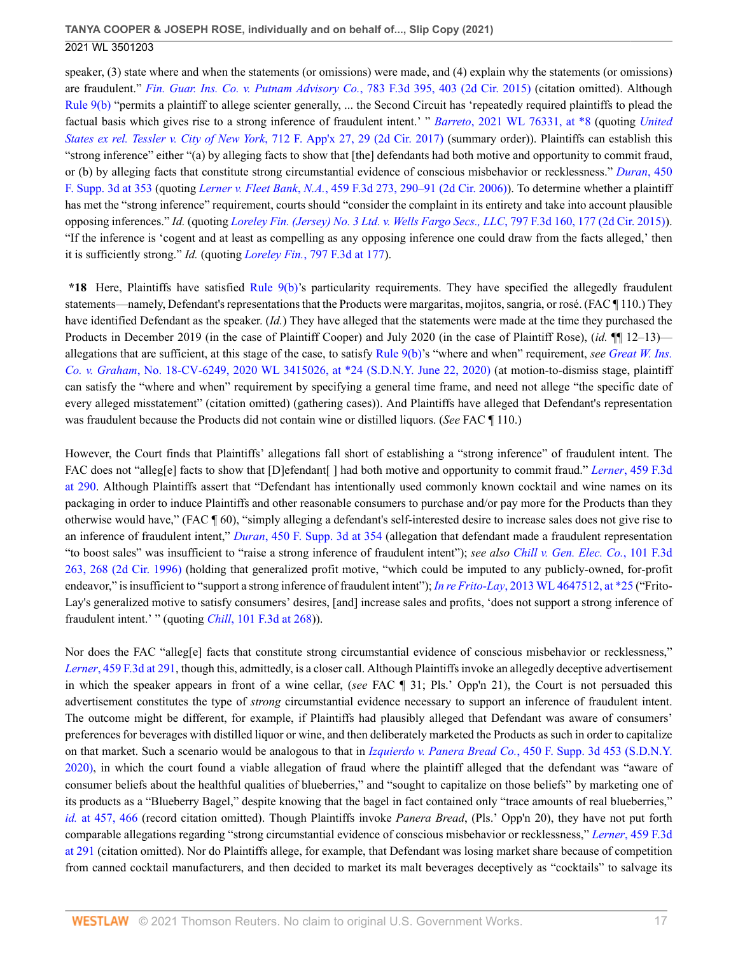speaker, (3) state where and when the statements (or omissions) were made, and (4) explain why the statements (or omissions) are fraudulent." *[Fin. Guar. Ins. Co. v. Putnam Advisory Co.](http://www.westlaw.com/Link/Document/FullText?findType=Y&serNum=2035807800&pubNum=0000506&originatingDoc=I50bc8ae0f9e611eb9262974acac519d1&refType=RP&fi=co_pp_sp_506_403&originationContext=document&vr=3.0&rs=cblt1.0&transitionType=DocumentItem&contextData=(sc.UserEnteredCitation)#co_pp_sp_506_403)*, 783 F.3d 395, 403 (2d Cir. 2015) (citation omitted). Although [Rule 9\(b\)](http://www.westlaw.com/Link/Document/FullText?findType=L&pubNum=1000600&cite=USFRCPR9&originatingDoc=I50bc8ae0f9e611eb9262974acac519d1&refType=LQ&originationContext=document&vr=3.0&rs=cblt1.0&transitionType=DocumentItem&contextData=(sc.UserEnteredCitation)) "permits a plaintiff to allege scienter generally, ... the Second Circuit has 'repeatedly required plaintiffs to plead the factual basis which gives rise to a strong inference of fraudulent intent.' " *Barreto*[, 2021 WL 76331, at \\*8](http://www.westlaw.com/Link/Document/FullText?findType=Y&serNum=2052739326&pubNum=0000999&originatingDoc=I50bc8ae0f9e611eb9262974acac519d1&refType=RP&originationContext=document&vr=3.0&rs=cblt1.0&transitionType=DocumentItem&contextData=(sc.UserEnteredCitation)) (quoting *[United](http://www.westlaw.com/Link/Document/FullText?findType=Y&serNum=2042816900&pubNum=0006538&originatingDoc=I50bc8ae0f9e611eb9262974acac519d1&refType=RP&fi=co_pp_sp_6538_29&originationContext=document&vr=3.0&rs=cblt1.0&transitionType=DocumentItem&contextData=(sc.UserEnteredCitation)#co_pp_sp_6538_29) [States ex rel. Tessler v. City of New York](http://www.westlaw.com/Link/Document/FullText?findType=Y&serNum=2042816900&pubNum=0006538&originatingDoc=I50bc8ae0f9e611eb9262974acac519d1&refType=RP&fi=co_pp_sp_6538_29&originationContext=document&vr=3.0&rs=cblt1.0&transitionType=DocumentItem&contextData=(sc.UserEnteredCitation)#co_pp_sp_6538_29)*, 712 F. App'x 27, 29 (2d Cir. 2017) (summary order)). Plaintiffs can establish this "strong inference" either "(a) by alleging facts to show that [the] defendants had both motive and opportunity to commit fraud, or (b) by alleging facts that constitute strong circumstantial evidence of conscious misbehavior or recklessness." *[Duran](http://www.westlaw.com/Link/Document/FullText?findType=Y&serNum=2050663328&pubNum=0007903&originatingDoc=I50bc8ae0f9e611eb9262974acac519d1&refType=RP&fi=co_pp_sp_7903_353&originationContext=document&vr=3.0&rs=cblt1.0&transitionType=DocumentItem&contextData=(sc.UserEnteredCitation)#co_pp_sp_7903_353)*, 450 [F. Supp. 3d at 353](http://www.westlaw.com/Link/Document/FullText?findType=Y&serNum=2050663328&pubNum=0007903&originatingDoc=I50bc8ae0f9e611eb9262974acac519d1&refType=RP&fi=co_pp_sp_7903_353&originationContext=document&vr=3.0&rs=cblt1.0&transitionType=DocumentItem&contextData=(sc.UserEnteredCitation)#co_pp_sp_7903_353) (quoting *Lerner v. Fleet Bank*, *N.A.*[, 459 F.3d 273, 290–91 \(2d Cir. 2006\)\)](http://www.westlaw.com/Link/Document/FullText?findType=Y&serNum=2009685068&pubNum=0000506&originatingDoc=I50bc8ae0f9e611eb9262974acac519d1&refType=RP&fi=co_pp_sp_506_290&originationContext=document&vr=3.0&rs=cblt1.0&transitionType=DocumentItem&contextData=(sc.UserEnteredCitation)#co_pp_sp_506_290). To determine whether a plaintiff has met the "strong inference" requirement, courts should "consider the complaint in its entirety and take into account plausible opposing inferences." *Id.* (quoting *[Loreley Fin. \(Jersey\) No. 3 Ltd. v. Wells Fargo Secs., LLC](http://www.westlaw.com/Link/Document/FullText?findType=Y&serNum=2036754262&pubNum=0000506&originatingDoc=I50bc8ae0f9e611eb9262974acac519d1&refType=RP&fi=co_pp_sp_506_177&originationContext=document&vr=3.0&rs=cblt1.0&transitionType=DocumentItem&contextData=(sc.UserEnteredCitation)#co_pp_sp_506_177)*, 797 F.3d 160, 177 (2d Cir. 2015)). "If the inference is 'cogent and at least as compelling as any opposing inference one could draw from the facts alleged,' then it is sufficiently strong." *Id.* (quoting *Loreley Fin.*[, 797 F.3d at 177](http://www.westlaw.com/Link/Document/FullText?findType=Y&serNum=2036754262&pubNum=0000506&originatingDoc=I50bc8ae0f9e611eb9262974acac519d1&refType=RP&fi=co_pp_sp_506_177&originationContext=document&vr=3.0&rs=cblt1.0&transitionType=DocumentItem&contextData=(sc.UserEnteredCitation)#co_pp_sp_506_177)).

**\*18** Here, Plaintiffs have satisfied [Rule 9\(b\)](http://www.westlaw.com/Link/Document/FullText?findType=L&pubNum=1000600&cite=USFRCPR9&originatingDoc=I50bc8ae0f9e611eb9262974acac519d1&refType=LQ&originationContext=document&vr=3.0&rs=cblt1.0&transitionType=DocumentItem&contextData=(sc.UserEnteredCitation))'s particularity requirements. They have specified the allegedly fraudulent statements—namely, Defendant's representations that the Products were margaritas, mojitos, sangria, or rosé. (FAC ¶ 110.) They have identified Defendant as the speaker. (*Id.*) They have alleged that the statements were made at the time they purchased the Products in December 2019 (in the case of Plaintiff Cooper) and July 2020 (in the case of Plaintiff Rose), (*id.* ¶¶ 12–13) allegations that are sufficient, at this stage of the case, to satisfy [Rule 9\(b\)](http://www.westlaw.com/Link/Document/FullText?findType=L&pubNum=1000600&cite=USFRCPR9&originatingDoc=I50bc8ae0f9e611eb9262974acac519d1&refType=LQ&originationContext=document&vr=3.0&rs=cblt1.0&transitionType=DocumentItem&contextData=(sc.UserEnteredCitation))'s "where and when" requirement, *see [Great W. Ins.](http://www.westlaw.com/Link/Document/FullText?findType=Y&serNum=2051309129&pubNum=0000999&originatingDoc=I50bc8ae0f9e611eb9262974acac519d1&refType=RP&originationContext=document&vr=3.0&rs=cblt1.0&transitionType=DocumentItem&contextData=(sc.UserEnteredCitation)) Co. v. Graham*[, No. 18-CV-6249, 2020 WL 3415026, at \\*24 \(S.D.N.Y. June 22, 2020\)](http://www.westlaw.com/Link/Document/FullText?findType=Y&serNum=2051309129&pubNum=0000999&originatingDoc=I50bc8ae0f9e611eb9262974acac519d1&refType=RP&originationContext=document&vr=3.0&rs=cblt1.0&transitionType=DocumentItem&contextData=(sc.UserEnteredCitation)) (at motion-to-dismiss stage, plaintiff can satisfy the "where and when" requirement by specifying a general time frame, and need not allege "the specific date of every alleged misstatement" (citation omitted) (gathering cases)). And Plaintiffs have alleged that Defendant's representation was fraudulent because the Products did not contain wine or distilled liquors. (*See* FAC ¶ 110.)

However, the Court finds that Plaintiffs' allegations fall short of establishing a "strong inference" of fraudulent intent. The FAC does not "alleg[e] facts to show that [D]efendant[ ] had both motive and opportunity to commit fraud." *Lerner*[, 459 F.3d](http://www.westlaw.com/Link/Document/FullText?findType=Y&serNum=2009685068&pubNum=0000506&originatingDoc=I50bc8ae0f9e611eb9262974acac519d1&refType=RP&fi=co_pp_sp_506_290&originationContext=document&vr=3.0&rs=cblt1.0&transitionType=DocumentItem&contextData=(sc.UserEnteredCitation)#co_pp_sp_506_290) [at 290.](http://www.westlaw.com/Link/Document/FullText?findType=Y&serNum=2009685068&pubNum=0000506&originatingDoc=I50bc8ae0f9e611eb9262974acac519d1&refType=RP&fi=co_pp_sp_506_290&originationContext=document&vr=3.0&rs=cblt1.0&transitionType=DocumentItem&contextData=(sc.UserEnteredCitation)#co_pp_sp_506_290) Although Plaintiffs assert that "Defendant has intentionally used commonly known cocktail and wine names on its packaging in order to induce Plaintiffs and other reasonable consumers to purchase and/or pay more for the Products than they otherwise would have," (FAC ¶ 60), "simply alleging a defendant's self-interested desire to increase sales does not give rise to an inference of fraudulent intent," *Duran*[, 450 F. Supp. 3d at 354](http://www.westlaw.com/Link/Document/FullText?findType=Y&serNum=2050663328&pubNum=0007903&originatingDoc=I50bc8ae0f9e611eb9262974acac519d1&refType=RP&fi=co_pp_sp_7903_354&originationContext=document&vr=3.0&rs=cblt1.0&transitionType=DocumentItem&contextData=(sc.UserEnteredCitation)#co_pp_sp_7903_354) (allegation that defendant made a fraudulent representation "to boost sales" was insufficient to "raise a strong inference of fraudulent intent"); *see also [Chill v. Gen. Elec. Co.](http://www.westlaw.com/Link/Document/FullText?findType=Y&serNum=1996264170&pubNum=0000506&originatingDoc=I50bc8ae0f9e611eb9262974acac519d1&refType=RP&fi=co_pp_sp_506_268&originationContext=document&vr=3.0&rs=cblt1.0&transitionType=DocumentItem&contextData=(sc.UserEnteredCitation)#co_pp_sp_506_268)*, 101 F.3d [263, 268 \(2d Cir. 1996\)](http://www.westlaw.com/Link/Document/FullText?findType=Y&serNum=1996264170&pubNum=0000506&originatingDoc=I50bc8ae0f9e611eb9262974acac519d1&refType=RP&fi=co_pp_sp_506_268&originationContext=document&vr=3.0&rs=cblt1.0&transitionType=DocumentItem&contextData=(sc.UserEnteredCitation)#co_pp_sp_506_268) (holding that generalized profit motive, "which could be imputed to any publicly-owned, for-profit endeavor," is insufficient to "support a strong inference of fraudulent intent"); *In re Frito-Lay*[, 2013 WL 4647512, at \\*25](http://www.westlaw.com/Link/Document/FullText?findType=Y&serNum=2031454760&pubNum=0000999&originatingDoc=I50bc8ae0f9e611eb9262974acac519d1&refType=RP&originationContext=document&vr=3.0&rs=cblt1.0&transitionType=DocumentItem&contextData=(sc.UserEnteredCitation)) ("Frito-Lay's generalized motive to satisfy consumers' desires, [and] increase sales and profits, 'does not support a strong inference of fraudulent intent.' " (quoting *Chill*[, 101 F.3d at 268\)](http://www.westlaw.com/Link/Document/FullText?findType=Y&serNum=1996264170&pubNum=0000506&originatingDoc=I50bc8ae0f9e611eb9262974acac519d1&refType=RP&fi=co_pp_sp_506_268&originationContext=document&vr=3.0&rs=cblt1.0&transitionType=DocumentItem&contextData=(sc.UserEnteredCitation)#co_pp_sp_506_268)).

Nor does the FAC "alleg[e] facts that constitute strong circumstantial evidence of conscious misbehavior or recklessness," *Lerner*[, 459 F.3d at 291,](http://www.westlaw.com/Link/Document/FullText?findType=Y&serNum=2009685068&pubNum=0000506&originatingDoc=I50bc8ae0f9e611eb9262974acac519d1&refType=RP&fi=co_pp_sp_506_291&originationContext=document&vr=3.0&rs=cblt1.0&transitionType=DocumentItem&contextData=(sc.UserEnteredCitation)#co_pp_sp_506_291) though this, admittedly, is a closer call. Although Plaintiffs invoke an allegedly deceptive advertisement in which the speaker appears in front of a wine cellar, (*see* FAC ¶ 31; Pls.' Opp'n 21), the Court is not persuaded this advertisement constitutes the type of *strong* circumstantial evidence necessary to support an inference of fraudulent intent. The outcome might be different, for example, if Plaintiffs had plausibly alleged that Defendant was aware of consumers' preferences for beverages with distilled liquor or wine, and then deliberately marketed the Products as such in order to capitalize on that market. Such a scenario would be analogous to that in *Izquierdo v. Panera Bread Co.*[, 450 F. Supp. 3d 453 \(S.D.N.Y.](http://www.westlaw.com/Link/Document/FullText?findType=Y&serNum=2050663425&pubNum=0007903&originatingDoc=I50bc8ae0f9e611eb9262974acac519d1&refType=RP&originationContext=document&vr=3.0&rs=cblt1.0&transitionType=DocumentItem&contextData=(sc.UserEnteredCitation)) [2020\)](http://www.westlaw.com/Link/Document/FullText?findType=Y&serNum=2050663425&pubNum=0007903&originatingDoc=I50bc8ae0f9e611eb9262974acac519d1&refType=RP&originationContext=document&vr=3.0&rs=cblt1.0&transitionType=DocumentItem&contextData=(sc.UserEnteredCitation)), in which the court found a viable allegation of fraud where the plaintiff alleged that the defendant was "aware of consumer beliefs about the healthful qualities of blueberries," and "sought to capitalize on those beliefs" by marketing one of its products as a "Blueberry Bagel," despite knowing that the bagel in fact contained only "trace amounts of real blueberries," *id.* [at 457, 466](http://www.westlaw.com/Link/Document/FullText?findType=Y&serNum=2050663425&pubNum=0007903&originatingDoc=I50bc8ae0f9e611eb9262974acac519d1&refType=RP&fi=co_pp_sp_7903_457&originationContext=document&vr=3.0&rs=cblt1.0&transitionType=DocumentItem&contextData=(sc.UserEnteredCitation)#co_pp_sp_7903_457) (record citation omitted). Though Plaintiffs invoke *Panera Bread*, (Pls.' Opp'n 20), they have not put forth comparable allegations regarding "strong circumstantial evidence of conscious misbehavior or recklessness," *Lerner*[, 459 F.3d](http://www.westlaw.com/Link/Document/FullText?findType=Y&serNum=2009685068&pubNum=0000506&originatingDoc=I50bc8ae0f9e611eb9262974acac519d1&refType=RP&fi=co_pp_sp_506_291&originationContext=document&vr=3.0&rs=cblt1.0&transitionType=DocumentItem&contextData=(sc.UserEnteredCitation)#co_pp_sp_506_291) [at 291](http://www.westlaw.com/Link/Document/FullText?findType=Y&serNum=2009685068&pubNum=0000506&originatingDoc=I50bc8ae0f9e611eb9262974acac519d1&refType=RP&fi=co_pp_sp_506_291&originationContext=document&vr=3.0&rs=cblt1.0&transitionType=DocumentItem&contextData=(sc.UserEnteredCitation)#co_pp_sp_506_291) (citation omitted). Nor do Plaintiffs allege, for example, that Defendant was losing market share because of competition from canned cocktail manufacturers, and then decided to market its malt beverages deceptively as "cocktails" to salvage its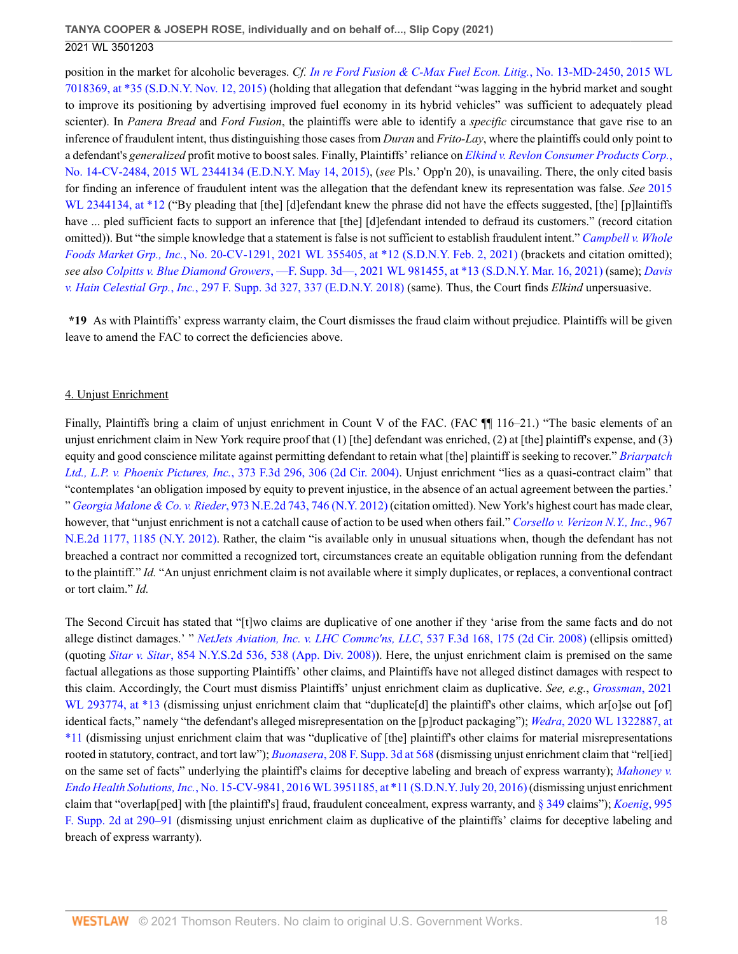position in the market for alcoholic beverages. *Cf. [In re Ford Fusion & C-Max Fuel Econ. Litig.](http://www.westlaw.com/Link/Document/FullText?findType=Y&serNum=2037583576&pubNum=0000999&originatingDoc=I50bc8ae0f9e611eb9262974acac519d1&refType=RP&originationContext=document&vr=3.0&rs=cblt1.0&transitionType=DocumentItem&contextData=(sc.UserEnteredCitation))*, No. 13-MD-2450, 2015 WL [7018369, at \\*35 \(S.D.N.Y. Nov. 12, 2015\)](http://www.westlaw.com/Link/Document/FullText?findType=Y&serNum=2037583576&pubNum=0000999&originatingDoc=I50bc8ae0f9e611eb9262974acac519d1&refType=RP&originationContext=document&vr=3.0&rs=cblt1.0&transitionType=DocumentItem&contextData=(sc.UserEnteredCitation)) (holding that allegation that defendant "was lagging in the hybrid market and sought to improve its positioning by advertising improved fuel economy in its hybrid vehicles" was sufficient to adequately plead scienter). In *Panera Bread* and *Ford Fusion*, the plaintiffs were able to identify a *specific* circumstance that gave rise to an inference of fraudulent intent, thus distinguishing those cases from *Duran* and *Frito-Lay*, where the plaintiffs could only point to a defendant's *generalized* profit motive to boost sales. Finally, Plaintiffs' reliance on *[Elkind v. Revlon Consumer Products Corp.](http://www.westlaw.com/Link/Document/FullText?findType=Y&serNum=2036282540&pubNum=0000999&originatingDoc=I50bc8ae0f9e611eb9262974acac519d1&refType=RP&originationContext=document&vr=3.0&rs=cblt1.0&transitionType=DocumentItem&contextData=(sc.UserEnteredCitation))*, [No. 14-CV-2484, 2015 WL 2344134 \(E.D.N.Y. May 14, 2015\),](http://www.westlaw.com/Link/Document/FullText?findType=Y&serNum=2036282540&pubNum=0000999&originatingDoc=I50bc8ae0f9e611eb9262974acac519d1&refType=RP&originationContext=document&vr=3.0&rs=cblt1.0&transitionType=DocumentItem&contextData=(sc.UserEnteredCitation)) (*see* Pls.' Opp'n 20), is unavailing. There, the only cited basis for finding an inference of fraudulent intent was the allegation that the defendant knew its representation was false. *See* [2015](http://www.westlaw.com/Link/Document/FullText?findType=Y&serNum=2036282540&pubNum=0000999&originatingDoc=I50bc8ae0f9e611eb9262974acac519d1&refType=RP&originationContext=document&vr=3.0&rs=cblt1.0&transitionType=DocumentItem&contextData=(sc.UserEnteredCitation)) [WL 2344134, at \\*12](http://www.westlaw.com/Link/Document/FullText?findType=Y&serNum=2036282540&pubNum=0000999&originatingDoc=I50bc8ae0f9e611eb9262974acac519d1&refType=RP&originationContext=document&vr=3.0&rs=cblt1.0&transitionType=DocumentItem&contextData=(sc.UserEnteredCitation)) ("By pleading that [the] [d]efendant knew the phrase did not have the effects suggested, [the] [p]laintiffs have ... pled sufficient facts to support an inference that [the] [d]efendant intended to defraud its customers." (record citation omitted)). But "the simple knowledge that a statement is false is not sufficient to establish fraudulent intent." *[Campbell v. Whole](http://www.westlaw.com/Link/Document/FullText?findType=Y&serNum=2052894676&pubNum=0000999&originatingDoc=I50bc8ae0f9e611eb9262974acac519d1&refType=RP&originationContext=document&vr=3.0&rs=cblt1.0&transitionType=DocumentItem&contextData=(sc.UserEnteredCitation)) Foods Market Grp., Inc.*[, No. 20-CV-1291, 2021 WL 355405, at \\*12 \(S.D.N.Y. Feb. 2, 2021\)](http://www.westlaw.com/Link/Document/FullText?findType=Y&serNum=2052894676&pubNum=0000999&originatingDoc=I50bc8ae0f9e611eb9262974acac519d1&refType=RP&originationContext=document&vr=3.0&rs=cblt1.0&transitionType=DocumentItem&contextData=(sc.UserEnteredCitation)) (brackets and citation omitted); *see also Colpitts v. Blue Diamond Growers*[, —F. Supp. 3d—, 2021 WL 981455, at \\*13 \(S.D.N.Y. Mar. 16, 2021\)](http://www.westlaw.com/Link/Document/FullText?findType=Y&serNum=2053259617&pubNum=0000999&originatingDoc=I50bc8ae0f9e611eb9262974acac519d1&refType=RP&originationContext=document&vr=3.0&rs=cblt1.0&transitionType=DocumentItem&contextData=(sc.UserEnteredCitation)) (same); *[Davis](http://www.westlaw.com/Link/Document/FullText?findType=Y&serNum=2044234976&pubNum=0007903&originatingDoc=I50bc8ae0f9e611eb9262974acac519d1&refType=RP&fi=co_pp_sp_7903_337&originationContext=document&vr=3.0&rs=cblt1.0&transitionType=DocumentItem&contextData=(sc.UserEnteredCitation)#co_pp_sp_7903_337) v. Hain Celestial Grp.*, *Inc.*[, 297 F. Supp. 3d 327, 337 \(E.D.N.Y. 2018\)](http://www.westlaw.com/Link/Document/FullText?findType=Y&serNum=2044234976&pubNum=0007903&originatingDoc=I50bc8ae0f9e611eb9262974acac519d1&refType=RP&fi=co_pp_sp_7903_337&originationContext=document&vr=3.0&rs=cblt1.0&transitionType=DocumentItem&contextData=(sc.UserEnteredCitation)#co_pp_sp_7903_337) (same). Thus, the Court finds *Elkind* unpersuasive.

**\*19** As with Plaintiffs' express warranty claim, the Court dismisses the fraud claim without prejudice. Plaintiffs will be given leave to amend the FAC to correct the deficiencies above.

### 4. Unjust Enrichment

Finally, Plaintiffs bring a claim of unjust enrichment in Count V of the FAC. (FAC ¶ 116–21.) "The basic elements of an unjust enrichment claim in New York require proof that  $(1)$  [the] defendant was enriched,  $(2)$  at [the] plaintiff's expense, and  $(3)$ equity and good conscience militate against permitting defendant to retain what [the] plaintiff is seeking to recover." *[Briarpatch](http://www.westlaw.com/Link/Document/FullText?findType=Y&serNum=2004632018&pubNum=0000506&originatingDoc=I50bc8ae0f9e611eb9262974acac519d1&refType=RP&fi=co_pp_sp_506_306&originationContext=document&vr=3.0&rs=cblt1.0&transitionType=DocumentItem&contextData=(sc.UserEnteredCitation)#co_pp_sp_506_306) Ltd., L.P. v. Phoenix Pictures, Inc.*[, 373 F.3d 296, 306 \(2d Cir. 2004\)](http://www.westlaw.com/Link/Document/FullText?findType=Y&serNum=2004632018&pubNum=0000506&originatingDoc=I50bc8ae0f9e611eb9262974acac519d1&refType=RP&fi=co_pp_sp_506_306&originationContext=document&vr=3.0&rs=cblt1.0&transitionType=DocumentItem&contextData=(sc.UserEnteredCitation)#co_pp_sp_506_306). Unjust enrichment "lies as a quasi-contract claim" that "contemplates 'an obligation imposed by equity to prevent injustice, in the absence of an actual agreement between the parties.' " *Georgia Malone & Co. v. Rieder*[, 973 N.E.2d 743, 746 \(N.Y. 2012\)](http://www.westlaw.com/Link/Document/FullText?findType=Y&serNum=2027995941&pubNum=0000578&originatingDoc=I50bc8ae0f9e611eb9262974acac519d1&refType=RP&fi=co_pp_sp_578_746&originationContext=document&vr=3.0&rs=cblt1.0&transitionType=DocumentItem&contextData=(sc.UserEnteredCitation)#co_pp_sp_578_746) (citation omitted). New York's highest court has made clear, however, that "unjust enrichment is not a catchall cause of action to be used when others fail." *[Corsello v. Verizon N.Y., Inc.](http://www.westlaw.com/Link/Document/FullText?findType=Y&serNum=2027397459&pubNum=0000578&originatingDoc=I50bc8ae0f9e611eb9262974acac519d1&refType=RP&fi=co_pp_sp_578_1185&originationContext=document&vr=3.0&rs=cblt1.0&transitionType=DocumentItem&contextData=(sc.UserEnteredCitation)#co_pp_sp_578_1185)*, 967 [N.E.2d 1177, 1185 \(N.Y. 2012\).](http://www.westlaw.com/Link/Document/FullText?findType=Y&serNum=2027397459&pubNum=0000578&originatingDoc=I50bc8ae0f9e611eb9262974acac519d1&refType=RP&fi=co_pp_sp_578_1185&originationContext=document&vr=3.0&rs=cblt1.0&transitionType=DocumentItem&contextData=(sc.UserEnteredCitation)#co_pp_sp_578_1185) Rather, the claim "is available only in unusual situations when, though the defendant has not breached a contract nor committed a recognized tort, circumstances create an equitable obligation running from the defendant to the plaintiff." *Id.* "An unjust enrichment claim is not available where it simply duplicates, or replaces, a conventional contract or tort claim." *Id.*

The Second Circuit has stated that "[t]wo claims are duplicative of one another if they 'arise from the same facts and do not allege distinct damages.' " *[NetJets Aviation, Inc. v. LHC Commc'ns, LLC](http://www.westlaw.com/Link/Document/FullText?findType=Y&serNum=2016722212&pubNum=0000506&originatingDoc=I50bc8ae0f9e611eb9262974acac519d1&refType=RP&fi=co_pp_sp_506_175&originationContext=document&vr=3.0&rs=cblt1.0&transitionType=DocumentItem&contextData=(sc.UserEnteredCitation)#co_pp_sp_506_175)*, 537 F.3d 168, 175 (2d Cir. 2008) (ellipsis omitted) (quoting *Sitar v. Sitar*[, 854 N.Y.S.2d 536, 538 \(App. Div. 2008\)](http://www.westlaw.com/Link/Document/FullText?findType=Y&serNum=2015666039&pubNum=0000602&originatingDoc=I50bc8ae0f9e611eb9262974acac519d1&refType=RP&fi=co_pp_sp_602_538&originationContext=document&vr=3.0&rs=cblt1.0&transitionType=DocumentItem&contextData=(sc.UserEnteredCitation)#co_pp_sp_602_538)). Here, the unjust enrichment claim is premised on the same factual allegations as those supporting Plaintiffs' other claims, and Plaintiffs have not alleged distinct damages with respect to this claim. Accordingly, the Court must dismiss Plaintiffs' unjust enrichment claim as duplicative. *See, e.g.*, *[Grossman](http://www.westlaw.com/Link/Document/FullText?findType=Y&serNum=2052863825&pubNum=0000999&originatingDoc=I50bc8ae0f9e611eb9262974acac519d1&refType=RP&originationContext=document&vr=3.0&rs=cblt1.0&transitionType=DocumentItem&contextData=(sc.UserEnteredCitation))*, 2021 [WL 293774, at \\*13](http://www.westlaw.com/Link/Document/FullText?findType=Y&serNum=2052863825&pubNum=0000999&originatingDoc=I50bc8ae0f9e611eb9262974acac519d1&refType=RP&originationContext=document&vr=3.0&rs=cblt1.0&transitionType=DocumentItem&contextData=(sc.UserEnteredCitation)) (dismissing unjust enrichment claim that "duplicate[d] the plaintiff's other claims, which ar[o]se out [of] identical facts," namely "the defendant's alleged misrepresentation on the [p]roduct packaging"); *Wedra*[, 2020 WL 1322887, at](http://www.westlaw.com/Link/Document/FullText?findType=Y&serNum=2050614862&pubNum=0000999&originatingDoc=I50bc8ae0f9e611eb9262974acac519d1&refType=RP&originationContext=document&vr=3.0&rs=cblt1.0&transitionType=DocumentItem&contextData=(sc.UserEnteredCitation)) [\\*11](http://www.westlaw.com/Link/Document/FullText?findType=Y&serNum=2050614862&pubNum=0000999&originatingDoc=I50bc8ae0f9e611eb9262974acac519d1&refType=RP&originationContext=document&vr=3.0&rs=cblt1.0&transitionType=DocumentItem&contextData=(sc.UserEnteredCitation)) (dismissing unjust enrichment claim that was "duplicative of [the] plaintiff's other claims for material misrepresentations rooted in statutory, contract, and tort law"); *Buonasera*[, 208 F. Supp. 3d at 568](http://www.westlaw.com/Link/Document/FullText?findType=Y&serNum=2039916009&pubNum=0007903&originatingDoc=I50bc8ae0f9e611eb9262974acac519d1&refType=RP&fi=co_pp_sp_7903_568&originationContext=document&vr=3.0&rs=cblt1.0&transitionType=DocumentItem&contextData=(sc.UserEnteredCitation)#co_pp_sp_7903_568) (dismissing unjust enrichment claim that "rel[ied] on the same set of facts" underlying the plaintiff's claims for deceptive labeling and breach of express warranty); *[Mahoney v.](http://www.westlaw.com/Link/Document/FullText?findType=Y&serNum=2039420980&pubNum=0000999&originatingDoc=I50bc8ae0f9e611eb9262974acac519d1&refType=RP&originationContext=document&vr=3.0&rs=cblt1.0&transitionType=DocumentItem&contextData=(sc.UserEnteredCitation)) Endo Health Solutions, Inc.*[, No. 15-CV-9841, 2016 WL 3951185, at \\*11 \(S.D.N.Y. July 20, 2016\)](http://www.westlaw.com/Link/Document/FullText?findType=Y&serNum=2039420980&pubNum=0000999&originatingDoc=I50bc8ae0f9e611eb9262974acac519d1&refType=RP&originationContext=document&vr=3.0&rs=cblt1.0&transitionType=DocumentItem&contextData=(sc.UserEnteredCitation)) (dismissing unjust enrichment claim that "overlap[ped] with [the plaintiff's] fraud, fraudulent concealment, express warranty, and [§ 349](http://www.westlaw.com/Link/Document/FullText?findType=L&pubNum=1000081&cite=NYGBS349&originatingDoc=I50bc8ae0f9e611eb9262974acac519d1&refType=LQ&originationContext=document&vr=3.0&rs=cblt1.0&transitionType=DocumentItem&contextData=(sc.UserEnteredCitation)) claims"); *[Koenig](http://www.westlaw.com/Link/Document/FullText?findType=Y&serNum=2032644555&pubNum=0004637&originatingDoc=I50bc8ae0f9e611eb9262974acac519d1&refType=RP&fi=co_pp_sp_4637_290&originationContext=document&vr=3.0&rs=cblt1.0&transitionType=DocumentItem&contextData=(sc.UserEnteredCitation)#co_pp_sp_4637_290)*, 995 [F. Supp. 2d at 290–91](http://www.westlaw.com/Link/Document/FullText?findType=Y&serNum=2032644555&pubNum=0004637&originatingDoc=I50bc8ae0f9e611eb9262974acac519d1&refType=RP&fi=co_pp_sp_4637_290&originationContext=document&vr=3.0&rs=cblt1.0&transitionType=DocumentItem&contextData=(sc.UserEnteredCitation)#co_pp_sp_4637_290) (dismissing unjust enrichment claim as duplicative of the plaintiffs' claims for deceptive labeling and breach of express warranty).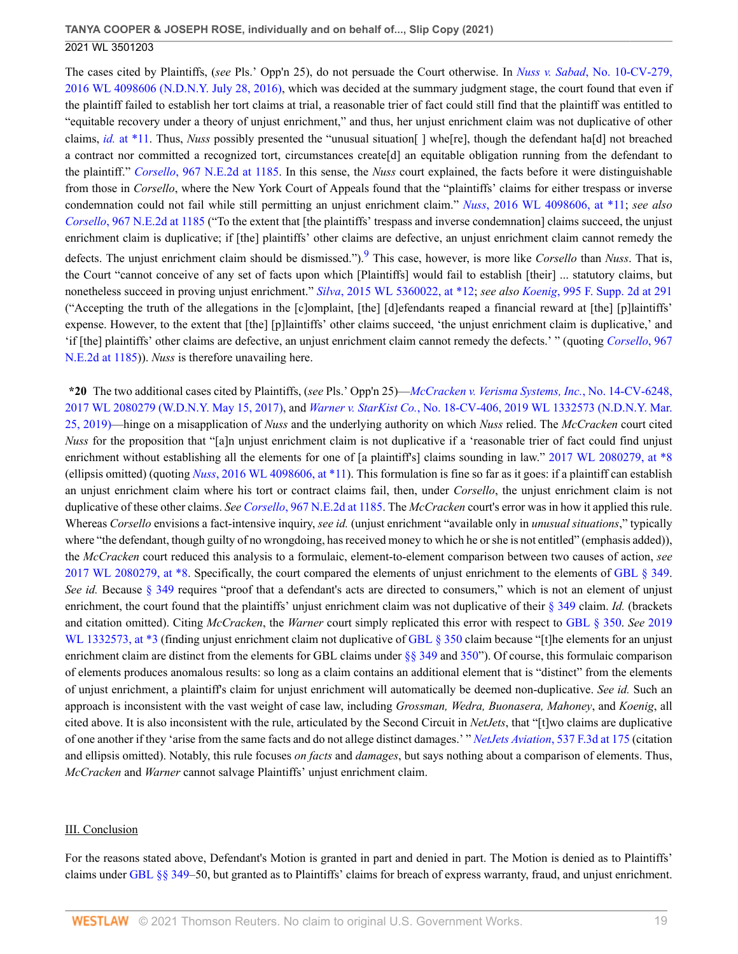The cases cited by Plaintiffs, (*see* Pls.' Opp'n 25), do not persuade the Court otherwise. In *Nuss v. Sabad*[, No. 10-CV-279,](http://www.westlaw.com/Link/Document/FullText?findType=Y&serNum=2039488060&pubNum=0000999&originatingDoc=I50bc8ae0f9e611eb9262974acac519d1&refType=RP&originationContext=document&vr=3.0&rs=cblt1.0&transitionType=DocumentItem&contextData=(sc.UserEnteredCitation)) [2016 WL 4098606 \(N.D.N.Y. July 28, 2016\),](http://www.westlaw.com/Link/Document/FullText?findType=Y&serNum=2039488060&pubNum=0000999&originatingDoc=I50bc8ae0f9e611eb9262974acac519d1&refType=RP&originationContext=document&vr=3.0&rs=cblt1.0&transitionType=DocumentItem&contextData=(sc.UserEnteredCitation)) which was decided at the summary judgment stage, the court found that even if the plaintiff failed to establish her tort claims at trial, a reasonable trier of fact could still find that the plaintiff was entitled to "equitable recovery under a theory of unjust enrichment," and thus, her unjust enrichment claim was not duplicative of other claims, *id.* [at \\*11.](http://www.westlaw.com/Link/Document/FullText?findType=Y&serNum=2050614862&pubNum=0000999&originatingDoc=I50bc8ae0f9e611eb9262974acac519d1&refType=RP&originationContext=document&vr=3.0&rs=cblt1.0&transitionType=DocumentItem&contextData=(sc.UserEnteredCitation)) Thus, *Nuss* possibly presented the "unusual situation[ ] whe[re], though the defendant ha[d] not breached a contract nor committed a recognized tort, circumstances create[d] an equitable obligation running from the defendant to the plaintiff." *Corsello*[, 967 N.E.2d at 1185](http://www.westlaw.com/Link/Document/FullText?findType=Y&serNum=2027397459&pubNum=0000578&originatingDoc=I50bc8ae0f9e611eb9262974acac519d1&refType=RP&fi=co_pp_sp_578_1185&originationContext=document&vr=3.0&rs=cblt1.0&transitionType=DocumentItem&contextData=(sc.UserEnteredCitation)#co_pp_sp_578_1185). In this sense, the *Nuss* court explained, the facts before it were distinguishable from those in *Corsello*, where the New York Court of Appeals found that the "plaintiffs' claims for either trespass or inverse condemnation could not fail while still permitting an unjust enrichment claim." *Nuss*[, 2016 WL 4098606, at \\*11;](http://www.westlaw.com/Link/Document/FullText?findType=Y&serNum=2039488060&pubNum=0000999&originatingDoc=I50bc8ae0f9e611eb9262974acac519d1&refType=RP&originationContext=document&vr=3.0&rs=cblt1.0&transitionType=DocumentItem&contextData=(sc.UserEnteredCitation)) *see also Corsello*[, 967 N.E.2d at 1185](http://www.westlaw.com/Link/Document/FullText?findType=Y&serNum=2027397459&pubNum=0000578&originatingDoc=I50bc8ae0f9e611eb9262974acac519d1&refType=RP&fi=co_pp_sp_578_1185&originationContext=document&vr=3.0&rs=cblt1.0&transitionType=DocumentItem&contextData=(sc.UserEnteredCitation)#co_pp_sp_578_1185) ("To the extent that [the plaintiffs' trespass and inverse condemnation] claims succeed, the unjust enrichment claim is duplicative; if [the] plaintiffs' other claims are defective, an unjust enrichment claim cannot remedy the defects. The unjust enrichment claim should be dismissed.").[9](#page-20-1) This case, however, is more like *Corsello* than *Nuss*. That is, the Court "cannot conceive of any set of facts upon which [Plaintiffs] would fail to establish [their] ... statutory claims, but nonetheless succeed in proving unjust enrichment." *Silva*[, 2015 WL 5360022, at \\*12;](http://www.westlaw.com/Link/Document/FullText?findType=Y&serNum=2037169696&pubNum=0000999&originatingDoc=I50bc8ae0f9e611eb9262974acac519d1&refType=RP&originationContext=document&vr=3.0&rs=cblt1.0&transitionType=DocumentItem&contextData=(sc.UserEnteredCitation)) *see also Koenig*[, 995 F. Supp. 2d at 291](http://www.westlaw.com/Link/Document/FullText?findType=Y&serNum=2032644555&pubNum=0004637&originatingDoc=I50bc8ae0f9e611eb9262974acac519d1&refType=RP&fi=co_pp_sp_4637_291&originationContext=document&vr=3.0&rs=cblt1.0&transitionType=DocumentItem&contextData=(sc.UserEnteredCitation)#co_pp_sp_4637_291) ("Accepting the truth of the allegations in the [c]omplaint, [the] [d]efendants reaped a financial reward at [the] [p]laintiffs' expense. However, to the extent that [the] [p]laintiffs' other claims succeed, 'the unjust enrichment claim is duplicative,' and 'if [the] plaintiffs' other claims are defective, an unjust enrichment claim cannot remedy the defects.' " (quoting *[Corsello](http://www.westlaw.com/Link/Document/FullText?findType=Y&serNum=2027397459&pubNum=0000578&originatingDoc=I50bc8ae0f9e611eb9262974acac519d1&refType=RP&fi=co_pp_sp_578_1185&originationContext=document&vr=3.0&rs=cblt1.0&transitionType=DocumentItem&contextData=(sc.UserEnteredCitation)#co_pp_sp_578_1185)*, 967 [N.E.2d at 1185](http://www.westlaw.com/Link/Document/FullText?findType=Y&serNum=2027397459&pubNum=0000578&originatingDoc=I50bc8ae0f9e611eb9262974acac519d1&refType=RP&fi=co_pp_sp_578_1185&originationContext=document&vr=3.0&rs=cblt1.0&transitionType=DocumentItem&contextData=(sc.UserEnteredCitation)#co_pp_sp_578_1185))). *Nuss* is therefore unavailing here.

<span id="page-18-0"></span>**\*20** The two additional cases cited by Plaintiffs, (*see* Pls.' Opp'n 25)—*[McCracken v. Verisma Systems, Inc.](http://www.westlaw.com/Link/Document/FullText?findType=Y&serNum=2041656451&pubNum=0000999&originatingDoc=I50bc8ae0f9e611eb9262974acac519d1&refType=RP&originationContext=document&vr=3.0&rs=cblt1.0&transitionType=DocumentItem&contextData=(sc.UserEnteredCitation))*, No. 14-CV-6248, [2017 WL 2080279 \(W.D.N.Y. May 15, 2017\),](http://www.westlaw.com/Link/Document/FullText?findType=Y&serNum=2041656451&pubNum=0000999&originatingDoc=I50bc8ae0f9e611eb9262974acac519d1&refType=RP&originationContext=document&vr=3.0&rs=cblt1.0&transitionType=DocumentItem&contextData=(sc.UserEnteredCitation)) and *Warner v. StarKist Co.*[, No. 18-CV-406, 2019 WL 1332573 \(N.D.N.Y. Mar.](http://www.westlaw.com/Link/Document/FullText?findType=Y&serNum=2047849446&pubNum=0000999&originatingDoc=I50bc8ae0f9e611eb9262974acac519d1&refType=RP&originationContext=document&vr=3.0&rs=cblt1.0&transitionType=DocumentItem&contextData=(sc.UserEnteredCitation)) [25, 2019\)](http://www.westlaw.com/Link/Document/FullText?findType=Y&serNum=2047849446&pubNum=0000999&originatingDoc=I50bc8ae0f9e611eb9262974acac519d1&refType=RP&originationContext=document&vr=3.0&rs=cblt1.0&transitionType=DocumentItem&contextData=(sc.UserEnteredCitation))—hinge on a misapplication of *Nuss* and the underlying authority on which *Nuss* relied. The *McCracken* court cited *Nuss* for the proposition that "[a]n unjust enrichment claim is not duplicative if a 'reasonable trier of fact could find unjust enrichment without establishing all the elements for one of [a plaintiff's] claims sounding in law." [2017 WL 2080279, at \\*8](http://www.westlaw.com/Link/Document/FullText?findType=Y&serNum=2041656451&pubNum=0000999&originatingDoc=I50bc8ae0f9e611eb9262974acac519d1&refType=RP&originationContext=document&vr=3.0&rs=cblt1.0&transitionType=DocumentItem&contextData=(sc.UserEnteredCitation)) (ellipsis omitted) (quoting *Nuss*[, 2016 WL 4098606, at \\*11\)](http://www.westlaw.com/Link/Document/FullText?findType=Y&serNum=2039488060&pubNum=0000999&originatingDoc=I50bc8ae0f9e611eb9262974acac519d1&refType=RP&originationContext=document&vr=3.0&rs=cblt1.0&transitionType=DocumentItem&contextData=(sc.UserEnteredCitation)). This formulation is fine so far as it goes: if a plaintiff can establish an unjust enrichment claim where his tort or contract claims fail, then, under *Corsello*, the unjust enrichment claim is not duplicative of these other claims. *See Corsello*[, 967 N.E.2d at 1185.](http://www.westlaw.com/Link/Document/FullText?findType=Y&serNum=2027397459&pubNum=0000578&originatingDoc=I50bc8ae0f9e611eb9262974acac519d1&refType=RP&fi=co_pp_sp_578_1185&originationContext=document&vr=3.0&rs=cblt1.0&transitionType=DocumentItem&contextData=(sc.UserEnteredCitation)#co_pp_sp_578_1185) The *McCracken* court's error was in how it applied this rule. Whereas *Corsello* envisions a fact-intensive inquiry, *see id.* (unjust enrichment "available only in *unusual situations*," typically where "the defendant, though guilty of no wrongdoing, has received money to which he or she is not entitled" (emphasis added)). the *McCracken* court reduced this analysis to a formulaic, element-to-element comparison between two causes of action, *see* [2017 WL 2080279, at \\*8.](http://www.westlaw.com/Link/Document/FullText?findType=Y&serNum=2041656451&pubNum=0000999&originatingDoc=I50bc8ae0f9e611eb9262974acac519d1&refType=RP&originationContext=document&vr=3.0&rs=cblt1.0&transitionType=DocumentItem&contextData=(sc.UserEnteredCitation)) Specifically, the court compared the elements of unjust enrichment to the elements of [GBL § 349.](http://www.westlaw.com/Link/Document/FullText?findType=L&pubNum=1000081&cite=NYGBS349&originatingDoc=I50bc8ae0f9e611eb9262974acac519d1&refType=LQ&originationContext=document&vr=3.0&rs=cblt1.0&transitionType=DocumentItem&contextData=(sc.UserEnteredCitation)) *See id.* Because [§ 349](http://www.westlaw.com/Link/Document/FullText?findType=L&pubNum=1000081&cite=NYGBS349&originatingDoc=I50bc8ae0f9e611eb9262974acac519d1&refType=LQ&originationContext=document&vr=3.0&rs=cblt1.0&transitionType=DocumentItem&contextData=(sc.UserEnteredCitation)) requires "proof that a defendant's acts are directed to consumers," which is not an element of unjust enrichment, the court found that the plaintiffs' unjust enrichment claim was not duplicative of their [§ 349](http://www.westlaw.com/Link/Document/FullText?findType=L&pubNum=1000081&cite=NYGBS349&originatingDoc=I50bc8ae0f9e611eb9262974acac519d1&refType=LQ&originationContext=document&vr=3.0&rs=cblt1.0&transitionType=DocumentItem&contextData=(sc.UserEnteredCitation)) claim. *Id.* (brackets and citation omitted). Citing *McCracken*, the *Warner* court simply replicated this error with respect to [GBL § 350.](http://www.westlaw.com/Link/Document/FullText?findType=L&pubNum=1000081&cite=NYGBS350&originatingDoc=I50bc8ae0f9e611eb9262974acac519d1&refType=LQ&originationContext=document&vr=3.0&rs=cblt1.0&transitionType=DocumentItem&contextData=(sc.UserEnteredCitation)) *See* [2019](http://www.westlaw.com/Link/Document/FullText?findType=Y&serNum=2047849446&pubNum=0000999&originatingDoc=I50bc8ae0f9e611eb9262974acac519d1&refType=RP&originationContext=document&vr=3.0&rs=cblt1.0&transitionType=DocumentItem&contextData=(sc.UserEnteredCitation)) [WL 1332573, at \\*3](http://www.westlaw.com/Link/Document/FullText?findType=Y&serNum=2047849446&pubNum=0000999&originatingDoc=I50bc8ae0f9e611eb9262974acac519d1&refType=RP&originationContext=document&vr=3.0&rs=cblt1.0&transitionType=DocumentItem&contextData=(sc.UserEnteredCitation)) (finding unjust enrichment claim not duplicative of [GBL § 350](http://www.westlaw.com/Link/Document/FullText?findType=L&pubNum=1000081&cite=NYGBS350&originatingDoc=I50bc8ae0f9e611eb9262974acac519d1&refType=LQ&originationContext=document&vr=3.0&rs=cblt1.0&transitionType=DocumentItem&contextData=(sc.UserEnteredCitation)) claim because "[t]he elements for an unjust enrichment claim are distinct from the elements for GBL claims under  $\S$  349 and [350](http://www.westlaw.com/Link/Document/FullText?findType=L&pubNum=1000081&cite=NYGBS350&originatingDoc=I50bc8ae0f9e611eb9262974acac519d1&refType=LQ&originationContext=document&vr=3.0&rs=cblt1.0&transitionType=DocumentItem&contextData=(sc.UserEnteredCitation))"). Of course, this formulaic comparison of elements produces anomalous results: so long as a claim contains an additional element that is "distinct" from the elements of unjust enrichment, a plaintiff's claim for unjust enrichment will automatically be deemed non-duplicative. *See id.* Such an approach is inconsistent with the vast weight of case law, including *Grossman, Wedra, Buonasera, Mahoney*, and *Koenig*, all cited above. It is also inconsistent with the rule, articulated by the Second Circuit in *NetJets*, that "[t]wo claims are duplicative of one another if they 'arise from the same facts and do not allege distinct damages.' " *NetJets Aviation*[, 537 F.3d at 175](http://www.westlaw.com/Link/Document/FullText?findType=Y&serNum=2016722212&pubNum=0000506&originatingDoc=I50bc8ae0f9e611eb9262974acac519d1&refType=RP&fi=co_pp_sp_506_175&originationContext=document&vr=3.0&rs=cblt1.0&transitionType=DocumentItem&contextData=(sc.UserEnteredCitation)#co_pp_sp_506_175) (citation and ellipsis omitted). Notably, this rule focuses *on facts* and *damages*, but says nothing about a comparison of elements. Thus, *McCracken* and *Warner* cannot salvage Plaintiffs' unjust enrichment claim.

#### III. Conclusion

For the reasons stated above, Defendant's Motion is granted in part and denied in part. The Motion is denied as to Plaintiffs' claims under [GBL §§ 349](http://www.westlaw.com/Link/Document/FullText?findType=L&pubNum=1000081&cite=NYGBS349&originatingDoc=I50bc8ae0f9e611eb9262974acac519d1&refType=LQ&originationContext=document&vr=3.0&rs=cblt1.0&transitionType=DocumentItem&contextData=(sc.UserEnteredCitation))–50, but granted as to Plaintiffs' claims for breach of express warranty, fraud, and unjust enrichment.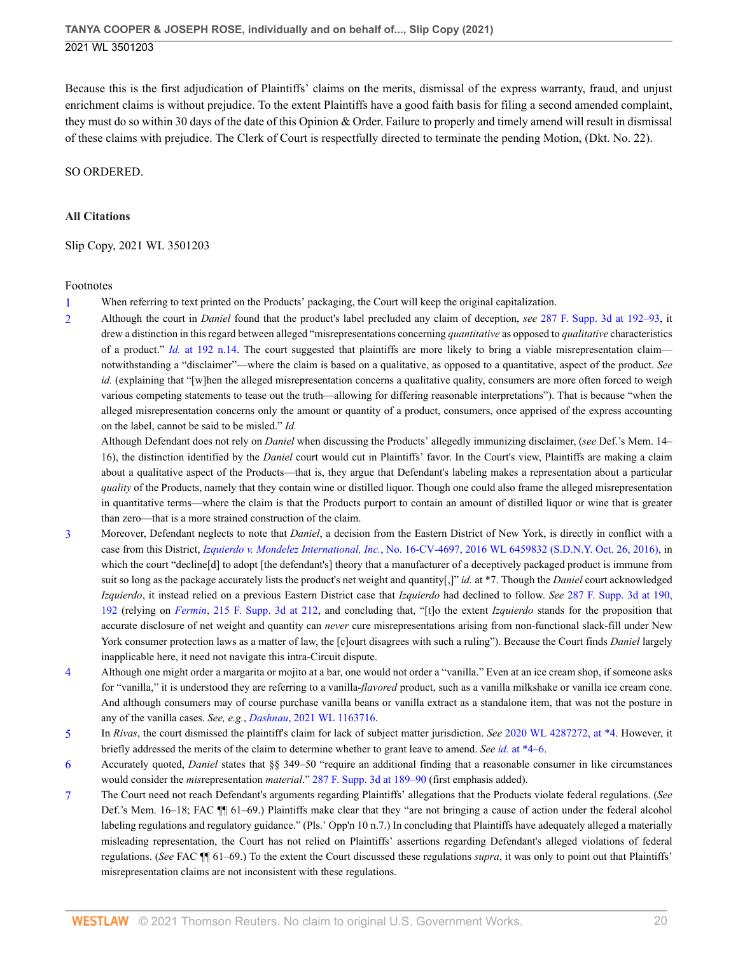Because this is the first adjudication of Plaintiffs' claims on the merits, dismissal of the express warranty, fraud, and unjust enrichment claims is without prejudice. To the extent Plaintiffs have a good faith basis for filing a second amended complaint, they must do so within 30 days of the date of this Opinion & Order. Failure to properly and timely amend will result in dismissal of these claims with prejudice. The Clerk of Court is respectfully directed to terminate the pending Motion, (Dkt. No. 22).

SO ORDERED.

### **All Citations**

Slip Copy, 2021 WL 3501203

#### Footnotes

<span id="page-19-0"></span>[1](#page-1-0) When referring to text printed on the Products' packaging, the Court will keep the original capitalization.

<span id="page-19-1"></span>[2](#page-6-0) Although the court in *Daniel* found that the product's label precluded any claim of deception, *see* [287 F. Supp. 3d at 192–93,](http://www.westlaw.com/Link/Document/FullText?findType=Y&serNum=2043906822&pubNum=0007903&originatingDoc=I50bc8ae0f9e611eb9262974acac519d1&refType=RP&fi=co_pp_sp_7903_192&originationContext=document&vr=3.0&rs=cblt1.0&transitionType=DocumentItem&contextData=(sc.UserEnteredCitation)#co_pp_sp_7903_192) it drew a distinction in this regard between alleged "misrepresentations concerning *quantitative* as opposed to *qualitative* characteristics of a product." *Id.* [at 192 n.14](http://www.westlaw.com/Link/Document/FullText?findType=Y&serNum=2043906822&pubNum=0007903&originatingDoc=I50bc8ae0f9e611eb9262974acac519d1&refType=RP&fi=co_pp_sp_7903_192&originationContext=document&vr=3.0&rs=cblt1.0&transitionType=DocumentItem&contextData=(sc.UserEnteredCitation)#co_pp_sp_7903_192). The court suggested that plaintiffs are more likely to bring a viable misrepresentation claim notwithstanding a "disclaimer"—where the claim is based on a qualitative, as opposed to a quantitative, aspect of the product. *See id.* (explaining that "[w]hen the alleged misrepresentation concerns a qualitative quality, consumers are more often forced to weigh various competing statements to tease out the truth—allowing for differing reasonable interpretations"). That is because "when the alleged misrepresentation concerns only the amount or quantity of a product, consumers, once apprised of the express accounting on the label, cannot be said to be misled." *Id.*

Although Defendant does not rely on *Daniel* when discussing the Products' allegedly immunizing disclaimer, (*see* Def.'s Mem. 14– 16), the distinction identified by the *Daniel* court would cut in Plaintiffs' favor. In the Court's view, Plaintiffs are making a claim about a qualitative aspect of the Products—that is, they argue that Defendant's labeling makes a representation about a particular *quality* of the Products, namely that they contain wine or distilled liquor. Though one could also frame the alleged misrepresentation in quantitative terms—where the claim is that the Products purport to contain an amount of distilled liquor or wine that is greater than zero—that is a more strained construction of the claim.

- <span id="page-19-2"></span>[3](#page-6-1) Moreover, Defendant neglects to note that *Daniel*, a decision from the Eastern District of New York, is directly in conflict with a case from this District, *Izquierdo v. Mondelez International, Inc.*[, No. 16-CV-4697, 2016 WL 6459832 \(S.D.N.Y. Oct. 26, 2016\)](http://www.westlaw.com/Link/Document/FullText?findType=Y&serNum=2040227997&pubNum=0000999&originatingDoc=I50bc8ae0f9e611eb9262974acac519d1&refType=RP&originationContext=document&vr=3.0&rs=cblt1.0&transitionType=DocumentItem&contextData=(sc.UserEnteredCitation)), in which the court "decline[d] to adopt [the defendant's] theory that a manufacturer of a deceptively packaged product is immune from suit so long as the package accurately lists the product's net weight and quantity[,]" *id.* at \*7. Though the *Daniel* court acknowledged *Izquierdo*, it instead relied on a previous Eastern District case that *Izquierdo* had declined to follow. *See* [287 F. Supp. 3d at 190,](http://www.westlaw.com/Link/Document/FullText?findType=Y&serNum=2043906822&pubNum=0007903&originatingDoc=I50bc8ae0f9e611eb9262974acac519d1&refType=RP&fi=co_pp_sp_7903_190&originationContext=document&vr=3.0&rs=cblt1.0&transitionType=DocumentItem&contextData=(sc.UserEnteredCitation)#co_pp_sp_7903_190) [192](http://www.westlaw.com/Link/Document/FullText?findType=Y&serNum=2043906822&pubNum=0007903&originatingDoc=I50bc8ae0f9e611eb9262974acac519d1&refType=RP&fi=co_pp_sp_7903_190&originationContext=document&vr=3.0&rs=cblt1.0&transitionType=DocumentItem&contextData=(sc.UserEnteredCitation)#co_pp_sp_7903_190) (relying on *Fermin*[, 215 F. Supp. 3d at 212,](http://www.westlaw.com/Link/Document/FullText?findType=Y&serNum=2040160038&pubNum=0007903&originatingDoc=I50bc8ae0f9e611eb9262974acac519d1&refType=RP&fi=co_pp_sp_7903_212&originationContext=document&vr=3.0&rs=cblt1.0&transitionType=DocumentItem&contextData=(sc.UserEnteredCitation)#co_pp_sp_7903_212) and concluding that, "[t]o the extent *Izquierdo* stands for the proposition that accurate disclosure of net weight and quantity can *never* cure misrepresentations arising from non-functional slack-fill under New York consumer protection laws as a matter of law, the [c]ourt disagrees with such a ruling"). Because the Court finds *Daniel* largely inapplicable here, it need not navigate this intra-Circuit dispute.
- <span id="page-19-3"></span>[4](#page-8-0) Although one might order a margarita or mojito at a bar, one would not order a "vanilla." Even at an ice cream shop, if someone asks for "vanilla," it is understood they are referring to a vanilla-*flavored* product, such as a vanilla milkshake or vanilla ice cream cone. And although consumers may of course purchase vanilla beans or vanilla extract as a standalone item, that was not the posture in any of the vanilla cases. *See, e.g.*, *Dashnau*[, 2021 WL 1163716](http://www.westlaw.com/Link/Document/FullText?findType=Y&serNum=2053334531&pubNum=0000999&originatingDoc=I50bc8ae0f9e611eb9262974acac519d1&refType=RP&originationContext=document&vr=3.0&rs=cblt1.0&transitionType=DocumentItem&contextData=(sc.UserEnteredCitation)).
- <span id="page-19-4"></span>[5](#page-8-1) In *Rivas*, the court dismissed the plaintiff's claim for lack of subject matter jurisdiction. *See* [2020 WL 4287272, at \\*4.](http://www.westlaw.com/Link/Document/FullText?findType=Y&serNum=2051536486&pubNum=0000999&originatingDoc=I50bc8ae0f9e611eb9262974acac519d1&refType=RP&originationContext=document&vr=3.0&rs=cblt1.0&transitionType=DocumentItem&contextData=(sc.UserEnteredCitation)) However, it briefly addressed the merits of the claim to determine whether to grant leave to amend. *See id.* [at \\*4–6.](http://www.westlaw.com/Link/Document/FullText?findType=Y&serNum=2051536486&pubNum=0000999&originatingDoc=I50bc8ae0f9e611eb9262974acac519d1&refType=RP&originationContext=document&vr=3.0&rs=cblt1.0&transitionType=DocumentItem&contextData=(sc.UserEnteredCitation))
- <span id="page-19-5"></span>[6](#page-12-0) Accurately quoted, *Daniel* states that §§ 349–50 "require an additional finding that a reasonable consumer in like circumstances would consider the *mis*representation *material*." [287 F. Supp. 3d at 189–90](http://www.westlaw.com/Link/Document/FullText?findType=Y&serNum=2043906822&pubNum=0007903&originatingDoc=I50bc8ae0f9e611eb9262974acac519d1&refType=RP&fi=co_pp_sp_7903_189&originationContext=document&vr=3.0&rs=cblt1.0&transitionType=DocumentItem&contextData=(sc.UserEnteredCitation)#co_pp_sp_7903_189) (first emphasis added).
- <span id="page-19-6"></span>[7](#page-13-0) The Court need not reach Defendant's arguments regarding Plaintiffs' allegations that the Products violate federal regulations. (*See* Def.'s Mem. 16–18; FAC ¶¶ 61–69.) Plaintiffs make clear that they "are not bringing a cause of action under the federal alcohol labeling regulations and regulatory guidance." (Pls.' Opp'n 10 n.7.) In concluding that Plaintiffs have adequately alleged a materially misleading representation, the Court has not relied on Plaintiffs' assertions regarding Defendant's alleged violations of federal regulations. (*See* FAC ¶¶ 61–69.) To the extent the Court discussed these regulations *supra*, it was only to point out that Plaintiffs' misrepresentation claims are not inconsistent with these regulations.